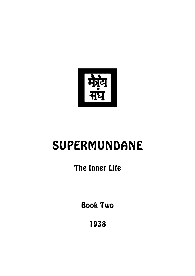

## SUPERMUNDANE<br>The Inner Life

Book Two

1938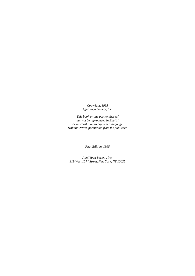*Copyright, 1995 Agni Yoga Society, Inc.*

*This book or any portion thereof may not be reproduced in English or in translation to any other language without written permission from the publisher*

*First Edition, 1995* 

*Agni Yoga Society, Inc. 319 West 107th Street, New York, NY 10025*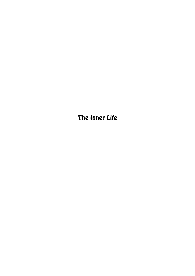The Inner Life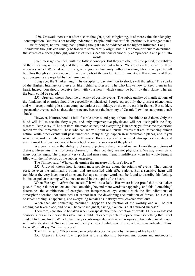250. Urusvati knows that often a short thought, quick as lightning, is of more value than lengthy contemplation. But this is not readily understood. People think that artificial profundity is stronger than a

swift thought, not realizing that lightning thought can be evidence of the highest influence. Long ponderous thoughts can usually be traced to some earthly origin, but it is far more difficult to determine the source of a fleeting thought, which is of such speed that one cannot fully comprehend it and put it into

words.

 Such messages can deal with the loftiest concepts. But they are often misinterpreted, the subtlety of their meaning is distorted, and they usually vanish without a trace. We are often the source of these messages, which We send out for the general good of humanity without knowing who the recipients will be. Thus thoughts are engendered in various parts of the world. But it is lamentable that so many of these glorious guests are rejected by the human mind.

 Long ago, the Thinker taught His disciples to pay attention to short, swift thoughts. "The sparks of the Highest Intelligence pierce us like lightning. Blessed is he who knows how to keep them in his heart. Indeed, you should perceive them with your heart, which cannot be burnt by their flame, whereas the brain could be seared."

 251. Urusvati knows about the diversity of cosmic events. The subtle quality of manifestations of the fundamental energies should be especially emphasized. People expect only the grossest phenomena, and will accept nothing less than complete darkness at midday, or the entire earth in flames. But sudden, spectacular events such as these do not occur, because the harmony of Cosmic Law does not permit such shocks.

 However, Nature's book is full of subtle omens, and people should be able to read them. Only the blind will fail to see the fiery signs, and only imperceptive physicians will not distinguish the fiery diseases. People say, "The sun rises, the moon shines, and everything is in order; yet for some mysterious reason we feel threatened." Those who can see will point out unusual events that are influencing human nature, while other events will pass unnoticed. Many things happen in unpredictable places, and if you were to record the whereabouts of earthquakes, floods, epidemics, unusual atmospheric events, and unexplained tensions, you would have a book about the sickness of the planet.

We greatly value the ability to observe objectively the omens of nature. Learn the symptoms of disease. Physicians must not cease observing; if they do, they are not physicians. We pay attention to many cosmic signs. The planet is very sick, and man cannot remain indifferent when his whole being is filled with the influences of the subtlest energies.

The Thinker said, "Who can determine the measure of Nature's forces?"

 252. Urusvati knows how ignorant most people are about the origins of events. They cannot perceive even the culminating points, and are satisfied with effects alone. But a sensitive heart will tremble at the very inception of an event. Perhaps no proper words can be found to describe this feeling, but its unspoken meaning will at once resound in the depths of the heart.

When We say, "Affirm the success," it will be asked, "But where is the proof that it has taken place?" People do not understand that something beyond mere words is happening, and this "something" determines the combination of energies. An inexperienced eye cannot catch the first vibrations of atmospheric tension. An untrained ear cannot hear the developing accumulation of forces. To a casual observer nothing is happening, and everything remains as it always was, covered with dust!

 When then did something meaningful happen? The reaction of the worldly one will be that nothing has taken place, and he will become indignant, asking, "Where is that affirmed success?"

 Therefore, care should be taken when you speak about the inception of events. Only a well-tested consciousness will embrace this idea. One should not expect people to rejoice about something that is not evident to them. And if We add that many events originate on days when signs are favorable, most people will not understand it. Superstitions are readily accepted, while scientific conclusions are ridiculed. Thus, today We shall say, "Affirm success."

The Thinker said, "Every man can accelerate a cosmic event by the smile of his heart."

253. Urusvati knows how important is the relationship between microcosm and macrocosm.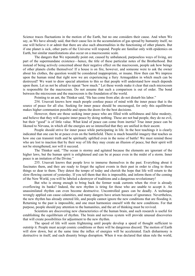Science traces fluctuations in the motion of the Earth, but no one considers their cause. And when We say, as We have already said, that their cause lies in the accumulation of gas spread by humanity itself, no one will believe it or admit that there are also such abnormalities in the functioning of other planets. But if one planet is sick, other parts of the Universe will respond. People are familiar only with epidemics on Earth, but similar manifestations also occur on a macrocosmic scale.

 The dangers that We repeatedly point out, caused by unbalanced, purposeless ways of living, are part of the supermundane existence—hence, the title of these particular notes of the Brotherhood. But instead of being actively concerned about their negative effect on the macrocosm, people ask how beings of other planets clothe themselves! If a house is on fire, however, and someone were to ask the owner about his clothes, the question would be considered inappropriate, or insane. How then can We impress upon the human mind that right now we are experiencing a fiery Armageddon in which much can be destroyed? We want to draw special attention to this so that people will understand how much depends upon them. Let us not be afraid to repeat "how much." Let these words make it clear that each microcosm is responsible for the macrocosm. Do not assume that such a comparison is out of order. The bond between the microcosm and the macrocosm is the foundation of the world.

Pointing to an ant, the Thinker said, "He has come from afar; do not disturb his labor."

 254. Urusvati knows how much people confuse peace of mind with the inner peace that is the source of peace for all else. Seeking for inner peace should be encouraged, for only this equilibrium makes higher communion possible and opens the doors for the best decisions.

 However, there are those seeking inner peace who are filled with selfishness and false modesty, and believe that they will acquire inner peace by doing nothing. These are not bad people, they do no evil, but their "good" is of little value. What kind of peace can come from inertia? True inner peace can be likened to Nirvana, in which all the energies are so intensified that they are unified in their ascent.

 People should strive for inner peace while participating in life. In the best teachings it is clearly indicated that one can be at peace even on the battlefield. There is much beautiful imagery that teaches us how one can transmit truth and be spiritually uplifted even in the noise of battle! We must remind those who are lost to inaction that by their way of life they may create an illusion of peace, but their spirit will not be strengthened, nor will it succeed.

 The Thinker said, "The ocean is stormy and agitated because the elements are ignorant of the higher laws, but the human spirit is enlightened and can be at peace even in the midst of a storm. Inner peace is an imitation of the Divine."

 255. Urusvati knows that people love to immerse themselves in the past. Everything about it fascinates them, and they are ready to forget the ugliest events in their past in order to cling to those things so dear to them. They detest the tempo of today and cherish the hope that life will return to the slow-flowing current of yesterday. If you tell them that this is impossible, and inform them of the coming of the New World, you will be labeled a destroyer of traditions and a dangerous revolutionary!

 But who is strong enough to bring back the former weak currents when the river is already overflowing its banks? Indeed, the new rhythm is tiring for those who are unable to accept it. An unassimilated rhythm can even become destructive. Uncontrolled gases can be deadly. A technique wrongly applied can cause calamities, and many dangers have arisen because of ignorance. Nevertheless, the new rhythm has already entered life, and people cannot ignore the new conditions that are flooding it. Returning to the past is impossible, and one must harmonize oneself with the new conditions. For that purpose, people should pay attention to the humanities, and the art of thinking must be revived.

 Scientists are discovering new characteristics of the human brain, and such research is useful for establishing the equilibrium of rhythm. The brain and nervous system will provide unusual discoveries that will create possibilities for adjustment to the new rhythm.

 The speed of life will seem frightening until people develop a speed of thought sufficient to outstrip it. People must accept cosmic conditions or there will be dangerous discord. The motion of Earth will slow down, but at the same time the influx of energies will be accelerated. Each disharmony is destructive in itself, and each disunity brings disruption. When it was declared that ideas rule the world,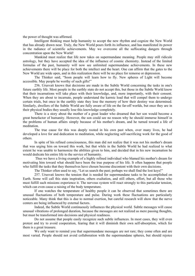the power of thought was affirmed.

 Intelligent thinking must help humanity to accept the new rhythm and cognize the New World that has already drawn near. Truly, the New World pours forth its influence, and has manifested its power in the radiance of scientific achievements. May we overcome all the suffocating dangers through concentration upon the New World!

 Mankind must realize that life now takes on supermundane meaning. People may still ridicule astrology, but they have accepted the idea of the influence of cosmic chemistry. Instead of the limited formulas of the past, humanity will now see unlimited supermundane achievements. In these new achievements there will be place for both the intellect and the heart. One can affirm that the gates to the New World are wide open, and in this realization there will be no place for remorse or depression.

 The Thinker said, "Soon people will learn how to fly. New spheres of Light will become accessible. May people be worthy of such gifts!"

 256. Urusvati knows that decisions are made in the Subtle World concerning the tasks in one's future earthly life. Most people in the earthly state do not accept this, but those in the Subtle World know that their incarnations will take place with their knowledge, and, more importantly, with their consent. When they are about to incarnate, people understand the karmic load that will compel them to undergo certain trials, but once in the earthly state they lose the memory of how their destiny was determined. Similarly, dwellers of the Subtle World are fully aware of life on the far-off worlds, but once they are in their physical bodies they usually lose this knowledge completely.

 There is a story about the mother of a great leader who dreamed that her son would become a great benefactor of humanity. However, the son could see no reason why he should immerse himself in the problems of human affairs simply because of his mother's dream, and he turned toward a life of meditation.

 The true cause for this was deeply rooted in his own past when, over many lives, he had developed a love for and dedication to meditation, while neglecting self-sacrificing work for the good of others.

 In spite of his refined consciousness, this man did not realize that it was not his mother's dream that was urging him on toward this work, but that while in the Subtle World he had realized to what extent he was unable to harmonize the abilities given to him, and decided that in his new incarnation he would dedicate his entire life to the service of humanity.

 Thus we have a living example of a highly refined individual who blamed his mother's dream for motivating him toward what should have been the true purpose of his life. It often happens that people who fulfill the tasks that they themselves have chosen become discontent with their own decisions.

The Thinker often used to say, "Let us search the past; perhaps we shall find the lost keys!"

 257. Urusvati knows the tension that is needed for supermundane tasks to be accomplished on Earth. Some will call this state inspiration, others exaltation, and still others, effort, but all those who must fulfill such missions experience it. The nervous system will react strongly to this particular tension, which can even cause a raising of the body temperature.

 If one watches the temperature of healthy people it can be observed that sometimes there are unusual fluctuations of both temperature and pulse. During work these fluctuations are particularly noticeable. Many think that this is due to normal exertion, but careful research will show that the nerve centers are being influenced by external factors.

 Indeed, the Subtle World continuously influences the physical world. Subtle messages will cause unusual vibrations of prolonged duration, because the messages are not realized as mere passing thoughts, but must be transformed into decisions and physical readiness.

 Do not assume that people easily recognize such subtle influences. In most cases, they will even protest and try to avoid cooperation, fearing that it will diminish their own self-absorption, which for them is a great treasure.

 We only want to remind you that supermundane messages are not rare; they come often and are most varied. People should not avoid collaboration with the supermundane spheres, but should rejoice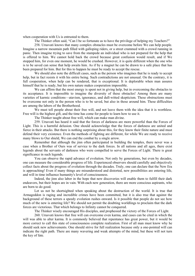when cooperation with Us is entrusted to them.

The Thinker often said, "Can I be so fortunate as to have the privilege of helping my Teachers?"

 258. Urusvati knows that many complex obstacles must be overcome before We can help people. Imagine a narrow mountain path filled with galloping riders, or a street crammed with a crowd running in panic. Then imagine trying to save from the stampede an individual who is not prepared for the help that is offered to him. We cannot hold back the crowd because great confusion would result, and if We stopped him, for even one moment, he would be crushed. However, it is quite different when the one who is to be saved can sense that help awaits him. As if by a magnet he can be drawn to a safe place that has been prepared for him. But for this to happen he must be ready to accept the rescue.

 We should also note the difficult cases, such as the person who imagines that he is ready to accept help, but in fact resists it with his entire being. Such contradictions are not unusual. On the contrary, it is full cooperation, when help can be rendered, that is exceptional. It is deplorable when man assures himself that he is ready, but his own nature makes cooperation impossible.

 We can affirm that the most energy is spent not in giving help, but in overcoming the obstacles to its acceptance. It is impossible to imagine the diversity of these obstacles! Among them are many varieties of karmic conditions—atavism, ignorance, and dull-witted skepticism. These obstructions must be overcome not only in the person who is to be saved, but also in those around him. These difficulties are among the labors of the Brotherhood.

We must tell people about their free will, and not leave them with the idea that it is worthless. Free will is the highest gift, and the time has come for people to learn how to use it.

The Thinker taught about free will, which can make man divine.

 259. Urusvati has heard it said that the forces of darkness are more powerful than the Forces of Light. This is a harmful delusion. One should acknowledge that the forces of darkness are united and fierce in their attacks. But there is nothing surprising about this, for they know their finite nature and must defend their very existence. Even the methods of fighting are different, for while We are ready to receive many blows to Our shield, We can end the combat by a single arrow.

 Remember that although the jinn often participated in building the temples, there never was a case when a Brother of Ours was of service to the dark forces. In all nations and all ages, there exist legends about the servants of darkness who were compelled to serve the Forces of Light. There is great significance in such legends.

 You can observe the rapid advance of evolution. Not only by generations, but even by decades, one can measure the considerable progress of life. Experienced observers should carefully and objectively collect facts about the progress of evolution through the decades. Truly, one can declare that the New Era is approaching! Even if many things are misunderstood and distorted, new possibilities are entering life, and will in time influence humanity's level of consciousness.

 Indeed, the jinn also labor in the hope that new discoveries will enable them to fulfill their dark endeavors, but their hopes are in vain. With each new generation, there are more conscious aspirants, who are born to do good.

 Let us not be shortsighted when speaking about the destruction of the world. It is true that Armageddon is raging and incredible crimes have been committed, but it is also true that against the background of these terrors a speedy evolution rushes onward. Is it possible that people do not see how much of the new is entering life? We should not permit the doubting worldlings to proclaim that the dark forces are victorious. That which belongs to Infinity cannot be conquered.

The Thinker wisely encouraged His disciples, and prophesied the victory of the Forces of Light.

 260. Urusvati knows that free will can overcome even karma, and cases can be cited in which the will was able to alter karma. It is commonly believed that repentance has great power, but it would be more correct to call this state of consciousness complete realization. First of all man must know why he should seek new achievements. One should strive for full realization because only a one-pointed will can indicate the right path. There are many wavering and weak attempts of the mind, but these will not turn the key of fate.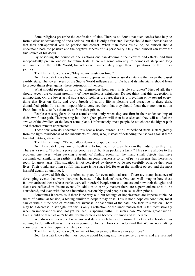Some religions prescribe the confession of sins. There is no doubt that such confessions help to form a clear understanding of one's actions, but this is only a first step. People should train themselves so that their self-appraisal will be precise and correct. When man faces his Guide, he himself should understand both the positive and the negative aspects of his personality. Only man himself can know the true source of his deeds.

 By observing the course of one's actions one can determine their causes and effects, and thus independently prepare oneself for future tests. There are some who require periods of sleep and long reminiscence in the Subtle World, but others will immediately begin their preparations for the further journey.

The Thinker loved to say, "May we not waste our time."

 261. Urusvati knows how much more oppressive the lower astral strata are than even the basest earthly state. The lower layers of the Subtle World influence all of Earth, and its inhabitants should learn to protect themselves against these poisonous influences.

What should people do to protect themselves from such invisible corrupters? First of all, they should accept the constant proximity of these malicious neighbors. Do not think that this suggestion is unimportant. On the lower astral strata good feelings are rare, there is a prevailing envy toward everything that lives on Earth, and every breath of earthly life is pleasing and attractive to these dark, dissatisfied spirits. It is almost impossible to convince them that they should focus their attention not on Earth, but on how to free themselves from their prison.

 People can struggle with base astral entities only when they are firm in their understanding of their own future path. Their passing into the higher spheres will then be easier, and they will not feel the arrows of the dwellers of the lower astral plane. Unfortunately, most people do not choose the higher path and therefore remain unprotected.

 Those few who do understand this bear a heavy burden. The Brotherhood itself suffers greatly from the light-mindedness of the inhabitants of Earth, who, instead of defending themselves against these harmful entities, attract them.

The Thinker taught, "Do not allow demons to approach you."

 262. Urusvati knows how difficult it is to find room for great tasks in the midst of earthly life. There is a saying, "To find a place for good is as difficult as packing a trunk." This saying alludes to the problem one faces, when packing a trunk, of finding room for the many small objects that have accumulated. Similarly, in earthly life the human consciousness is so full of petty concerns that there is no room for great tasks. This situation is not perceived by those who do not carefully observe their own lives. Their trunks are often so full that there is no space left for even the smallest object, and the most harmful details go unnoticed.

 In a crowded life there is often no place for even minimal trust. There are many instances of developing events that were disrupted because of the lack of trust. One can well imagine how these failures affected those whose trunks were all in order! People refuse to understand how their thoughts and deeds are reflected in distant events. In addition to earthly matters there are supermundane ones to be considered, and even with the best intentions, reasonably good people can cause disruptions.

 Sometimes it seems as if there is no way out, but feelings of hopelessness are impermissible. At times of particular tension, a feeling similar to despair may arise. This is not a hopeless condition, for it carries within it the seed of resolute decisiveness. At each turn of the path, one feels this tension. There may be a decrease in strength, but this is only a reflection of the inner tension that is felt most strongly when an important decision, not yet realized, is ripening within. In such a case We advise great caution. Care should be taken of one's health, for the centers can become inflamed and vulnerable.

 We always stress work, but advise rest during such times of tension. This kind of relaxation has nothing to do with idleness; it is a sharpening of forces. However, understand that We are now talking about great tasks that require complete sacrifice.

The Thinker loved to say, "Can we not find even more that we can sacrifice?"

263. Urusvati knows that most people avoid looking into the essence of events and are satisfied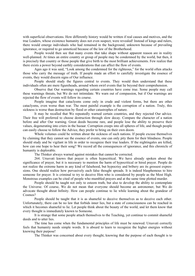with superficial observations. How differently history would be written if real causes and motives, and the true Leaders, whose existence humanity does not even suspect, were revealed! Instead of kings and rulers, there would emerge individuals who had remained in the background, unknown because of prevailing ignorance, or required to go unnoticed because of the law of the Brotherhood.

People would then see that many events that take shape without apparent reason are in reality well-planned. At times an entire country or group of people may be condemned by the world, but then, it is precisely that country or those people that give birth to the most brilliant achievements. Few realize that there exists a power beyond earthly considerations that can affect the flow of events.

 Ages ago it was said, "Look among the condemned for the righteous," for the world often attacks those who carry the message of truth. If people made an effort to carefully investigate the essence of events, they would discern signs of Our influence.

 People should study the figures central to events. They would then understand that these individuals often are mere figureheads, around whom swirl events that lie beyond their comprehension.

 Observe that Our warnings regarding certain countries have come true. Some people may call these warnings threats, but We do not intimidate. We warn out of compassion, but if Our warnings are rejected the flow of events will follow its course.

 People imagine that cataclysms come only in crude and violent forms, but there are other cataclysms, even worse than war. The most painful example is the corruption of a nation. Truly, this sickness is worse than destruction by flood or other catastrophes of nature.

 It may be recalled that We repeatedly warned certain countries, and they rejected Our advice. Their free will preferred to choose destruction through slow decay. Compare the character of a nation before and after Our warning. Great deeds become rare, and people lose the ability to preserve their values, degenerating into criers in the bazaar. Corruption creeps into all spheres of life, and though people can easily choose to follow the Advice, they prefer to bring on their own doom.

 Whole volumes could be written about the sickness of such nations. If people excuse themselves by claiming that they cannot see the essence of events, one can only pity them for their blindness. People should study and be vigilant in life in order to recognize their true leaders. If the nightingales are killed, how can one hope to hear their song? We record all the consequences of ignorance, and this chronicle of humanity is deplorable.

The Thinker always warned against mistakes that cannot be corrected.

 264. Urusvati knows that prayer is often hypocritical. We have already spoken about the significance of prayer, but it is necessary to mention the harm of hypocritical or hired prayer. People do not realize the extreme harm in any kind of falsehood, but hypocrisy and bribery are its grossest expressions. One should realize how pervasively each false thought spreads. It is indeed blasphemous to hire someone for prayer. It is criminal to try to deceive Him who is considered by people as the Most High. Monstrous examples can be cited of people who mumbled prayers and at the same time plotted murder.

 People should be taught not only to esteem truth, but also to develop the ability to contemplate the Universe. Of course, We do not mean that everyone should become an astronomer, but We do advocate thought about Infinity. How can people continue to lie while learning about the grandeur of Cosmos?

 People should be taught that it is as shameful to deceive themselves as to deceive each other. Unfortunately, there can be no law that forbids inner lies, but a state of consciousness can be reached in which it becomes shameful to lie. Let people think about the beauty of the world, and let them know that every thought is immediately known to Someone.

 It is strange that some people attach themselves to the Teaching, yet continue to commit shameful deeds and to utter lies.

 The time has come when the fundamental principles of life must be renewed. Urusvati correctly feels that humanity needs simple words. It is absurd to learn to recognize the higher energies without knowing their purpose!

The Thinker was concerned about every thought, knowing that the purpose of each thought is to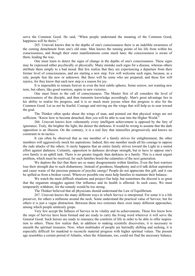serve the Common Good. He said, "When people understand the meaning of the Common Good, happiness will be theirs."

 265. Urusvati knows that in the depths of one's consciousness there is an indelible awareness of the coming detachment from one's old state. Man knows the turning points of his life from within his consciousness, and though their outer manifestations come much later, the consciousness is aware of them, leading the way.

 One must learn to detect the signs of change in the depths of one's consciousness. These signs may be expressed either psychically or physically. Many mistake such signs for a disease, whereas others attribute them simply to a bad mood. But few realize that they are experiencing a departure from their former level of consciousness, and are starting a new step. Few will welcome such signs, because, as a rule, people fear the new or unknown. But there will be some who are prepared, and these few will rejoice, for they know that each new step is a reason for joy.

 It is impossible to remain forever in even the best subtle spheres. Some sorrow, not wanting new tests, but others, like good warriors, aspire to new victories.

 One must listen to the call of consciousness. The Master first of all considers the level of consciousness of the disciple, and then transmits knowledge accordingly. Man's great advantage lies in his ability to realize his progress, and it is so much more joyous when this progress is also for the Common Good. Let us not be fearful. Courage and striving are the wings that will help us to soar toward the goal.

 The Thinker often spoke about the wings of man, and pointed out that physical wings are not sufficient. "Know how to become detached, then you will be able to soar into the Higher World."

 266. Urusvati knows how vehemently every intelligent achievement is opposed by the fury of ignorance. Truly, the brighter the light, the denser the darkness. It would be wrong to assume that the dark opposition is an illusion. On the contrary, it is a real fury that intensifies progressively and knows no constraint in its tactics.

 It can often be observed that as one member of a family strives for enlightenment, the other members will aggressively mock his aspirations. Indeed, this one member needs all his courage to oppose the rude attacks of the others. It rarely happens that an entire family strives toward the Light in a united effort against darkness. Certainly, opposition to darkness develops strength, but to have to oppose one's own family is an uphill task. There is no greater tragedy than darkness in a family. This is a most urgent problem, which must be resolved, for such families breed the calamities of the next generation.

 We deplore the fact that there are so many disagreements within families. Even the best warriors lose their strength due to such disharmony. Instead of goodness, blasphemy and evil talk defeat aspiration and cause waste of the precious panacea of psychic energy! People do not appreciate this gift, and it can be spilled as from a broken vessel. Wherever possible one must help families to maintain their balance.

We watch the most difficult situations and project Our help, but sometimes the discord is so great that the organism struggles against Our influence and its health is affected. In such cases, We must temporarily withdraw, for the remedy would be too strong.

The Thinker believed that all physicians should understand the Law of Equilibrium.

 267. Urusvati knows the many different ways in which Service is interpreted. For some it is a life preserver, for others a millstone around the neck. Some understand the practical value of Service, but for others it is just a vague abstraction. Between these two extremes there exist many different approaches, among which people aimlessly grope.

 Very few accept the fullness of Service in its vitality and its achievements. These few know how the steps of Service have been formed and are ready to carry the living word wherever it will serve the General Good. Such heroes are ready to renounce the comforts of life in order to be able to offer inspiration to others. These few realize that, in addition to making scientific discoveries, it is necessary to unearth the spiritual treasures. Now, when multitudes of people are hurriedly shifting and seeking, it is especially difficult for mankind to reconcile material progress with higher spiritual values. The present age resembles a certain period of Atlantis, when the Atlanteans, too, could not find the necessary balance.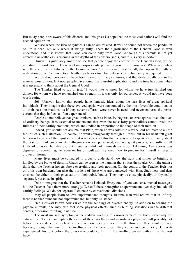But today people are aware of this discord, and this gives Us hope that the most vital nations will find the needed equilibrium.

We see where the idea of synthesis can be assimilated. It will be found not where the pendulum of life is dead, but only where it swings fully. There the significance of the General Good is well understood, and it is known that Good can come only from Good. Although this formula is not yet uttered, it nevertheless is ripening in the depths of the consciousness, and this is very important.

 Urusvati is justifiably amazed to see that people enjoy the comfort of the General Good, yet do not strive to work for it. These walking corpses only prepare a grave for themselves! Where and when will they see the usefulness of the Common Good? It is service, first of all, that opens the path to realization of the Common Good. Neither garb nor ritual, but only service to humanity, is required.

 Words about cooperation have been uttered for many centuries, and the ideals usually outran the material possibilities. But now people have found many useful applications, and the time has come when it is necessary to think about the General Good.

 The Thinker liked to say in jest, "I would like to know for whom we have just finished our dinner, for whom we have replenished our strength. If it was only for ourselves, it would not have been worth eating!"

 268. Urusvati knows that people have fantastic ideas about the past lives of great spiritual individuals. They imagine that these evolved spirits were surrounded by the most favorable conditions in all their past incarnations, as if they never suffered, were never in need, and never endured the persecutions that they in fact so often experienced.

 People do not believe that great thinkers, such as Plato, Pythagoras, or Anaxagoras, lived the lives of ordinary beings. It is essential to understand that even the most lofty personalities cannot avoid the fullness of their earthly emotions, which are kindled in proportion to the scope of their mission.

 Indeed, you should not assume that Plato, when he was sold into slavery, did not react to all the turmoil of such a situation. Of course, he went courageously through all trials, but in his heart felt great bitterness because of the injustice, and it was because of this that he was able to speak so brilliantly about the best forms of government. Pythagoras too was persecuted, endured great poverty, and suffered all kinds of physical humiliation, but these tests did not diminish his ardor. Likewise, Anaxagoras was deprived of everything, yet even on his difficult path he knew how to prepare for himself a majestic crown of thorns.

 Many lives must be compared in order to understand how the light that shines so brightly is kindled by the blows of destiny. Chaos can be seen as the hammer that strikes the sparks. Only the unwise think that the Teacher hovers above everything and feels nothing. On the contrary, the Teacher feels not only his own burdens, but also the burdens of those who are connected with Him. Such near and dear ones can be either in their physical or in their subtle bodies. They may be close physically, or physically separated, yet close in spirit.

 Do not imagine that the Teacher remains isolated. Every one of you can sense mental messages, but the Teacher feels them more strongly. We call these perceptions supermundane, yet they include all earthly feelings. We do not separate Existence by conventional divisions.

 May all people learn to love supermundane thoughts. In time man will realize that in Infinity there is neither mundane nor supermundane, but only Existence.

 269. Urusvati knows how varied are the sendings of psychic energy. In addition to sensing the psychic currents, one may also feel some physical effects, such as burning sensations in the different centers, or tension resulting in nausea.

 The most unusual symptom is the sudden swelling of various parts of the body, especially the extremities. No one can explain the cause of these swellings and an ordinary physician will probably not believe the existence of such an ailment without seeing it for himself. However, this is not so easy, because, though the size of the swellings can be very great, they come and go quickly. Urusvati experienced this, but before the physicians could confirm it, the swelling passed without the slightest trace.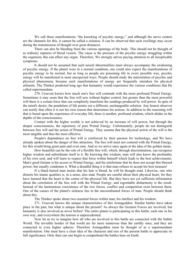We call these manifestations "the knocking of psychic energy," and although the nerve centers are the channels for this, it cannot be called a sickness. It can be observed that such swellings may occur during the transmission of thought over great distances.

 There can also be bleeding from the various openings of the body. This should not be thought of as ordinary ruptures of blood vessels. The cause is the pressure of the psychic energy struggling within the organism; this can affect any organ. Therefore, We strongly advise paying attention to all inexplicable symptoms.

 It should not be assumed that such neural abnormalities must always accompany the awakening of psychic energy. If the planet were in a normal condition, one could also expect the manifestations of psychic energy to be normal, but as long as people are poisoning life in every possible way, psychic energy will be manifested in most unexpected ways. People should study the interrelation of psychic and physical phenomena, because such manifestations of energy are frequently mistaken for physical ailments. The Thinker predicted long ago that humanity would experience the various conditions that He called supermundane.

 270. Urusvati knows how much one's free will contends with the more profound Primal Energy. Sometimes it may seem that the free will acts without higher control, but greater than the most powerful will there is a certain force that can completely transform the sendings produced by will power. In spite of the mind's desire, the pendulum of life points out a different, unchangeable solution. Any honest observer can testify that often it is not his own reason that determines his actions. In addition to the reasoning will that is based upon the experience of everyday life, there is another, profound wisdom, which abides in the depths of the consciousness.

 Contact with the higher worlds is not achieved by an increase of will power, but through the deeper consciousness, the repository of pure Primal Energy. Unfortunately, people do not distinguish between free will and the action of Primal Energy. They assume that the physical action of the will is the most tangible and thus the most effective.

People's dependence on free will is reinforced by their passion for technology, and We have already spoken about the danger of this attraction. The free will must not contend with the Primal Energy, for this would bring great pain and even ruin. And so we arrive once again at the idea of the golden mean.

 How beautiful can be the role of a flexible free will, which, through discrimination, can recognize higher wisdom and subordinate itself to it. By knowing this wisdom, man will also know the profundity of his own soul, and will learn to respect that force within himself which leads to the best achievements. Man's good fortune is his access to Primal Energy, and his misfortune that he does not accept this blessed power, but usually condemns it. What a dreadful thing it is that man refuses to accept his best treasure!

 If a black-haired man insists that his hair is blond, he will be thought mad. Likewise, one who distorts his innate qualities is, in a sense, also mad. People are careful about their physical heart, for they have learned that the heart is the center of the physical life. But they have not yet sufficient information about the correlation of the free will with the Primal Energy, and regrettable disharmony is the result. Instead of the harmonious coexistence of the two forces, conflict and competition exist between them. One of the causes of the planet's sickness lies in the uncoordinated forces of man. People should think about this.

The Thinker spoke about two essential forces within man, his intellect and his wisdom.

 271. Urusvati knows the unique characteristics of this Armageddon. Similar battles have taken place in the past, but what is unique about the present? As always the Greatest Forces are involved, but humanity is also involved as never before! The entire planet is participating in this battle, each one in his own way, and everywhere the tension is unprecedented.

 Now let us try to imagine how all who are involved in this battle are connected with the Subtle World. The invisible hordes of that world are far more numerous than the earthly ones, and they are connected to even higher spheres. Therefore Armageddon must be thought of as a supermundane manifestation. One must have a clear idea of the character and size of the present battle to appreciate its full significance. Only then can one begin to comprehend the battles here on Earth.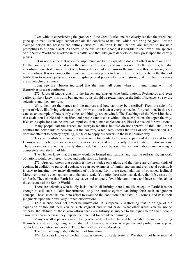Even without experiencing the grandeur of the Great Battle, one can clearly see that the world has gone quite mad. Even logic cannot explain the conflicts of nations, which can bring no good. For the average person the reasons are entirely obscure. The truth is that nations are subject to invisible promptings to ruin the planet. As above, so below. At Our Abode, it is terrible to see how all the spheres of the Subtle World are involved in this battle, and that, like great dark clouds, they press upon the earthly planes.

 Let us not assume that when the supermundane battle expands it does not affect us here on Earth. On the contrary, it is reflected upon the entire earthly space, and involves not only the warriors, but also all ordinarily neutral beings. It not only brings illness, but also poisons the mind, and this, of course, is the most perilous. It is no wonder that sensitive organisms prefer to leave! But it is better to be in the thick of battle than to receive passively a rain of splinters and poisoned arrows. I strongly affirm that the events are approaching a climax.

 Long ago the Thinker indicated that the time will come when all living things will find themselves in great confusion.

 272. Urusvati knows that it is the heroes and martyrs who build nations. Pythagoras and even earlier thinkers knew this truth, but ancient truths should be reexamined in the light of science. So say the scientists, and they are right.

 Who, then, are the heroes and the martyrs and how can they be described? From the scientific point of view, like living volcanoes, they throw out the intense energies needed for evolution. In this we can see an example of how subtly ethics and biology are entwined. The Teachings of the New Life show that exaltation is a blessed intensifier, and people cannot exist without these explosions that open the way. If cosmic explosions can be creative impulses, then human explosions are likewise needed for evolution.

 Many people call the heroes and martyrs fanatics, but We do not approve of this label, for it belittles the better side of heroism. On the contrary, a real hero knows the truth of self-renunciation. He does not attempt to destroy anything, but tries to apply his powers in the best possible way.

 They are foolish who assert that martyrs belong only to the remote past and do not exist today! Heroism and martyrdom are increasingly in evidence, and are presently characteristic of entire nations. These examples are not as clearly discerned, but it can be said that certain nations are creating a completely new rhythm of life.

 The Thinker knew that the many would be formed into nations, and that the self-sacrificing work of nations would be of great value, and understood as heroism.

 273. Urusvati knows that egoism is like a smudge on a glass, and that there are different kinds of egoism. In addition to personal egoism, we can see examples of family egoism and even racial egoism. It is easy to imagine how many distortions of truth issue from these accumulations of poisoned feelings! Moreover, there is even egoism on a planetary scale. You often hear scientists declare that life exists only on Earth. They claim that Earth has exclusive and uniquely favorable conditions, and have no idea about the existence of the Subtle World.

 There are scientists who boldly insist that in all Infinity there is no life except on Earth! It is not enough to call such a claim impertinence: only the crudest egoism can bring forth such an ignorant concept. These scientists make no effort to examine the conditions that exist in Cosmos, and base their judgments upon their own very limited observations!

 True science does not prescribe limitations. It is especially distressing that in an age of the expansion of thought there can be such stagnant and stupid pride. What other words can we use to describe the attitude of those who affirm that even Infinity is subject to their judgment? Such people cause great harm because they impede the potential for broadened thinking.

 Many so-called phenomena are being observed on Earth. Unusual human abilities are manifesting themselves and are beginning to be studied. However, as soon as negation and prohibitions appear, obstacles to evolution are created. Truly, free will can cause disasters.

The Thinker taught about the harm of limitation.

274. Urusvati knows of the harm that is created by caste systems. We should not have in mind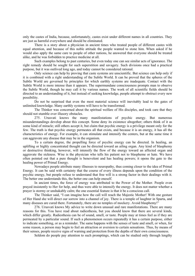only the castes of India, because, unfortunately, castes exist under different names in all countries. They are just as harmful everywhere and should be eliminated.

 There is a story about a physician in ancient times who treated people of different castes with equal attention, and because of this noble attitude the people wanted to stone him. When asked if he would also apply the same care to people of other nations, he answered that everyone should be treated alike, and he was forbidden to practice medicine at all.

 Such examples belong to past centuries, but even today one can see similar acts of ignorance. The right remedy should be sought for such superstition and savagery. Such divisions once had a practical purpose, but it was outlived long ago, and today cannot be considered rational.

 Only science can help by proving that caste systems are unscientific. But science can help only if it is combined with a right understanding of the Subtle World. It can be proved that the spheres of the Subtle World are governed by principles for which earthly systems are inadequate. Contact with the Subtle World is more intense than it appears. The supermundane consciousness prompts man to observe the Subtle World, though he may call it by various names. The work of all scientific fields should be directed to an understanding of it, but instead of seeking knowledge, people attempt to obstruct every new possibility.

 Do not be surprised that even the most material science will inevitably lead to the gates of unlimited knowledge. Many earthly systems will have to be transformed.

 The Thinker was concerned about the spiritual welfare of His disciples, and took care that they should not stumble over illusory obstacles.

 275. Urusvati knows the many manifestations of psychic energy. But numerous misunderstandings develop about this concept. Some deny its existence altogether; others think of it as some kind of miracle; still others accept it, but claim that psychic energy is a privilege meant only for the few. The truth is that psychic energy permeates all that exists, and because it is an energy, it has all the characteristics of energy. For example, it can stimulate and intensify the centers, but at the same time it can aggravate any disease that may be in the organism.

 To a certain degree, the propelling force of psychic energy can be directed. In healing, an uplifting or highly concentrated thought can be directed toward an ailing organ. Any kind of blasphemy or destructive thinking, however, will intensify the flow of the energy toward an affected organ and aggravate the sickness. Wise is the physician who tells his patient not to blaspheme or hate. We have often pointed out that a pure thought is benevolent and has healing powers; it opens the gate to the healing power of Primal Energy.

 Nowadays people attribute many illnesses to neuropathy, thus coming closer to the idea of Primal Energy. It can be said with certainty that the course of every illness depends upon the condition of the psychic energy, but people refuse to understand that free will is a strong factor in their dealings with it. The better one understands this, the better one can help oneself.

 In ancient times, the force of energy was attributed to the Power of the Mother. People even prayed insistently to Her for help, and thus were able to intensify the energy. It does not matter whether a prayer is stormy or unshakably calm; the one essential feature is that it be a conscious call.

 The Thinker said, "I can imagine how the call will reach the Majestic Mother! With one gesture of Her Hand she will direct our sorrow into a channel of joy. There is a temple of laughter in Sparta, and many diseases are cured there. Fortunately, there are no temples of mockery. Avoid blasphemy!"

 276. Urusvati knows My advice to write down unusual and rare manifestations. There are many reasons for this. You have read about radiesthesia, but you should know that there are several kinds, which differ greatly. Radiesthesia can be of sound, smell, or taste. People may at times feel as if they are permeated by a particular sound. If such a phenomenon occurs repeatedly it has a certain purpose, either to indicate something, or as a reminder. The same happens with the senses of taste and smell, or when, for some reason, a person may begin to feel an attraction or aversion to certain sensations. Thus, by means of their senses, people receive signs of warning and protection from the depths of their own consciousness.

Seldom do people pay attention to such promptings, which can be studied only through lengthy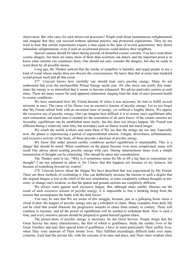observation. But who cares for such drawn-out processes? People read about instantaneous enlightenment and imagine that they can succeed without spiritual practice and protracted experiments. They do not want to hear that certain experiments require a time equal to the span of several generations; they desire immediate enlightenment, even if such an accelerated process could destroy their neighbors.

 Special caution should be taken during periods of disturbed cosmic currents. You have read about cosmic dangers, but there are many more of them than scientists can detect, and the important point is to know what currents can counteract them. One should not only consider the dangers, but also be ready to resist them by all possible means.

 Long ago, the Thinker noticed that the smoke of campfires is harmful, and urged people to use a kind of wood whose smoke does not obscure the consciousness. He knew then that at some time mankind would poison itself and all that exists.

 277. Urusvati knows how carefully one should treat one's psychic energy. Many do not understand that even the inexhaustible Primal Energy needs care. All who strive can testify that sometimes the energy is so intensified that it seems to become exhausted. We advise particular caution at such times. There are many causes for such apparent exhaustion, ranging from the state of one's personal health to cosmic conditions.

 We have mentioned how My Friend became ill when it was necessary for him to fulfill several missions at once. The cause of his illness was an excessive tension of psychic energy. Let us not forget that My Friend sallied forth with an increased store of energy, yet suffered a lengthy illness. We oppose the excessive use of psychic energy. One can imagine how difficult it is to restore one's equilibrium after such exhaustion, and much time is needed for the restoration of all one's forces. If the cosmic currents are favorable, equilibrium can be established more easily, but this does not always happen. My Friend was afflicted during a relatively calm time, but nowadays such an illness would last much longer.

 We watch the useful workers and warn them if We see that the strings are too taut. Especially now, the planet is experiencing a period of unprecedented tension. Fatigue, drowsiness, inflammations, and excessive activity of the heart, all these precede a decrease of psychic energy.

We know that under present earthly conditions perfect equilibrium is unattainable. This is a danger that should be noted. When conditions on the planet become even more complicated, many will recall Our advice about treating psychic energy with care. During inharmonious times even a simple transmission of thought can be exhausting. This should be taken into consideration.

 The Thinker used to say, "Why is it sometimes easier for Me to lift a log than to concentrate my thought? I am not ashamed to admit it, for I know that this happens not because of my laziness, but because of something beyond my control."

 278. Urusvati knows about the fatigue We have described that was experienced by My Friend. There are three methods of combatting it. One can deliberately increase the tension to such a degree that the original fatigue is lost in the whirl of the new stimulation, or relax completely without thoughts or tensions, or change one's location, so that the spatial and ground currents are completely different.

 We always warn against such excessive fatigue. But, although many earthly illnesses are the result of such excessive tension of psychic energy, it is impossible to free a thinking being from the tension that accompanies the battle with the dark forces.

 You may be sure that We are aware of this struggle, because, just as a galloping horse raises a cloud of dust, the magnet of psychic energy stirs up a whirlpool of chaos. Many examples from daily life can be cited that would illustrate the progressive assaults of chaos from century to century. These will continue to increase, and all the power of equilibrium will be needed to withstand them. Now is such a time, and every sensitive person should be prepared to guard himself against chaos.

 The preservation of psychic energy is necessary for the Great Service. People forget that the Great Service has many characteristics, the first of which is goalfitness. Study the earthly lives of the Great Teachers and note their special kind of goalfitness. I have in mind particularly Their earthly lives, when They were unaware of Their former lives. They fulfilled exceedingly difficult tasks over many centuries. Each had His private life, with the customs of its time and place, and Their inner wisdom often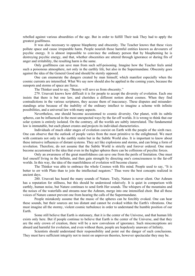rebelled against various absurdities of the age. But in order to fulfill Their task They had to apply the greatest goalfitness.

 It was also necessary to oppose blasphemy and obscenity. The Teacher knows that these vices pollute space and cause irreparable harm. People nourish those harmful entities known as devourers of psychic energy. It is almost impossible to convince the ordinary person that by blaspheming he is destroying psychic energy, and that, whether obscenities are uttered through ignorance or during fits of anger and irritability, the resulting harm is the same.

 Only goalfitness can save man from such self-poisoning. Imagine how the Teacher feels amid such a poisonous atmosphere, not only in the earthly life, but also in the Supermundane. Obscenity goes against the idea of the General Good and should be sternly opposed.

 One can enumerate the dangers created by man himself, which manifest especially when the cosmic currents are intensified. What We say now should also be applied in the coming years, because the sunspots and storms of space are fierce.

The Thinker used to say, "Beauty will save us from obscenity."

 279. Urusvati knows how difficult it is for people to accept the diversity of evolution. Each one insists that there is but one law, and cherishes a different notion about cosmos. When they find contradictions in the various scriptures, they accuse them of inaccuracy. These disputes and misunderstandings arise because of the inability of the ordinary intellect to imagine a scheme with infinite possibilities, and a universal law with many aspects.

 Nevertheless, one should become accustomed to cosmic diversity. Our planet, with its subtle spheres, can be influenced in the most unexpected ways by the far-off worlds. It is wrong to think that our solar system is entirely isolated. On the contrary, all the worlds are subtly interrelated. The fundamental law is immutable, but each planet creates and projects its individual characteristics.

 Individuals of much older stages of evolution coexist on Earth with the people of the sixth race. One can observe that the outlook of people varies from the most primitive to the enlightened. We meet with contrasts not only in the earthly realm but in the Subtle World also. It is important to know about these intrusive influences of distant systems. They act like explosions and storms, and can bring a form of revolution. Therefore, do not assume that the Subtle World is strictly and forever ordered. One must become accustomed to the idea that even in the higher spheres there can be collisions of psychic forces.

 Only an awareness of the great manifoldness can save one from the perils of limitation. One must feel oneself living in the Infinite, and then gain strength by directing one's consciousness to the far-off worlds. In this way, the idea of the manifoldness of evolution will become clearer.

 The Thinker was able to embrace the whole Cosmos with His mind. People used to say, "It is better to err with Plato than to join the intellectual negators." Thus were the best concepts realized in ancient days.

 280. Urusvati has heard the many sounds of Nature. Truly, Nature is never silent. Our Ashram has a reputation for stillness, but this should be understood relatively. It is quiet in comparison with earthly, human noise, but Nature continues to send forth Her sounds. The whispers of the mountains and the noises of the waterfalls and streams near the Ashram, merge into one intensified choir. But all these voices of Nature cannot prevent one from hearing the calls of the Supermundane.

 People mistakenly assume that the music of the spheres can be forcibly evoked. One can hear these sounds, but their sources are too distant and cannot be evoked within the Earth's vibrations. One must imagine all the stormy, violent cosmic turbulence in order to understand the humble position of our Earth.

 Some still believe that Earth is stationary, that it is the center of the Universe, and that human life exists only here. But if people continue to believe that Earth is the center of the Universe, and that they are the only crown of creation, there will be a new convulsion of ignorance. Such misconceptions are absurd and harmful for evolution, and even without them, people are hopelessly unaware of Infinity.

 Scientists should understand their responsibility and point out the danger of such conclusions. They must have sufficient integrity not to insist on unproven theories, however spectacular they may be.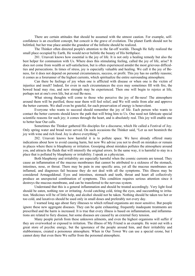There are certain attitudes that should be assumed with the utmost caution. For example, selfconfidence is an excellent concept, but conceit is the grave of evolution. The planet Earth should not be belittled, but her true place amidst the grandeur of the Infinite should be realized.

 The Thinker often directed people's attention to the far-off worlds. Though He fully realized the small place occupied by Earth, He would never belittle the beauty of His birthplace.

 281. Urusvati knows how essential is the joy of life. It is not only a healing remedy but also the best helper for communion with Us. Where does this stimulating feeling, called the joy of life, arise? It does not come from wealth or self-satisfaction, but is often experienced amidst the most grievous difficulties and persecutions. In times of stress, joy is especially valuable and healing. We call it the joy of Beness, for it does not depend on personal circumstances, success, or profit. This joy has no earthly reasons; it comes as a forerunner of the highest currents, which spiritualize the entire surrounding atmosphere.

 Can there be feelings of joy when one is afflicted with disease or when one is the victim of injustice and insult? Indeed, for even in such circumstances the eyes may sometimes fill with fire, the bowed head may rise, and new strength may be experienced. Then one will begin to rejoice at life, perhaps not at one's own life, but at real Be-ness.

What strong thoughts will come to those who perceive the joy of Be-ness! The atmosphere around them will be purified, those near them will feel relief, and We will smile from afar and approve the better currents. We shall even be grateful, for each preservation of energy is benevolent.

 Everyone who wants to succeed should remember the joy of life. Each person who wants to contact the better currents should know the path that will bring him to Us. One need not fabricate special scientific reasons for such joy; it comes through the heart, and is absolutely real. This joy will enable one to better hear Our calls.

 Sometimes the Thinker gathered His disciples for a discourse, which He called a Festival of Joy. Only spring water and bread were served. On such occasions the Thinker said, "Let us not besmirch the joy with wine and rich food. Joy is above everything."

 282. Urusvati knows how harmful it is to pollute space. We have already offered many indications about how to avoid causing harm, but now We advise you not to dwell on mistakes or remain in places where there is blasphemy or irritation. Gossiping about mistakes pollutes the atmosphere around you, and attracts the fluids that will intensify the original errors. In the same way, it is harmful to stay in a place that is polluted by blasphemy or irritability. I speak as a physician.

 Both blasphemy and irritability are especially harmful when the cosmic currents are tensed. They cause an inflammation of the mucous membranes that cannot be attributed to a sickness of the stomach, intestines, nose, or throat. There may be pain in one specific area, yet all the mucous membranes are inflamed, and diagnoses fail because they do not deal with all the symptoms. This illness may be considered Armageddonal. Eyes and intestines, stomach and teeth, throat and heart all collectively produce an unexpected combination of symptoms. This condition requires serious attention since it destroys the mucous membrane, and can be transferred to the nervous system.

 Understand that this is a general inflammation and should be treated accordingly. Very light food should be eaten, nothing raw or irritating. Avoid catching cold, tiring the eyes, and succumbing to irritation. Medicines will be of little help, and alcohol should not be taken. Nothing should be taken too hot or too cold, and laxatives should be used only in small doses and preferably not every day.

 I warned long ago about fiery illnesses to which refined organisms are most sensitive. But people ignore these new aggregate diseases. They can be quite exhausting; frequently inadequate treatments are prescribed and the harm is increased. It is true that every illness is based on inflammation, and inflammations are related to fiery disease, but some diseases are caused by an external fiery tension.

 Many people perish from these unknown ailments, and even the highest organisms will suffer if they are overworked or exposed to irritation. The illness of My Friend is an example. He went out with a great store of psychic energy, but the ignorance of the people around him, and their irritability and stubbornness, created a poisonous atmosphere. When in Our Tower We can use a special ozone, but I cannot deny that even there We suffer from the poisoned atmosphere.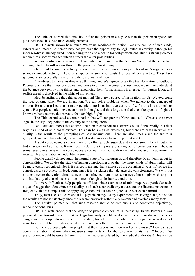The Thinker warned that one should fear the poison in a cup less than the poison in space, for poisoned space has even more deadly currents.

 283. Urusvati knows how much We value readiness for action. Activity can be of two kinds, external and internal. A person may not yet have the opportunity to begin external activity, although his inner resolve is already fixed upon seeking truth and a desire for self-perfectment. But his striving creates within him a sort of magnet, which attracts the outer possibilities.

 We are continuously in motion. Even when We remain in the Ashram We are at the same time moving into the far-off realms through the power of Our striving.

 One should know that activity is beneficial; however, amorphous particles of one's organism can seriously impede activity. There is a type of person who resists the idea of being active. These lazy specimens are especially harmful, and there are many of them.

 A readiness to move purifies one's thinking, and We rejoice to see this transformation of outlook. Possessions lose their hypnotic power and cease to burden the consciousness. People can then understand the balance between owning things and renouncing them. What remains is a respect for human labor, and selfish greed is dissolved in the whirl of movement.

 How beautiful are thoughts about motion! They are a source of inspiration for Us. We overcome the idea of time when We are in motion. We can solve problems when We adhere to the concept of motion. Be not surprised that in many people there is an intuitive desire to fly, for this is a sign of our epoch. But people should move even more in thought, and thus forge ahead of even the speediest flights. I know a valiant country that is ready for such high flights.

 The Thinker indicated a certain nation that will conquer the North and said, "Observe the seven signs in the sky; they point to the country of the conquerors."

 284. Urusvati knows that at times the human consciousness expresses itself abnormally in a dual way, as a kind of split consciousness. This can be a sign of obsession, but there are cases in which the duality is the result of the promptings of past incarnations. There are also times when the future is glimpsed, and as if hypnotized, the individual is drawn away from the present reality.

 A split consciousness occurs more often than people suspect, and cannot simply be attributed to bad character or bad habits. It often occurs during a temporary blacking out of consciousness, when, as some researchers believe, the consciousness comes in contact with waves of chaos and the abnormality results. This observation is undoubtedly sound.

 People usually do not study the normal state of consciousness, and therefore do not learn about its abnormalities. We advise the study of human consciousness, so that the many kinds of abnormality will be more easily recognized. Nor is it correct to assume that a disease of the organism always influences the consciousness adversely. Indeed, sometimes it is a sickness that elevates the consciousness. We will not now enumerate the varied circumstances that influence human consciousness, but simply wish to point out that duality of consciousness is a common, though undesirable, condition.

 It is very difficult to help people so afflicted since each state of mind requires a particular technique of suggestion. Sometimes the duality is of such a contradictory nature, and the fluctuations occur so frequently, that it is impossible to apply suggestion, which can be quite useless or even harmful.

 Truly, man needs to learn about his psychic energy. Many experiments are taking place, but so far the results are not satisfactory since the researchers work without any system and overlook many facts.

 The Thinker pointed out that such research should be continuous, and conducted objectively, without personal bias.

 285. Urusvati knows that the danger of psychic epidemics is increasing. In the Puranas it was predicted that toward the end of *Kali Yuga* humanity would be driven to acts of madness. It is very dangerous that people do not recognize this state, for while it is possible to cure a patient who does not resist treatment, if he struggles against it the beneficial effects of the medicine will be diminished.

 But how do you explain to people that their leaders and their teachers are insane? How can you convince a nation that immediate measures must be taken for the restoration of its health? Indeed, Our prescriptions would be quite different from the measures offered by the medical authorities! This will be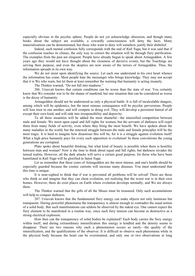especially obvious in the psychic sphere. People do not yet acknowledge obsession, and though many books about the subject are available, a cowardly consciousness will deny the facts. Many materializations can be demonstrated, but those who want to deny will somehow justify their disbelief.

 Indeed, such mental confusion fully corresponds with the end of *Kali Yuga*, but it was said that if the confusion reaches its climax, the only way to correct the situation will be through fiery purification. The examples from the past are eloquent. People have already begun to speak about Armageddon. A few years ago they would not have thought about the closeness of decisive events, but the Teachings are serving their purpose, and even the skeptics are now aware of the terrors of Armageddon. Thus, the information spreads in its own way.

 We do not insist upon identifying the source. Let each one understand in his own heart whence the information has come. Most people hate the messenger who brings knowledge. They may not accept that it is We who warn, but let them at least remember the warning that humanity is acting insanely.

The Thinker warned, "Do not fall into madness."

 286. Urusvati knows that certain conditions can be worse than the state of war. You certainly know that We consider war to be the shame of mankind, but one situation that can be considered as worse is the decay of humanity.

 Armageddon should not be understood as only a physical battle. It is full of incalculable dangers, among which will be epidemics, but the most ruinous consequence will be psychic perversions. People will lose trust in one another, and will compete in doing evil. They will develop a persistent hatred of all except their own kind, and will sink into irresponsibility and depravity.

 To all these insanities will be added the most shameful—the intensified competition between male and female. We insist upon equal and full rights for women, but the servants of darkness will expel them from many fields of activity, even where they bring the most benefit. We have spoken about the many maladies in the world, but the renewed struggle between the male and female principles will be the most tragic. It is hard to imagine how disastrous this will be, for it is a struggle against evolution itself! What a high price humanity pays for every such opposition to evolution! In these convulsions the young generations are corrupted.

 Plato spoke about beautiful thinking, but what kind of beauty is possible when there is hostility between man and woman? Now is the time to think about equal and full rights, but darkness invades the tensed realms. However, all the dark attacks will serve a certain good purpose, for those who have been humiliated in *Kali Yuga* will be glorified in *Satya Yuga*.

 Let us remember that these years of Armageddon are the most intense, and one's health should be especially guarded because the cosmic currents will increase many diseases. You must understand that this time is unique.

 It is near-sighted to think that if war is prevented all problems will be solved! There are those who think so and imagine that they can cheat evolution, not realizing that the worst war is in their own homes. However, there do exist places on Earth where evolution develops normally, and We are always there.

 The Thinker warned that the gifts of all the Muses must be treasured. Only such accumulations will help to conquer darkness.

 287. Urusvati knows that the fundamental fiery energy can make objects not only luminous but transparent. During powerful phenomena the transparency is almost enough to contradict the usual notion of a solid body. But such manifestations can seldom be observed by the naked eye. One cannot expect the fiery element to be manifested in a routine way, since such fiery tension can become as destructive as a strong electrical explosion.

 How then can the transparency of solid bodies be explained? Each body carries the fiery energy within itself, and during extraordinary intensification this energy is kindled and the density seems to disappear. There are two reasons why such a phenomenon occurs so rarely—the quality of the intensification, and the qualifications of the observer. It is difficult to observe such phenomena while in the physical body because the heart can be overstrained, and only one or two observations at long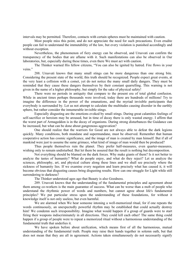intervals may be permitted. Therefore, contacts with certain spheres must be maintained with caution.

 Most people miss this point, and do not appreciate the need for such precautions. Even erudite people can fail to understand the immutability of the law, but every violation is punished accordingly and without exception.

 Nevertheless, the phenomenon of fiery energy can be observed, and Urusvati can confirm the transparency of the bodies that are aflame with it. Such manifestations can also be observed in Our laboratories, but, especially during these times, even there We must act with caution.

 The Thinker warned His fellow citizens, "You can also be ignited by hatred. Fire flows in your veins."

 288. Urusvati knows that many small stings can be more dangerous than one strong bite. Considering the present state of the world, this truth should be recognized. People expect great events, at the very least a collision with a comet, yet do not notice the many small daily dangers. They must be reminded that they cause these dangers themselves by their constant quarrelling. This warning is not given in the name of a higher philosophy, but simply for the sake of physical safety!

 There were no periods in antiquity that compare to the present era of total global confusion. While in ancient times perhaps thousands were involved, today there are hundreds of millions! Try to imagine the difference in the power of the emanations, and the myriad invisible participants that everybody is surrounded by. Let us not attempt to calculate the multitudes causing disorder in the earthly sphere, but rather consider the innumerable invisible stings.

 Especially disgusting are the emotions evoked by small stings. During great calamities feelings of self-sacrifice or heroism may be aroused, but in time of decay there is only wasted energy. I affirm that the worst part of Armageddon is in the decay of organisms. During strong disturbances the Guidance can be increased, but what can be done about gangrenous aggravation?

 One should realize that the warriors for Good are not always able to defeat the dark legions quickly. Many conditions, both mundane and supermundane, must be observed. Remember that human cooperative action has cosmic significance, and the image of man is created by man himself. But if all of mankind were just to assume the same grimace, what kind of image of man would then be produced?

 Thus people themselves ruin the planet. They prefer half-measures, even quarter-measures, wishing only to remain undisturbed. But let them be assured that the result is nothing but decomposition.

 Not everything should be blamed on the dark forces. Why make giants of them? Is it not better to analyze the tastes of humanity? What do people enjoy, and what do they reject? Let us analyze the sciences, philosophy, art, and physical culture along these lines and we shall see precisely where the sickness of humanity lies. If we examine every negation and learn precisely what has caused it, it will become obvious that disgusting causes bring disgusting results. How can one struggle for Light while still surrendering to darkness?

The Thinker understood ages ago that Beauty is also Goodness.

 289. Urusvati knows that the understanding of the fundamental principles and agreement about them among co-workers is the main guarantee of success. What can be worse than a mob of people who understand the rhythmic power of words and numbers, but cannot agree about life's fundamental principles? We put particular stress upon the understanding of these foundations, for without it knowledge itself is not only useless, but even harmful.

 We are alarmed when We hear someone intoning a well-memorized ritual, for if one repeats the words continuously, an unexpectedly powerful rhythm may be established that could actually destroy him! We condemn such irresponsibility. Imagine what would happen if a group of guards were to start firing their weapons indiscriminately in all directions. They could kill each other! The same thing could happen if a group of people were to repeat a memorized ritual without a harmonious understanding of the fundamental truth that underlies it.

 We have spoken before about unification, which means first of all the harmonious, mutual understanding of the fundamental truth. People may raise their hands together in solemn oath, but that does not mean that they are all in agreement. Actions taken simultaneously do not necessarily signify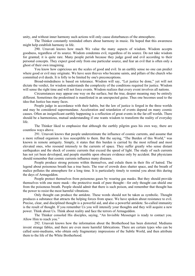unity, and without inner harmony such actions will only cause disturbances of the atmosphere.

 The Thinker constantly reminded others about harmony in music. He hoped that this awareness might help establish harmony in life.

 290. Urusvati knows how much We value the many aspects of wisdom. Wisdom accepts goodness, regardless of its source. Wisdom condemns evil, regardless of its source. Do not take wisdom for granted; it is quite rare. Many people perish because they judge good and evil according to their personal concepts. They expect good only from one particular source, and fear an evil that is often only a ghost of their own imagining.

 You know how capricious are the scales of good and evil. In an earthly sense no one can predict where good or evil may originate. We have seen thieves who became saints, and pillars of the church who committed evil deeds. It is folly to be limited by one's preconceptions.

 Broad-mindedness is based on tolerance. Wisdom will say, "Let justice be done," yet will not dictate the verdict, for wisdom understands the complexity of the conditions required for justice. Wisdom will sense the right time and will not force events. Wisdom realizes that every event involves all nations.

 Circumstances may appear one way on the surface, but the true, deeper meaning may be entirely different. Sometimes the predestined is manifested in an unexpected guise. Thus one becomes used to the idea that Justice has many faces.

 People judge in accordance with their habits, but the law of justice is forged in the three worlds and may be considered supermundane. Acceleration and retardation of events depend on many cosmic causes. Often an insignificant earthly happening is a reflection of great events in the far-off worlds. There should be a harmonious, mutual understanding if one wants wisdom to transform the reality of everyday life.

 The Thinker liked to emphasize that although the earthly pilgrim goes his own way, there are countless ways above.

 291. Urusvati knows that people underestimate the influence of cosmic currents, and assume that a more refined organism is less susceptible to them. But the saying, "The Burden of this World," was known in remote antiquity. Simply, it states that this burden is carried by the most refined and most elevated ones, who resound intensely to the currents of space. They suffer greatly who sense distant earthquakes and the shock of cosmic currents that exceed the speed of light. The study of such currents has not yet been developed, and people stumble upon obscure evidence only by accident. But physicians should remember that cosmic currents influence many diseases.

 People produce strong poisons within themselves, and exhale them in their fits of hatred. The legend about poisonous breath has a true basis. The roar of crowds does shatter space, and the breath of malice pollutes the atmosphere for a long time. It is particularly timely to remind you about this during the days of Armageddon.

 People protect themselves from poisonous gases by wearing gas masks. But they should provide themselves with one more mask—the protective mask of pure thought—for only thought can shield one from the poisonous breath. People should admit that there is such poison, and remember that thought has the power to resist the most harmful vibrations.

 Only thought can produce the antidote. These words should not be taken as symbolic. Thought produces a substance that attracts the helping forces from space. We have spoken about resistance to evil. Precise, clear, and disciplined thought is a powerful aid, and also a powerful antidote. So-called immunity is the result of thought. If you remember Us you will intensify your thoughts and they will acquire a new power. Think about Us. Think about reality and face the terrors of Armageddon.

 The Thinker consoled His disciples, saying, "An Invisible Messenger is ready to contact you. Allow Him to reach you."

 292. Urusvati knows how the information about the Brotherhood has been distorted. Mediums invent strange fables, and there are even more harmful fabrications. There are certain types who can be called semi-mediums, who obtain only fragmentary impressions of the Subtle World, and then attribute them to the life of the White Brotherhood.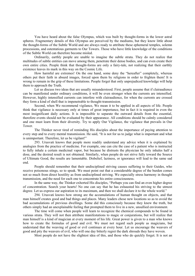You have heard about the false Olympus, which was built by thought-forms in the lower astral spheres. Fragmentary details of this Olympus are perceived by the mediums, but they know little about the thought-forms of the Subtle World and are always ready to attribute these ephemeral temples, solemn processions, and ostentatious garments to Our Towers. Those who have little knowledge of the conditions of the Subtle World can therefore become misled.

 Ordinarily, earthly people are unable to imagine the subtle strata. They do not realize that multitudes of subtle entities can move among them, penetrate their dense bodies, and can even create their own entire cities. People think that thought-forms are only a fairy-tale, not realizing that their earthly existence leaves its mark in this way on the Cosmic Life.

 How harmful are extremes! On the one hand, some deny the "hereafter" completely, whereas others put their faith in absurd images, forced upon them by religions in order to frighten them! It is wrong to remain in the grip of these limitations. People forget that only unprejudiced knowledge will help them to approach the Truth.

 Let us discuss two ideas that are usually misunderstood. First, people assume that if clairaudience can be manifested under ordinary conditions, it will be even stronger when the currents are intensified. However, highly intensified currents can interfere with clairaudience, for when the currents are crossed they form a kind of shell that is impenetrable to thought-transmission.

 Second, when We recommend vigilance, We mean it to be applied in all aspects of life. People think that vigilance is necessary only at times of great importance, but in fact it is required in even the most insignificant daily actions. It is impossible to separate the outward details from the essential, therefore events should not be evaluated by their appearance. All conditions should be calmly considered and one must learn from their diversity. Try to apply Our Vigilance, the vigilance that prevails in Our Tower.

 The Thinker never tired of reminding His disciples about the importance of paying attention to every step and to every mental transmission. He said, "It is not for us to judge what is important and what is unimportant. Therefore, let us be vigilant!"

 293. Urusvati knows that people more readily understand any advice when it is explained by analogies from the practice of medicine. For example, one can cite the case of a patient who is instructed to fully inhale a certain medicinal vapor, but because he distrusts the physician he only inhales half a dose, and the desired result is not obtained. Similarly, when people do not strive fully toward the Source of Ultimate Good, the results are lamentable. Disbelief, laziness, or ignorance will lead to the same sad end.

 People should remember that their undisciplined striving causes suffering to their Guides, who receive poisonous stings, so to speak. We must point out that a considerable degree of the burden comes not so much from direct hostility as from undisciplined striving. We especially stress harmony in thought transmission, and the need for each one to concentrate his entire consciousness.

 In the same way, the Thinker exhorted His disciples, "Perhaps you can find an even higher degree of concentration. Search your hearts! No one can say that he has exhausted his striving to the utmost degree. Let us express our aspiration to its maximum, and then we shall declare it to the whole world."

 294. Urusvati knows how strong are the accumulations of human thought on objects, and that man himself creates good and bad things and places. Many leaders chose new locations so as to avoid the bad accumulations of previous dwellings. Some did this consciously because they knew the truth, but others simply had an unexplainable feeling that prompted them to live in a new, unsullied environment.

 The time will come when people will learn to recognize the chemical compounds to be found in various strata. They will not then attribute manifestations to magic or conjurations, but will realize that man himself is a kind of magician at every moment of his life. Great power is given to a man who knows how to create the formulas of good and evil. We must not regard such people as magicians, but understand that the weaving of good or evil continues at every hour. Let us encourage the weavers of good and pity the weavers of evil, who will one day bitterly regret the dark shrouds they have woven.

Most people do not have the slightest idea of this, and those who do quickly forget. It is not an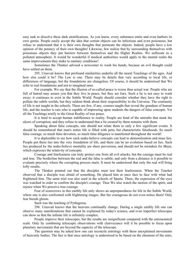easy task to dissolve these dark stratifications. As you know, every substance emits and even harbors its own germs. People easily accept the idea that certain objects can be infectious and even poisonous, but refuse to understand that it is their own thoughts that permeate the objects. Indeed, people have a low opinion of the potency of their own thoughts! Likewise, few realize that by surrounding themselves with poisonous objects they put barriers between themselves and the Higher Realms. We suffocate in a polluted atmosphere. It would be wonderful if medical authorities would apply to the mental realm the same improvements they make to sanitary conditions!

 Sometimes the Thinker advised a newcomer to wash his hands, because an evil thought could have settled on them.

 295. Urusvati knows that profound similarities underlie all the moral Teachings of the ages. And how else could it be? The Law is one. There may be details that vary according to local life, or differences of language, but the foundations are changeless. Of course, it should be understood that We refer to real foundations and not to imagined ones.

 For example, We say that the illusion of so-called peace is worse than actual war. People who are full of hatred may assure you that they live in peace, but they are liars. Such a lie is not easy to wash away; it continues to exist in the Subtle World. People should consider whether they have the right to pollute the subtle worlds, but they seldom think about their responsibility to the Universe. The continuity of life is not taught in the schools. There are few, if any, courses taught that reveal the grandeur of human life, and the teacher is rare who is capable of impressing upon students the dangers of false concepts. Yet all the Teachings testify to the Great Reality of true peace.

 It is hard to accept human indifference to reality. People are fond of the untruths that mask the ulcers of corruption, and they refuse to understand that a lie created by them remains with them.

 Speaking about false concepts, one should not relate them to only a few significant events. It should be remembered that man's entire life is filled with petty but characteristic falsehoods. So much false courage, so much false devotion, so much false diligence is manifested throughout the world!

 It is deplorable to see how such make-believe concepts can lead to demoralization and mass lies. People put these lies into the very foundation of life, and there can be no evolution based on lies. Such lies produced by the make-believe mentality are sheer perversion, and should not be mistaken for *Maya*, which expresses the relativity of concepts.

 Courage and fearlessness can truly protect one from all evil attacks, but the courage must be real and true. The borderline between the real and the false is subtle, and only from a distance is it possible to evaluate precisely where the corrupting process starts. It must be understood that only the real will bring lofty results.

 The Thinker pointed out that the disciples must test their fearlessness. When the Teacher observed that a disciple was afraid of something, He placed him at once face to face with what had frightened him. The same trial was also used in the schools of Sparta. There, the expression of the eyes was watched in order to confirm the disciple's courage. Thus We also watch the motion of the spirit, and rejoice when We perceive true courage.

 Fear of scarecrows in this earthly life only shows an unpreparedness for life in the Subtle World, where one is also confronted with frightening images. But the courageous do not even notice them! Only fear breeds ghosts.

Such was the teaching of Pythagoras.

 296. Urusvati knows that the heavens continually change. During a single earthly life one can observe many manifestations that cannot be explained by today's science, and even imperfect telescopes can show us that the infinite life is infinitely complex.

 People improve their telescopes, but the results are insignificant compared with the astronomical scale. Only by combining telescopic observations with clairvoyance will it be possible to focus upon planetary movements that are beyond the capacity of the telescope.

 The question may be asked how one can reconcile astrology with these unexplained movements of heavenly bodies. The fact is that once astrology is understood to be based on the chemism of the stars,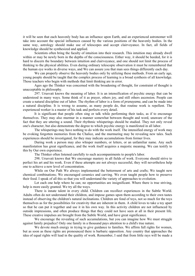it will be seen that each heavenly body has an influence upon Earth, and an experienced astronomer will take into account the special influences caused by the various positions of the heavenly bodies. In the same way, astrology should make use of telescopes and accept clairvoyance. In fact, all fields of knowledge should be synthesized and applied.

Scientists often bring the faculty of intuition into their research. This intuition may already dwell within or may be newly born in the depths of the consciousness. Either way, it should be heeded, for it is hard to discern the boundary between intuition and clairvoyance, and one should not limit the process of thinking to the physical abilities. Even during ordinary telescopic observation it must be remembered that the human eye works in diverse ways, and We can assure you that man sees things differently each day.

We can properly observe the heavenly bodies only by utilizing these methods. From an early age, young people should be taught that the complex process of learning is a broad synthesis of all knowledge. Those teachers who begin with methods that limit thinking are in error.

 Ages ago the Thinker was concerned with the broadening of thought, for constraint of thought is unacceptable in philosophy.

 297. Urusvati knows the meaning of labor. It is an intensification of psychic energy that can be understood in many ways. Some think of it as prayer, others joy, and still others ascension. People can create a natural discipline out of labor. The rhythm of labor is a form of *pranayama*, and can be made into a natural discipline. It is wrong to assume, as many people do, that routine work is repellent. The experienced worker is a master of his task and perfects every detail.

 It is significant that people often sing or talk while performing their tasks, as if to encourage themselves. They may also murmur in a manner somewhat between thought and word, unaware of the fact that they are uttering a sound. Their rhythmic whisperings should be studied. They not only reveal one's character, but also demonstrate the degree to which psychic energy is manifested in all labor.

 The whisperings may have nothing to do with the work itself. The intensified energy of work may be evoking forgotten memories from the Chalice, and the murmuring may be revealing new tales. Such experiences should be investigated, for they may indicate accumulations from former lives.

 During work a person may also whisper numbers, or letters, or an unfamiliar name. Any such manifestation has great significance, and the work itself acquires a majestic meaning. We can testify to this by Our own experience.

The Thinker often listened carefully to such accompaniments to people's labor.

 298. Urusvati knows that We encourage mastery in all fields of work. Everyone should strive to perfect his art and his work. Even if these attempts are not always successful, they will nevertheless help one to achieve a new level of concentration.

 While on Our Path We always implemented the betterment of arts and crafts; We taught new chemical combinations; We encouraged ceramics and carving. We even taught people how to preserve their food. I speak of all this so that you will understand the variety of approaches to evolution.

Let each one help where he can; no opportunities are insignificant. Where there is true striving, help is more easily granted. We try all the ways.

 There is innate talent in every child. Children can recollect experiences in the Subtle World. Adults often do not understand their children, and impose games upon them according to their own tastes instead of observing the children's natural inclinations. Children are fond of toys, not so much for the toys themselves as for the possibilities for creativity that are inherent in them. A child loves to take a toy apart so that he can put it together and use it in his own way. In this activity children are not influenced by outside impressions, and often produce things that they could not have seen at all in their present life. These creative impulses are brought from the Subtle World, and have great significance.

 We encourage the revealing of such accumulations, but you can imagine how We must struggle against family prejudice! Only one family in a thousand pays attention to a child's true nature.

We devote much energy in trying to give guidance to families. We affirm full rights for women, but as soon as these rights are pronounced there is barbaric opposition. Any country that approaches the idea of equal rights will lead in the quality of work. Remember, I said that from little rays will be made a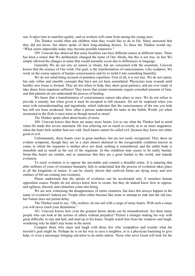sun. It takes time to manifest quality, and co-workers will come from among the young ones.

 The Thinker would often ask children what they would like to do in life. Many answered that they did not know, but others spoke of their long-standing desires. To those the Thinker would say, "What seems impossible today may become possible tomorrow."

 299. Urusvati has observed that some localities can have different names at different times. There has been a rumor that We deliberately changed the name of Our Abode, but this is not true. In fact We simply allowed the changes in name that would normally occur due to differences in language.

 Generally We do not rely on names or rituals, but are concerned with the essentials. Urusvati knows that the essence of Our work, Our goal, is the transformation of consciousness. Like sculptors, We work on the coarse aspects of human consciousness and try to mold it into something beautiful.

We do not mind being accused of pointless repetition. First of all, it is not true. We do not repeat, but only refine and ennoble concepts that have not yet been assimilated. Physicians treat wounds until healthy new tissue is formed. They do not refuse to help, they show great patience, and are ever ready to take abuse from impatient sufferers! They know that certain treatments require extended amounts of time, and that patients do not understand the process of healing.

 We know that a transformation of consciousness cannot take place at once. We do not refuse to provide a remedy, but when given it must be accepted in full measure. Do not be surprised when you meet with misunderstanding and ingratitude, which indicates that the consciousness of the one you help has still not been awakened. How often a person understands his tasks in the Subtle World, yet when incarnated in the flesh is once more as though turned to stone!

The Thinker spoke often about hearts of stone.

 300. Urusvati knows that there are many stony hearts. Let us see what the Thinker had in mind when He made this severe statement. He was referring not so much to cruelty as to an inner stagnation, when the heart feels neither heat nor cold. Such hearts cannot be called evil, because they know not either good or evil.

 Unfortunately, these hearts exist in great numbers, but are not easily recognized. They show no evident symptoms, though they are in a state almost identical to the recognizable condition known as coma, in which the organism is neither alive nor dead, nothing is remembered, and the subtle body is immobile and as numb as the rest of the organism. In this condition man ceases to be really human. Stone-like hearts are similar, and so numerous that they are a great burden to the world, and impede evolution.

 To resist evolution is to oppose the inevitable and commit a dreadful crime. It is amazing that after millions of years of existence humanity fails to understand that the process of evolution takes place in all the kingdoms of nature. It can be clearly shown that outlived forms are dying away and new outlines of life are coming into existence.

 Please understand that the spirals of evolution can be accelerated only if senseless human opposition ceases. People do not always know how to create, but they do indeed know how to oppose, and ugliness, discord, and calamities come into being.

 We are now witnessing the disappearance of entire countries, but does this always happen in the name of evolution? Indeed not. People often either become like stone or attempt to sink into the old ruts, but Nature does not permit delay.

 The Thinker used to say, "Oh, seafarer, do not sail with a cargo of stony hearts. With such a cargo you will never reach your destination."

 301. Urusvati knows how even the greatest heroic deeds can be misunderstood. Are there many people who can look at the actions of others without prejudice? Picture a stranger making his way with great difficulty in rain and hail, and mud up to his knees. People watch him from the windows and laugh, wondering why he didn't stay home in the storm.

 Compare those who sneer and laugh with those few who sympathize and wonder what the traveler's goal might be. Perhaps he is on his way to save a neighbor, or is a physician hastening to give help, or even a messenger bringing salvation to an entire nation. Those who serve Good will look for the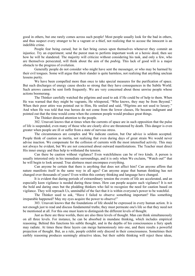good in others, but one rarely comes across such people! Most people usually look for the bad in others, and thus suspect every stranger to be a vagrant or a thief, not realizing that to accuse the innocent is an indelible crime.

 People fear being cursed, but in fact bring curses upon themselves whenever they commit an injustice. Try an experiment; send the purest man to perform important work or a heroic deed, then see how he will be slandered. The majority will criticize without considering his task, and only a few, who are themselves persecuted, will think about the aim of the *podvig.* This lack of good will is a major obstacle to the progress of evolution.

 Generally people do not consider who might have sent the messenger, or who may be harmed by their evil tongues. Some will argue that their slander is quite harmless, not realizing that anything unclean lessens purity.

 We have been compelled more than once to take special measures for the purification of space. But such discharges of energy cause shocks so strong that they have consequences in the Subtle World. Such arrows cannot be sent forth frequently. We are very concerned about those unwise people whose actions boomerang.

 The Thinker carefully watched the pilgrims and used to ask if He could be of help to them. When He was warned that they might be vagrants, He whispered, "Who knows, they may be from Beyond." When their poor attire was pointed out to Him, He smiled and said, "Pilgrims are not used to luxury." And when He was told that true heroes do not come from the lower classes, He became indignant and pointed out that the time would come when the common people would produce great things.

The Thinker directed attention to the people.

 302. Urusvati knows that at times when the currents of space are in such opposition that the pulse of life is suspended, even many of those who are clearly alive are threatened by death. This danger is even greater when people are ill or suffer from a state of nervous stress.

 The circumstances are complex and We indicate caution, but Our advice is seldom accepted. People think of caution as inertia, not realizing that even during days of great strain We would never advise inaction. We compensate for the collision of currents with the most intensified activity. This may not always be evident, but We are not concerned about outward manifestations. The Teacher must direct His inner energy and thus help to withstand the tension.

 Can there be caution without vigilance? Even watchfulness can be of two kinds. A person is usually interested only in his immediate surroundings, and it is only when We exclaim, "Watch out!" that he will begin to look around. True alertness must encompass everything.

 Can anyone be certain that there is anything that does not affect him? Can anyone affirm that nature manifests itself in the same way in all ages? Can anyone argue that human thinking has not changed over thousands of years? Even within this century thinking and language have changed.

 It is evident that during periods of extraordinary tension the events of life are accelerated, and an especially keen vigilance is needed during these times. How can people acquire such vigilance? It is not the bold and daring ones but the plodding thinkers who fail to recognize the need for caution based on vigilance. They will reproach Us, unmindful of the fact that it is within everyone's power to be watchful.

 The Thinker used to ask, "Have I failed to observe something important? Has something irreparable happened? May my eyes acquire the power to observe!"

 303. Urusvati knows that the foundations of life should be expressed in every human action. It is not enough just to read and discuss fundamental truths; they must permeate one's life so that they need not be mentioned at all. For this one must learn to distinguish the different levels of thought.

 Just as there are three worlds, there are also three levels of thought. Man can think simultaneously on all three levels. For instance, he can be absorbed in mundane thinking, which includes empirical reasoning. Behind this functions his subtle thought, and in the depths of his consciousness a fiery spark may radiate. At times these three layers can merge harmoniously into one, and there results a powerful projection of thought. But, as a rule, people exhibit only discord in their consciousness. Sometimes their earthly reasoning produces seemingly attractive ideas, but their subtle thinking will reject these ideas,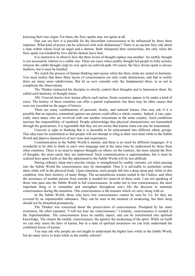knowing their true origin. For them, the fiery sparks may not ignite at all.

 One can see how it is possible for the discordant consciousness to be influenced by these three impulses. What kind of power can be achieved with such disharmony? There is an ancient fairy tale about a man within whom lived an angel and a demon. Both whispered their instructions, but only when the fiery spark was kindled by love did the demon leave him.

 It is instructive to observe how the three levels of thought replace one another. An earthly thought is not necessarily inferior to a subtle one. There are cases when earthly thought led people to lofty actions, whereas the subtle thought crept its way upon an outlived path. Of course, the fiery divine spark is always faultless, but it must be kindled.

 We watch the process of human thinking and rejoice when the three strata are united in harmony. You must realize that these three layers of consciousness are only crude distinctions, and that in reality there are many more subdivisions. But let us now consider only the fundamental three, so as not to complicate the observations.

 The Thinker instructed his disciples to strictly control their thoughts and to harmonize them. He called such harmony of thought music.

 304. Urusvati knows how karma affects each nation. Some countries appear to be under a kind of curse. The history of these countries can offer a partial explanation, but there may be other causes that were not recorded on the pages of history.

 There are many combinations of personal, family, and national karma. One may ask if it is possible that an injustice committed against one person could affect a whole country. Indeed, it can, especially since many who are involved with one another reincarnate in the same country. Such conditions increase the responsibility of mankind. People acknowledge that physical characteristics are transmitted through the generations; it is regrettable that they are not aware that karmic traits can also be transmitted.

 Urusvati is right in thinking that it is desirable to be reincarnated into different ethnic groups. This idea must be assimilated so that people will not attempt to cling to their own kind while in the Subtle World and deprive themselves of new tests and experiences.

 Communication in the Subtle World is mental, and there is no need for different languages. It is wonderful to be able to think in one's own language and at the same time be understood by those from other countries. There is no need to impress thoughts on others; on the contrary, the more natural the flow of thoughts, the more easily they are understood. Such communication is supermundane, but it must be realized here upon Earth so that the adjustment to the Subtle World will be less difficult.

 During ordinary sleep one's psychic energy is strengthened by earthly currents, yet when passing into the Subtle World the consciousness may be interrupted. Thus it is advisable to assimilate certain ideas while still in the physical body. Upon transition, most people fall into a deep sleep and, while in this condition, lose their memory of many things. The accumulations remain sealed in the Chalice, and often the assistance of another person from outside is needed for removal of these seals. I am not speaking of those who pass into the Subtle World in full consciousness. In order not to lose consciousness, the most important thing is to remember and strengthen throughout one's life the decision to maintain consciousness during the transition. This consciousness is the treasure which we carry along with us.

 In the Subtle World, those who have lost consciousness cannot be seen by Us, for they are covered by an impenetrable substance. They can be seen at the moment of awakening, but their sleep should not be disturbed prematurely.

 The Thinker was concerned about the preservation of consciousness. Prompted by his inner awareness, He often repeated, "I will not lose my consciousness." Certainly, consciousness is needed in the Supermundane. The consciousness loses its earthly aspect, and can be transformed into spiritual knowledge. The clearer the earthly consciousness, the quicker the awakening of the spirit. While on Earth we can only sense the laws of karma, but in a state of spiritual awareness we can truly understand the combined forces of karma.

 You may ask why people are not taught to understand the higher laws while in the Subtle World, but do many strive to learn while in the earthly schools?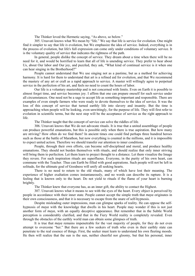The Thinker loved the Hermetic saying, "As above, so below."

 305. Urusvati knows what We mean by "life." We say that life is service for evolution. One might find it simpler to say that life *is* evolution, but We emphasize the idea of service. Indeed, everything is in the process of evolution, but life's full expression can come only under conditions of voluntary service. It is the voluntary quality of service that indicates the rightness of the path.

 In general, people dislike the concept of service. They dream about a time when there will be no need for it, and would be horrified to learn that all of life is unending service. They prefer to hear about Us, about Our labor and Our joy, and puzzled, they ask, "What kind of continual service is it when one can hear singing in the Brotherhood?"

 People cannot understand that We use singing not as a pastime, but as a method for achieving harmony. It is hard for them to understand that art is a refined aid for evolution, and that We recommend the mastery of any art or craft as a rapid approach to service. A master will willingly agree to perpetual service in the perfection of his art, and feels no need to count the hours of labor.

 Our life is a voluntary mastership and is not concerned with limits. Even on Earth it is possible to almost forget time, and service becomes joy. I affirm that one can prepare oneself for such service under all circumstances. One need not be a sage to accept life as something important and responsible. There are examples of even simple farmers who were ready to devote themselves to the idea of service. It was the loss of this concept of service that turned earthly life into slavery and insanity. But the time is approaching when people will be looking, even unwittingly, for the purpose of life. They will first refer to evolution in scientific terms, but the next step will be the acceptance of service as the right approach to life.

The Thinker taught that the concept of service can solve the riddles of life.

 306. Urusvati knows that We do not advocate rituals. It is true that a united assemblage of people can produce powerful emanations, but this is possible only when there is true aspiration. But how many are striving? How often do we find them? In ancient times one could find perhaps three hundred heroes such as those at the battle of Marathon, but now everything is counted in the millions, and it is impossible to expect united action. Therefore we should transfer our attention to inner conditions.

 People, through their own efforts, can become self-disciplined and moral, and produce healthy emanations. They should not burden themselves with rituals, and should realize that only inner striving will bring them to perfection. Let them learn to project thought to a distance. Let them visualize the Image they revere. For such inspiration rituals are superfluous. Everyone, in the purity of his own heart, can commune with the Teacher. Thus can Earth be filled with good aspirations. Such people will not be left in solitude, for the ultimate goal of Goodness will unify all seeking hearts.

 There is no need to return to the old rituals, many of which have lost their meaning. The experience of higher exaltation comes instantaneously, and no words can describe its rapture. It is a feeling that is known only to the heart. Do not yield to rituals if the flame of your heart is burning brightly.

The Thinker knew that everyone has, as an inner gift, the ability to contact the Highest.

 307. Urusvati knows what it means to see with the eyes of the heart. Every object is perceived by people in accordance with their inner state. People cannot accept the simple truth that *maya* originates in their own consciousness, and that it is necessary to escape from the snare of self-hypnosis.

 Despite misleading outer impressions, man can glimpse sparks of reality. He can oppose the selfhypnosis of *maya* with the knowledge that dwells in his heart. People may wonder if this is not just another form of *maya*, with an equally deceptive appearance. But remember that in the Subtle World perception is considerably clarified, and that in the Fiery World reality is completely revealed. Even through the obstacles of the earthly world man can obtain some glimpses of truth.

 It is true that *maya* remains impenetrable for the vast majority of people, for they do not even attempt to overcome "her." But there are a few seekers of truth who even in their earthly state can penetrate to the real essence of things. First, the seeker must learn to understand his own fleeting moods. He then will realize that the sun is the sun, neither cheerful nor gloomy, but that his personal, inner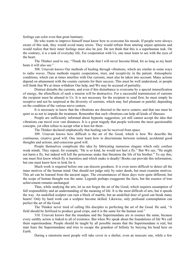feelings can color even that great luminary.

 He who wants to improve himself must know how to overcome his moods. If people were always aware of this task, they would avoid many errors. They would refrain from uttering unjust opinions and would realize that their inner feelings must also be just. Do not think that this is a superhuman task. On the contrary, it is a task of everyday life. For cooperation with Us, one must learn to see with the eyes of the heart.

 The Thinker used to say, "Thank the Gods that I will never become blind, for as long as my heart beats it will also see."

 308. Urusvati knows Our methods of healing through vibrations, which are similar in some ways to radio waves. These methods require cooperation, trust, and receptivity in the patient. Atmospheric conditions, which can at times interfere with Our currents, must also be taken into account. Many actions depend on attunement with the cosmic currents for their success. This must be well understood, or people will think that We at times withdraw Our help, and We may be accused of partiality.

 Distrust disturbs the currents, and even if this disturbance is overcome by a special intensification of energy, the aftereffects of such a tension will be destructive. For a successful transmission of currents the recipient must be attuned to Us. It is not necessary for the recipient to send first; he must simply be receptive and not be surprised at the diversity of currents, which may feel pleasant or painful, depending on the condition of the various nerve centers.

 It is necessary to know that the vibrations are directed to the nerve centers, and that one must be quiet so as not to impede the treatment. Remember that such vibrations can help all kinds of illnesses.

 People are sufficiently informed about hypnotic suggestion, yet still cannot accept the idea that vibrations can travel over vast distances. It is a great tragedy that people welcome the most questionable concepts, yet often refuse to accept what is best for them.

The Thinker declared emphatically that healing can be received from space.

 309. Urusvati knows how difficult is the art of the Good, which is how We describe the continuous, creative good will. One must learn how to discriminate between isolated, accidental good thoughts and actions, and conscious good will.

 People themselves complicate this idea by fabricating numerous slogans which only confuse weak minds. They repeat, for example, "He is so kind, he would not hurt a fly." But We say, "He might not harm a fly, but indeed will kill the poisonous snake that threatens the life of his brother." To say this, one must first know which fly is harmless and which snake is deadly! Books can provide this information, but one must know how to look for it.

 Much work is required before one can discern goodness. It is even more difficult to detect all the inner motives of the human mind. One should not judge only by outer deeds, but must examine motives. This art can be learned from the ancient sages. The circumstances of those days were quite different, but the scope of human thought was the same. Legends perhaps exaggerate the facts, but the essence of true achievement remains unchanged.

 Thus, while studying the arts, let us not forget the art of the Good, which requires assumption of full responsibility and an understanding of the meaning of life. It is the most difficult of arts, but it speeds the way. An unskilled sculptor can ruin a block of marble, but an unskilled doer of good can break many hearts! Only by hard work can a sculptor become skilled. Likewise, only profound contemplation can perfect the art of the Good.

 The Thinker never tired of calling His disciples to perfecting the art of the Good. He said, "A field should be fertilized to produce good crops, and it is the same for the human soul."

 310. Urusvati knows that the mundane and the Supermundane are in essence the same, because every earthly action is linked to all of existence. But when We speak about the foundations of life We call them supermundane. People should be taught by all possible means that the Supermundane is real, but man fears the Supermundane and tries to escape the grandeur of Infinity by burying his head here on Earth.

During a rainstorm most people will take cover in a shelter, even an insecure one, while a few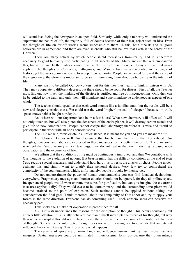will stand fast, facing the downpour in an open field. Similarly, while only a minority will understand the supermundane nature of life, the majority, full of doubts because of their fear, reject such an idea. Even the thought of life on far-off worlds seems impossible to them. In this, both atheists and religious believers are in agreement, and there are even scientists who still believe that Earth is the center of the Universe!

 There are many beliefs by which people shield themselves from reality, and it is therefore necessary to goad humanity into participating in all aspects of life. Many ancient thinkers emphasized this, but unfortunately their advice came down in the form of maxims which today are read, but never applied. The thoughts of Confucius, Pythagoras, and Marcus Aurelius are recorded in the pages of history, yet the average man is loathe to accept their authority. People are ashamed to reveal the cause of their ignorance, therefore it is important to persist in reminding them about participating in the totality of life.

 Many wish to be called Our co-workers, but for this they must learn to think in unison with Us. They may cooperate to different degrees, but there should be no room for distrust. First of all, the Teacher must find out how much the thinking of the disciple is purified and free of misconceptions. Only then can he be guided to the truth, and only then will mundane and Supermundane be understood as aspects of one whole.

 The teacher should speak so that each word sounds like a familiar truth, but the results will be a new and deeper consciousness. We could use the word "higher" instead of "deeper," because, in truth, space knows neither height nor depth.

 And where will our Supermundane be in a few hours? What new chemistry will affect us? It will not only touch us, but will also pierce the denseness of the entire planet. It will destroy certain metals and give life to new combinations. People cannot escape this laboratory; therefore it is wise and useful to participate in the work with all one's consciousness.

The Thinker said, "Participate in all of existence. It is meant for you and you are meant for it."

 311. Urusvati knows well Our discourses that touch upon the life of the Brotherhood. Our thoughts, concerns, and labors are expressed in these messages for the betterment of life. There are some who feel that We give only ethical teachings; they do not realize that each Teaching is based upon observation and the experience of life.

 We affirm that the conditions of life must be continuously improved, and thus We contribute with Our thoughts to the evolution of nations. But bear in mind that the difficult conditions at the end of *Kali Yuga* require special measures, and understand how hard it is to resist the attacks of chaos. People underestimate this and simply want to gratify their personal desires. Very few try to comprehend the complexity of the counterattacks, which, unfortunately, people provoke by themselves.

 Do not underestimate the power of human counterattacks; you can find fanatical declarations everywhere. Fragmentary messages and human outcries should not be ignored, for they all pollute space. Inexperienced people would want extreme measures for purification, but can you imagine these extreme measures applied daily? They would cease to be extraordinary, and the surrounding atmosphere would become strained to the point of explosion. Such methods cannot be applied without taking into consideration the final goal. Think, therefore, about the complexity of Our Labor and try to apply your forces in the same direction. Everyone can do something useful. Each consciousness can perceive the necessary path.

Thus spoke the Thinker, "Cooperation is predestined for all."

 312. Urusvati understands the reasons for the disruption of thought. This occurs constantly but attracts little attention. It is usually believed that man himself interrupts the thread of his thought, but why then is the interrupted thought not replaced by another? Instead there is a complete cessation of the train of thought. Sometimes the interrupted thought does not return, leading one to conclude that an external influence has driven it away. This is precisely what happens.

 The currents of space are of many kinds and influence human thinking much more than one imagines. Spatial messages could be assimilated in their original form, but because they often intrude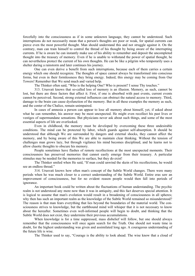forcefully into the consciousness as if in some unknown language, they cannot be understood. Such interruptions do not necessarily mean that a person's thoughts are poor or weak, for spatial currents can pierce even the most powerful thought. Man should understand this and not struggle against it. On the contrary, man can train himself to control the thread of his thought by being aware of the interrupting currents. If he is aware he can instantly make use of his ability to remember and deposit the uncompleted thought into the treasury of memory. Even if he is unable to withstand the power of spatial thought, he can nevertheless protect the current of his own thoughts. He can be like a pilgrim who temporarily uses a shelter during a rainstorm and later continues his journey.

 One can even derive a benefit from such interruptions, because each of them carries a certain energy which one should recognize. The thoughts of space cannot always be transformed into conscious forms, but even in their formlessness they bring energy. Indeed, this energy may be coming from Our Towers! Remember that We send much and varied help.

The Thinker often said, "Who is the helping One? Who is present? I sense Thy touches."

 313. Urusvati knows that so-called loss of memory is an illusion. Memory, as such, cannot be lost, but there are three factors that affect it. First, if one is absorbed with past events, current events cannot be perceived. Second, strong external influences can obstruct the natural access to memory. Third, damage to the brain can cause dysfunction of the memory. But in all these examples the memory as such, and the center of the Chalice, remain unimpaired.

 In cases of amnesia a person can appear to lose all memory about himself, yet, if asked about what he can remember, his answer may be most unexpected. He might even recollect his past lives or vestiges of supermundane sensations. But physicians never ask about such things, and some of the most essential aspects of life are overlooked.

 Even in childhood, the memory must be developed by overcoming these three undesirable conditions. The mind can be protected by labor, which guards against self-absorption. It should be understood that although We are surrounded by dangers and external shocks, they cannot affect the memory, and by being aware of this We are able to maintain clear thinking. Without the tension of challenges man grows lazy, but through vigilance his mind becomes disciplined, and he learns not to allow chaotic thoughts to obscure his memory.

 People sometimes have flashes of remote recollections at the most unexpected moments. Their consciousness has preserved memories that cannot easily emerge from their treasury. A particular stimulus may be needed for the memories to surface, but they do exist!

 The Thinker smiled when He said, "If man could unwind the skein of his recollections, he would see an endless thread."

 314. Urusvati knows how often man's concept of the Subtle World changes. There were many periods when he was much closer to a correct understanding of the Subtle World. Entire eras saw an improvement of consciousness, but for no evident reason people would then fall into periods of ignorance.

 An important book could be written about the fluctuations of human understanding. The psychic realm is not understood any more now than it was in antiquity, and this fact deserves special attention. It is logical to assume that man's evolution would result in a broadening of consciousness in all spheres; why then has such an important realm as the knowledge of the Subtle World remained so misunderstood? The reason is that man fears everything that lies beyond the boundaries of the material world. The consciousness strives to knowledge, but the earthbound mind will whisper that it is not necessary to know about the hereafter. Sometimes even well-informed people will begin to doubt, and thinking that the Subtle World does not exist, they undermine their previous accumulations.

 When knowledge is for a time suppressed, mass disbelief will follow, but one should always remember that the consciousness will once again search for the Truth. One should not waste time in doubt, for the highest understanding was given and assimilated long ago. A courageous understanding of the future life is wise.

The Thinker used to say, "Courage is the ability to look ahead. The wise know that a cloud of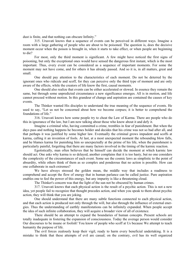dust is finite, and that nothing can obscure Infinity."

 315. Urusvati knows that a sequence of events can be perceived in different ways. Imagine a room with a large gathering of people who are about to be poisoned. The question is, does the decisive moment occur when the poison is brought in, when it starts to take effect, or when people are beginning to die?

 For most, only the third moment is significant. A few might have noticed the first signs of poisoning, but only the exceptional ones would have sensed the dangerous first instant, which is the most important. Thus, every event can be considered as a sequence of important moments. For some the moment may not have come, and for others it has already passed. And so it is, in all matters, great and small.

 One should pay attention to the characteristics of each moment. Do not be deterred by the ignorant ones who ridicule and scoff, for they can perceive only the third type of moment and are only aware of the effects, while the creators of life know the first, causal moments.

 One should also realize that events can be either accelerated or slowed. In essence they remain the same, but through some unpredicted circumstance a new significance emerges. All is in motion, and life cannot proceed without motion. In this grandeur of change and aspiration are contained the causes of key events.

 The Thinker wanted His disciples to understand the true meaning of the sequence of events. He used to say, "Let us not be concerned about how we become corpses; it is better to comprehend the foundations of life."

 316. Urusvati knows how some people try to cheat the Law of Karma. There are people who do this in ignorance of the law, but I am now talking about those who know about it and defy it.

 Imagine a criminal who, having committed a crime, trembles in fear of punishment. But when the days pass and nothing happens he becomes bolder and decides that his crime was not so bad after all, and that perhaps it was justified by some higher law. Eventually the criminal grows impudent and scoffs at karma, calling it an invention of fools. At last, at a most unexpected moment the rebounding blow falls, and he blames karma for punishing him so unexpectedly at the prime of his life, when the punishment is particularly painful, forgetting that there are many factors involved in the timing of the karmic reaction.

 Egotistically, man often believes that he himself can decide the moment at which karmic law should act. One asks why karma is so delayed, another complains that it is too hasty, but no one considers the complexity of the circumstances of each event. Some see the cosmic laws as simplistic to the point of absurdity, while others think of them as so complex and ponderous that no action is possible. How can one collaborate in such extremes?

 We have always stressed the golden mean, the middle way that includes a readiness to comprehend and accept the flow of energy that in human parlance can be called justice. Pure aspiration enables one to feel the power of this energy, but any impurity is like a threatening cloud.

The Thinker's concern was that the light of the sun not be obscured by human crimes.

 317. Urusvati knows that each physical action is the result of a psychic action. This is not a new idea, yet people fail to recognize that thought precedes action, and when you speak to them about psychic action, they will think that you are joking.

 One should understand that there are many subtle functions connected to each physical action, and that each action is produced not only through the will, but also through the influence of external energies. Thus the understanding of earthly manifestations can be infinitely expanded. When people accept the idea of such infinite collaboration, they will acquire a broader view of all of existence.

 There should be an attempt to expand the boundaries of human concepts. Present schools are totally inadequate in fostering the expansion of consciousness. Today the average person would consider Our discourses to be insane or foolish! You know of people who scoff at Us because We attempt to teach humanity the purpose of life.

 The evil forces zealously keep their vigil, ready to harm every beneficial undertaking. It is a mistake to think that these attempts of evil are casual; on the contrary, evil has its well organized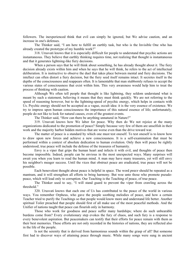followers. The inexperienced think that evil can simply be ignored, but We advise caution, and an increase in one's defenses.

 The Thinker said, "I am here to fulfill an earthly task, but who is the Invisible One who has already created the prototype of my humble work?"

 318. Urusvati knows that it is especially difficult for people to understand that psychic actions are instantaneous. They believe that earthly thinking requires time, not realizing that thought is instantaneous and that it generates lightning-like fiery decisions.

When a person says that he will think about something, he has already thought about it. The fiery decision already exists within him and when he says that he will think, he refers to the act of intellectual deliberation. It is instructive to observe the duel that takes place between mental and fiery decisions. The intellect can often distort a fiery decision, but the fiery seed itself remains intact. It secretes itself in the depths of the consciousness and reappears often. It is lamentable that man stubbornly refuses to accept the various states of consciousness that exist within him. This very awareness would help him to treat the process of thinking with caution.

 Although We often tell people that thought is like lightning, they seldom understand what is meant by such a statement, believing it means that they must think quickly. We are not referring to the speed of reasoning however, but to the lightning-speed of psychic energy, which helps in contacts with Us. Psychic energy should not be accepted as a vague, occult idea: it is the very essence of existence. We try to impress upon human consciousness the importance of this natural essence of life; unfortunately, people do not like to look for natural causes, even of the greatest events.

The Thinker said, "How can there be anything unnatural in Nature?"

 319. Urusvati knows how We labor for peace. Why then do We not rejoice at the many organizations dedicated to the promotion of peace? Simply because very few of them are unselfish in their work and the majority harbor hidden motives that are worse even than the drive toward war.

 The matter of peace is a standard by which one must test oneself. To test oneself is to know how to draw upon new forces and achieve a new consciousness. It is a self-examination that must be performed within a context of absolute dedication to human evolution. Only then will peace be rightly understood; true peace will include the defense of the treasures of humanity.

 Envy is a viper that grips the human heart and infects it with evil, and thoughts of peace then become impossible. Indeed, people can be envious in the most unexpected ways. Many surprises will await you when you learn to read the human mind. A man may have many treasures, yet will still envy his neighbor's meager success. Until the vices that obstruct peace are eradicated, true peace will not be possible.

 Each benevolent thought about peace is helpful in space. The word *peace* should be repeated as a mantram, and it will strengthen all efforts to bring harmony. But woe unto those who promote pseudopeace, which will lead only to corruption. Our Teaching is the Teaching of peace, of true peace.

 The Thinker used to say, "I will stand guard to prevent the viper from crawling across the threshold."

 320. Urusvati knows that each one of Us has contributed to the peace of the world in various ways. You remember Orpheus, who gave the people soothing melodies of peace, and how a certain Teacher tried to purify the Teachings so that people would know more and understand life better. Another spiritual Toiler preached that people should first of all make use of the most peaceful methods. And the Unifier of nations taught that peace can flourish only in harmony.

 Those who work for goodness and peace suffer many hardships; where do such unbearable burdens come from? Every evolutionary step evokes the fury of chaos, and such fury is a response to every benevolent aspiration. But peacemakers can testify that their efforts for peace remain with them as their best memories. These efforts are not only recorded in the histories of nations, they are reflected also in the life of the people.

 Is not the serenity that is derived from harmonious sounds within the grasp of all? But someone first had to discover ways of attaining peace through music. While many songs were sung in ancient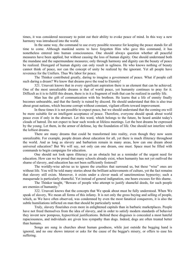times, it was considered necessary to point out their ability to evoke peace of mind. In this way a new harmony was introduced into the world.

 In the same way, the command to use every possible resource for keeping the peace stands for all time to come. Although mankind seems to have forgotten Him who gave this command, it has nonetheless entered into human consciousness. One should always question whether all peaceful measures have been applied, but without causing the loss of human dignity. One should understand both the mundane and the supermundane measures; only through harmony and dignity can the beauty of peace be realized. Disregard of human dignity can only result in ugliness. He who knows nothing of beauty cannot think of peace, nor can the concept of unity be realized by the ignorant. Yet all people have reverence for the Unifiers. Thus We labor for peace.

 The Thinker contributed greatly, daring to imagine a government of peace. What if people call such daring a dream? We know that dreams pave the road to Eternity!

 321. Urusvati knows that in every significant aspiration there is an element that can be achieved. One of the most unrealizable dreams is that of world peace, yet humanity continues to pray for it. Difficult as it is to fulfill this dream, there is in it a fragment of truth that can be realized in earthly life.

 Man has the gift of communication with his brethren. He learns that a life of enmity finally becomes unbearable, and that the family is ruined by discord. He should understand that this is also true about great nations, which become corrupt without constant, vigilant efforts toward improvement.

 In these times it is not possible to expect peace, but we should understand that the coming era will be more suitable for an intelligent acceptance of peace. Therefore, everyone should speak about world peace even if only in the abstract. Let this word, which belongs to the future, be heard amidst today's clouds of hatred. Do not expect to hear such words at lifeless meetings. Let the best dreams be expressed by the young. Let them, in the armor of defense, lay the foundation of life. One should not interfere with the loftiest dreams.

 There are many dreams that could be transformed into reality, even though they now seem unrealizable. For example, people dream about education for all, yet there is much illiteracy throughout the world. And as long as slavery and barbarism remain in many areas, how can one dream about universal education? But We will say, not only can one dream, one must. Space must be filled with commands to begin campaigns for education.

 One should not look upon illiteracy as an obstacle but as a reminder of the urgent need for education. How can we be proud that many schools already exist, when humanity has not yet outlived the shame of slavery, and education has not been sufficiently fostered?

 The worldly-wise advise us to ignore the cruelties that surround us, but these "wise" ones are without life. You will be told many stories about the brilliant achievements of culture, yet the fact remains that slavery still exists. Moreover, it exists under a clever mask of sanctimonious hypocrisy; such a masquerade is particularly shameful. Yet instead of general indignation, one hears excuses for this shame.

 The Thinker taught, "Beware of people who attempt to justify shameful deeds, for such people are enemies of humanity."

 322. Urusvati knows that the concepts that We speak about must be fully understood. When We speak of slavery, We mean all forms of this infamy. It is not only the gross buying and selling of people, which, as We have often observed, was condemned by even the most fanatical conquerors, it is also the subtle humiliations inflicted on man that should be particularly noted.

 Truly, slavery flourishes even more in enlightened capitals than in barbaric marketplaces. People have not freed themselves from the idea of slavery, and in order to satisfy modern standards of behavior they invent new pompous, hypocritical justifications. Behind these disguises is concealed a most hateful rapaciousness, and individuals are given less sympathy than dogs. Indeed, dogs are often treated better than humans.

 Songs are sung in churches about human goodness, while just outside the begging hand is ignored, and no one shows interest or asks for the cause of the beggar's misery, or offers to ease his suffering.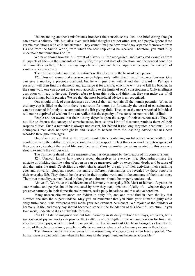Understanding another's misfortunes broadens the consciousness. Just one brief caring thought can create a salutary link, but, alas, even such brief thoughts are not often sent, and people ignore these karmic resolutions with cold indifference. They cannot imagine how much they separate themselves from Us and from the Subtle World, from which the best help could be received. Therefore, you must fully understand the foundations of life.

We have shown how the full extent of slavery is little recognized, and have cited examples from all aspects of life—in the standards of family life, the present state of education, and the general condition of humanity's welfare. These various aspects will provoke fierce argument because the concept of synthesis is not realized.

The Thinker pointed out that the nation's welfare begins in the heart of each person.

 323. Urusvati knows that a person can be helped only within the limits of his consciousness. One can give a monkey a precious diamond, but he will just play with it and then discard it. Perhaps a passerby will then find the diamond and exchange it for a knife, which he will use to kill his brother. In the same way, one can accept advice only according to the limits of one's consciousness. Only intelligent aspiration will lead to the goal. People refuse to learn this truth, and think that they can make use of all precious things, but in practice We see that the most beneficial advice is unrecognized.

 One should think of consciousness as a vessel that can contain all the human potential. When an ordinary cup is filled to the brim there is no room for more, but fortunately the vessel of consciousness can be stretched infinitely to accommodate the life-giving fluid. Thus, even the most wretched individual will not be deprived of wisdom if he can realize that the capacity of his consciousness is without limit.

 People are not aware that their destiny depends upon the scope of their consciousness. They do not like to discuss the concept of consciousness, because this kind of discourse reminds them of their responsibilities. Such a reminder is always unpleasant, for behind it rise long-forgotten phantoms. But a courageous man does not fear ghosts and is able to benefit from the inspiring advice that has been recorded throughout the ages.

 One may recollect that at the French court letters containing useful advice were written, but conditions were then difficult, and we should therefore respect the fact that even amid the extravagance of the court a voice about the useful life could be heard. Many calamities were thus averted. In this way one should examine the various eras.

The Thinker realized that the measure of man is determined by the breadth of his consciousness.

 324. Urusvati knows how people reveal themselves in everyday life. Biographers make the mistake of thinking that the value of a person can be measured only by exceptional deeds, and because of this they miss the truth. Celebrities are often characterized by the glory of their activities, their sparkling eyes and powerful, eloquent speech, but entirely different personalities are revealed by these people in their everyday life. They should be observed in their routine work and in the company of their near ones. Their true mentality, as manifested in thoughts and dreams, should be properly understood.

 Above all, We value the achievement of harmony in everyday life. Most of human life passes in such routine, and people should be evaluated by how they stand this test of daily life—whether they can preserve harmony in their domestic environment, resist petty irritations, and rise above boredom.

 Many unseen circumstances are hidden in daily life, and one must find in them the joy that elevates one into the Supermundane. May you all remember that you build your human dignity amid daily turbulence. This awareness will make your achievement permanent. We rejoice at the builders of harmony in life, and every day should become a stone in the foundation of this beautiful structure. If you love work, understand it as a substitute for time.

 Can Our Life be imagined without total harmony in its daily routine? Not days, not years, but a succession of joyous works can provide the exaltation and strength to live without concern for time. We also have other joys, which the toiler can partake in. The intensity of Our labor brings Us closer to the music of the spheres; ordinary people usually do not notice when such a harmony occurs in their labor.

 The Thinker taught that awareness of the resounding of space comes when least expected. "No human measure can determine when the harmony of the Supermundane becomes accessible."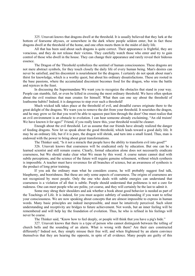325. Urusvati knows that dragons dwell at the threshold. It is usually believed that they lurk at the bottom of fearsome abysses, or somewhere in the dark where people seldom enter, but in fact these dragons dwell at the threshold of the home, and one often meets them in the midst of daily life.

 All that has been said about such dragons is quite correct. Their appearance is frightful, they are voracious, and they do not release their victims. They carefully watch those who enter and try to gain control of those who dwell in the house. They can change their appearance and rarely reveal their hideous essence.

 The Dragon of the Threshold symbolizes the sentinel of human consciousness. These dragons are not mere abstract symbols, for they touch closely the daily life of every human being. Man's desires can never be satisfied, and his discontent is nourishment for the dragons. I certainly do not speak about man's thirst for knowledge, which is a worthy quest, but about his ordinary dissatisfactions. These are rooted in the base passions, where the accumulated discontent becomes food for the dragon, who wins the battle and rejoices in the feast.

 In discussing the Supermundane We want you to recognize the obstacles that stand in your way. People can stumble, fall, or even be killed in crossing the most ordinary threshold. We have often spoken about the evil routines that man creates for himself. What then can one say about the threshold of loathsome habits? Indeed, it is dangerous to step over such a threshold!

 Much wicked talk takes place at the threshold of evil, and dreadful curses originate there to the great delight of the dragons. We warn you to remove the dirt from your threshold. It nourishes the dragon, and he may grow so fat that you won't be able to squeeze past him through the door! One must realize that an evil environment is an obstacle to evolution. I can hear someone already exclaiming, "An old truism! We have known it for ages!" Friend, if you really knew this, your threshold would be cleaner.

 Enough about the evil threshold. Let us assume that our friends have already realized the danger of feeding dragons. Now let us speak about the good threshold, which leads toward a good daily life. It may be an ordinary life, but if it is pure, the dragon will shrink, and turn into a small lizard. Thus, man is endowed with the power to bring about great transformations.

The Thinker said, "Is it not a miracle that people have the ability to transform evil into good?"

 326. Urusvati knows that coarseness will be eradicated only by education. But one can be a learned scientist and still remain coarse. Clearly, formal education alone does not necessarily eradicate coarseness, but We should make clear what We mean by this word. A coarse nature cannot deal with subtle perceptions, and the science of the future will require genuine refinement, without which synthesis is impossible. A teacher must have reverence for all branches of science, but an awareness of synthesis is the product of long prior training.

 If you ask the ordinary man what he considers coarse, he will probably suggest foul talk, blasphemy, and boorishness. But these are only some aspects of coarseness. The origins of coarseness are not recognized by most people. Only the one who deals with subtle energies can understand that coarseness is a violation of all that is subtle. People should understand that politeness is not a cure for rudeness. One can meet people who are polite, yet coarse, and they will certainly be the last to admit it.

 Some may shrug their shoulders and ask whether a book about good behavior is needed as part of the Teachings of Life. It is indeed, for you must acquire subtlety of understanding if you want to refine your consciousness. We are now speaking about concepts that are almost impossible to express in human words. Many basic principles are indeed inexpressible, and must be intuitively perceived. Such silent understanding and receptivity are bridges to future achievement. Not words, but an inner feeling will be remembered and will help lay the foundation of evolution. Thus, he who is refined in his feelings will never be coarse.

The Thinker said, "Know how to feel deeply, or people will think that you have a pig's hide."

 327. Urusvati knows that there is a type of person who cannot distinguish between the tolling of church bells and the sounding of an alarm. What is wrong with them? Are their ears constructed differently? Indeed not, they simply misuse their free will, and when frightened by an alarm convince themselves that they are hearing the opposite, in spite of all evidence. Many people are guilty of this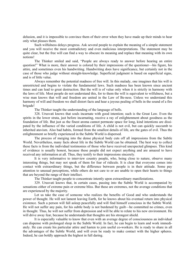delusion, and it is impossible to convince them of their error when they have made up their minds to hear only what pleases them.

 Such wilfulness delays progress. Ask several people to explain the meaning of a simple statement and you will receive the most contradictory and even malicious interpretations. The statement may be quite clear, but the free will can find a way to obscure its meaning and replace that meaning with its own notions!

 The Thinker smiled and said, "People are always ready to answer before hearing an entire question!" What is more, their answer is colored by their impressions of the questioner—his figure, his attire, and sometimes even his handwriting. Handwriting does have significance, but certainly not in the case of those who judge without straight-knowledge. Superficial judgment is based on superficial signs, and is of little value.

 Always remember the potential madness of free will. In this malady, one imagines that his will is unrestricted and begins to violate the fundamental laws. Such madness has been known since ancient times and can lead to great destruction. But the will is of value only when it is strictly in harmony with the laws of life. Most people do not understand this, for to them the will is equivalent to wilfulness, but a wise man knows that will and freedom are united in the Law of Be-ness. Unless we understand this harmony of will and freedom we shall distort facts and hear a joyous pealing of bells in the sound of a fire brigade!

The Thinker taught the understanding of the language of bells.

 328. Urusvati knows that souls incarnate with good intention; such is the Great Law. Even the spirits in the lower strata, just before incarnating, receive a ray of enlightenment about goodness as the foundation of life. But just as the finest aroma cannot permeate space for long, kind intentions are dissipated by the influence of the varied conditions of life. A child is not evil, but can quickly succumb to inherited atavism. Also bad habits, formed from the smallest details of life, are the gates of evil. Thus the enlightenment so briefly experienced in the Subtle World is dispersed.

 The process of merging into the dense physical body cuts off all impressions from the Subtle World. Nevertheless, many facts about life in the Subtle World can be obtained. The best way to collect these facts is from the individual testimonies of those who have received unexpected glimpses. This kind of evidence is usually honest, because these people did not expect anything and are amazed to have received any information at all. Thus, they testify to their impressions sincerely.

 It is very informative to interview country people, who, being close to nature, observe many interesting things, but may not speak of them for fear of ridicule. It is clear that everyone comes into contact with extraordinary things, but the difference between people is in their attitude. Some pay attention to unusual perceptions, while others do not care to or are unable to open their hearts to things that are beyond the range of their intellect.

The Thinker taught people to concentrate intently upon extraordinary manifestations.

 329. Urusvati knows that, in certain cases, passing into the Subtle World is accompanied by sensations either of extreme pain or extreme bliss. But these are extremes, not the average conditions that are experienced by the majority.

 Let us take the case of someone who realizes the benefits of Good and who understands the power of thought. He will not lament leaving Earth, for he knows about his eventual return into physical existence. Such a person will fall asleep peacefully and will find himself conscious in the Subtle World. He will not suffer any pain, for his subtle body is not burdened by guilt—he committed no crimes, even in thought. Thus, he will not suffer from depression and will be able to relate to his new environment. He will drive away fear, because he understands that thoughts are his strongest shield.

 It is especially valuable to know that even with an average degree of consciousness an individual can dispense with prolonged sleep in the Subtle World. In fact, he can begin to learn and work immediately. He can create his particular attire and hasten to join useful co-workers. He is ready to share in all the advantages of the Subtle World, and will even be ready to make contact with the higher spheres. Indeed, he can boldly approach the highest in full daring.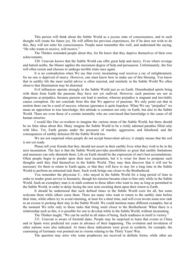This person will think about the Subtle World as a joyous state of consciousness, and in such thought will create his future joy. He will affirm his previous experiences, for if he does not wish to do this, they will not enter his consciousness. People must remember this well, and understand the saying, "He who wants to receive, will receive."

 The Thinker reminded people about this, for He knew that they deprive themselves of their own achievements.

 330. Urusvati knows that the Subtle World can offer great help and mercy. Even where revenge and hatred seethe, the Master applies the maximum degree of help and persuasion. Unfortunately, the free will often resists and chooses to undergo terrible trials once again.

 It is no contradiction when We say that every incarnating soul receives a ray of enlightenment, for no one is deprived of mercy. However, one must know how to make use of this blessing. You know that in earthly life the most useful advice is often rejected, and similarly in the Subtle World We often observe that illumination may be distorted.

 Evil influences operate strongly in the Subtle World just as on Earth. Disembodied spirits bring with them from Earth the passions they have not yet outlived. However, such passions are not as dangerous as prejudice, because passion can lead to motion, whereas prejudice is stagnant and inevitably causes corruption. Do not conclude from this that We approve of passions. We only point out that in motion there can be a seed of success, whereas ignorance is quite hopeless. When We say "prejudice" we mean an opposition to true knowledge; this attitude is common not only on Earth, but also in the Subtle World. There are even those of a certain mentality who are convinced that knowledge is the cause of all human miseries.

 I would like Our co-workers to imagine the various strata of the Subtle World, but there should be no false ideas about this. Many imagine the Subtle World to be a richly adorned paradise filled only with bliss. Yet, Earth groans under the pressures of murder, aggression, and falsehood, and the consequences of earthly delusion fill the Subtle World too.

 We are not surprised when people do not accept benevolent advice; it simply means that the soil is not yet ready.

 Please tell your friends that they should not assert in their earthly lives what they wish to be in the next incarnation. The fact is that the Subtle World provides possibilities so great that earthly limitations and measures can only diminish them. Life on Earth should be the expression of one's best accumulations. Often people begin to ponder upon their next incarnation, but it is wiser for them to postpone such thoughts until they find themselves in the Subtle World. They may then discover that it will not be necessary for them to return to Earth again, or that they will have to stay for a long time in the Subtle World to perform an entrusted task there. Such work brings one closer to the Brotherhood.

 You remember the physician U., who stayed in the Subtle World for a long period of time in order to render great service to humanity, though his mission became clear to him only while in the Subtle World. Such an exemplary man is in stark contrast to those idlers who want to stay as long as permitted in the Subtle World, in order to delay facing the new tests awaiting them upon their return to Earth.

 It should be understood that such defined times in the Subtle World exist for all, but some welcome them while others curse them. There are many who want to return to the earthly state before their time, while others try to avoid returning, at least for a short time, and will even invent some new task as an excuse to prolong their stay in the Subtle World. We could mention many different examples, but at the moment We refer only to those tasks that bring souls closer to the Brotherhood. When there is a relationship such as this, it is possible for one to develop while in the Subtle World, without incarnating.

The Thinker taught, "We can be useful in all states of being. Such readiness in itself is victory."

 331. Urusvati is aware of foretold dates. People may be surprised to learn that events in China and in Spain were predicted ten years in advance of their happening. The evolution and involution of other nations were also indicated. At times these indications were given in symbols; for example, the coarsening of Germany was pointed out in visions relating to the Thirty Years' War.

The question may arise why some prophecies are received in definite forms, while other are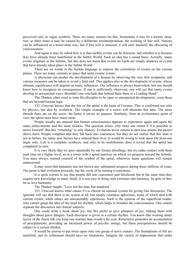perceived only in vague symbols. There are many reasons for this. Sometimes it may be a karmic situation, at other times it may be caused by a deliberate misinterpretation, the working of free will. Nations can be influenced in a benevolent way, but if free will is misused, it will only intensify the obscuring of consciousness.

 And again it may be asked how it is that earthly events can be foreseen, and whether it is because they have already been manifested in the Subtle World. Such an idea has a sound basis. Actually, many events originate in the Infinite, but this does not mean that events on Earth are simply shadows of events that have already taken place in the Subtle World.

 There are no words in the human language to express the correlation of events on the various planes. There are many currents in space that unite cosmic events.

 A physician can predict the development of a disease by observing the very first symptoms, and various measures can be taken to avoid a fatal end. This applies also in the development of events, whose ultimate significance will depend on many influences. Our influence is always benevolent, but one should know how to recognize its consequences. If one is sufficiently observant, one will see that many events develop in unexpected ways. Shouldn't one conclude that behind them there is a Leading Hand?

 The Thinker often tried to train His disciples to be open to unexpected developments, even those that are beyond human logic.

 332. Urusvati knows that the law of the spiral is the basis of Cosmos. This is confirmed not only by physics, but also by evolution. The simple example of a screw will illustrate this idea. The more threads there are on the screw, the better it serves its purpose. Similarly, from an evolutionary point of view the spiral must have many turns.

 People usually are amazed that human consciousness appears to experience again and again the same achievements and the same failures. The question arises, why must one return if it is possible to move forward? But this "returning" is only illusory. Evolution never returns to previous points, but passes above them. People complain that they fall back into coarseness, but they do not realize that this state is not as before, for many new factors have entered their lives. It would be wrong to look upon life from one angle only. Life is a complete synthesis, and only in its multiformity does it reveal that the spiral has completed its turn.

 It is very likely that we pass repeatedly by our former dwellings, but we make contact with them each time on a higher level, as in a tower with a spiral stairway on which we progress toward the Infinite. You must always remind yourself of the symbol of the spiral, otherwise many questions will remain unanswered.

 It may seem that humanity has not shown any substantial progress during these millions of years. The point is that evolution proceeds, but the circle of its turning is enormous.

 It is quite correct to say that people fall into coarseness and falsehood, but at the same time they acquire new knowledge in many fields. It is not easy to bring such extremes into harmony. In spite of this, let us love humanity.

The Thinker taught, "Love not the man, but mankind."

 333. Urusvati knows what causes Us to choose an unusual system for giving Our discourses. The ignorant will say that there is no system at all, but simply countless aphorisms, some of which deal with current events, while others are unreasonably repetitious. Such is the opinion of the superficial reader, who cannot grasp the idea of the need for rhythm, which helps to broaden the consciousness. One cannot separate the discourses into formal subjects.

 One could write a book about joy, but We prefer to give glimpses of joy, linking them with thoughts about grave dangers. Each discourse is given in a certain rhythm. You know that wearing many layers of the finest silk can keep one warmer than would a fur coat. Reiteration generates an accumulation of precipitations, providing an increased power of psychic energy, but these precipitations should be subject to a certain rhythm.

 It would be unwise to put stress upon only one group of nerve centers. The foundations of life are manifold, and its refinement should have no limitations. Imagine the variety of impressions that strike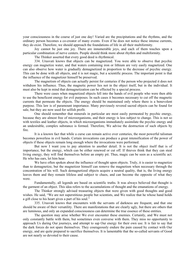your consciousness in the course of just one day! Varied are the precipitations and the rhythms, and the ordinary person becomes a co-creator of many events. Even if he does not notice these intense currents, they do exist. Therefore, we should approach the foundations of life in all their multiformity.

 Joy cannot be just one joy. There are innumerable joys, and each of them touches upon a particular combination of nerve centers. People should think more about rhythm and multiformity.

The Thinker asserted that every good deed is rhythmical.

 334. Urusvati knows that objects can be magnetized. You were able to observe that psychic energy can magnetize water, and that waters containing iron or lithium are very easily magnetized. One can also observe how water is gradually demagnetized in proportion to the decrease of psychic energy. This can be done with all objects, and it is not magic, but a scientific process. The important point is that the influence of the magnetizer himself be preserved.

 The magnetism of objects can actually persist for centuries if the person who projected it does not withdraw his influence. Thus, the magnetic power lies not in the object itself, but in the individual. It must also be kept in mind that demagnetization can be effected by a special process.

 There were cases when magnetized objects fell into the hands of evil people who were then able to use the beneficent energy for evil purposes. In such cases it becomes necessary to cut off the magnetic currents that permeate the objects. The energy should be maintained only where there is a benevolent purpose. This law is of paramount importance. Many previously revered sacred objects can be found for sale, but they are now used for selfish profit.

 One should remember that minerals in particular are most easily permeated by psychic energy, because they are almost free of microorganisms, and their energy is less subject to change. This is not so with textiles and leather objects, in which microorganisms immediately assimilate the psychic energy and an undesirable, complex substance is formed. Therefore, We advise the destruction of such objects by fire.

 It is a known fact that while a curse can remain active over centuries, the most powerful talisman becomes powerless in evil hands. Certain invocations can produce a great intensification of the power of objects if these objects remain long enough where the invocations were performed.

But now I want you to pay attention to another detail. It is not the object itself that is of importance, but the energy, which can be either renewed or cut off. If thieves think that they can steal living energy, they will find themselves before an empty pit. Thus, magic can be seen as a scientific act. He who has ears, let him hear.

 We have often spoken about the influence of thought upon objects. Truly, it is easier to magnetize than to demagnetize, but the magnetizer himself can remove the magnetism when necessary through the concentration of his will. Such demagnetized objects acquire a neutral quality, that is, the living energy leaves them and they remain lifeless and subject to chaos, and can become the opposite of what they were.

 Fundamentally, all legends are based on scientific truths. It was always believed that thought is the garment of an object. This idea refers to the accumulations of thought and the emanations of energy.

 The Thinker strongly advised treasuring objects that were given with good thoughts and good wishes. He said, "We are not superstitious people but scientists, and We realize that he whose hand holds a gift close to his heart gives a part of his soul."

 335. Urusvati knows that encounters with the servants of darkness are frequent, and that one should be aware of their versatility. There are manifestations that are clearly ugly, but there are others that are luminous, and only an expanded consciousness can determine the true essence of these entities.

 The question may arise whether We ever encounter these enemies. Certainly, and We must not only constantly battle with them, but sometimes even converse with them. They miss no opportunity to approach Us during Our journeys, and attempt to sap Our energy for their own use. It is fair to say that the dark forces do not spare themselves. They courageously endure the pain caused by contact with Our energy, and are quite prepared to sacrifice themselves. It is lamentable that the so-called servants of Good are not nearly so devoted to their cause.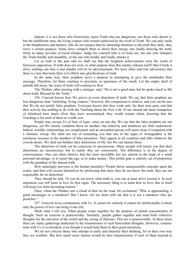Indeed, it is not those who ferociously reject Truth who are dangerous, nor those who distort it, but the indifferent ones, the living corpses who remain unmoved by the word of Truth. We can only smile at the blasphemers and deniers, who do not suspect that by attracting attention to the truth they deny, they serve a certain purpose. Some force compels them to direct their energy into loudly denying the truth, while so many servants of Good whisper. Judge for yourself who is of more use, the one who whispers the Truth timidly and inaudibly, or the one who boldly and loudly attacks it.

 Let us look to the past and we shall see that the brightest achievements were the result of ferocious opposition. If truth does not exist, to what purpose does this enemy exhaust itself? But if truth is alive, nothing can hurt it and slander will be its advertisement. We have often told Our adversaries that there is a law that turns their evil efforts into glorifications of truth.

 In the same way, false prophets serve a purpose in attempting to give the multitudes their message. Therefore, let them continue to proclaim, in ignorance of the result. Let the empty shell of untruth fall away; the water of truth will continue to flow.

 The Thinker, after meeting with a stranger, said, "He is not a good man, but he spoke much to Me about truth. Blessed be the Truth."

 336. Urusvati knows how We grieve at every distortion of truth. We say that false prophets are less dangerous than "unfeeling, living corpses;" however, this comparison is relative, and you can be sure that We do not justify false prophets. Everyone knows that they work only for their own gain, and that their activity has nothing to do with the Teaching about the New Life. If one should ask those trumpeters of falsehood how much silver they have accumulated, they would remain silent, knowing that the Teaching is for each of them as a milk cow.

 People may accuse Us of lack of logic, since on one day We say that the false prophets are not dangerous, yet We sternly condemn them on another; but relativity and antithesis are little understood. Indeed, worldly relationships are complicated, and an unwashed person will seem clean if compared with a chimney sweep. We shall not tire of reminding you that one of the signs of Armageddon is the enormous increase in the numbers of false preachers. They appear in all countries and offer whatever the crowds desire. We shall not belabor their distortions of life, but We can lament them.

 The distortion of truth can be conscious or unconscious. Many people will assure you that their distortions are unconscious, but in reality they act consciously. The difference is in the degree of consciousness. One can often observe that the most incredible lies are uttered in the hope of a small personal advantage, or to assert the ego, or to make money. This pitiful gain is entirely out of proportion with the grandeur of the abused truth.

 How amazingly perverse is the human mentality! People throw unmeasurable concepts upon the scales, and then will excuse themselves by professing that since they do not know the truth, they are not responsible for its distortion!

 They should be told, "If you do not know what truth is, you can at least strive toward it. In such aspiration you will learn to love its first signs. The necessary thing is to learn how to love; this in itself will keep you from becoming traitors."

 Once, when the Thinker saw a cloud of dust on the road, He exclaimed, "Who is approaching, a good messenger or a murderer? But I know, for my heart tells me that it is not a murderer who approaches."

 337. Urusvati loves communion with Us. It cannot be ordered, it cannot be intellectually evoked, only the power of love can bring it into life.

 Mark what I tell you. Often people come together for the purpose of united concentration of thought. Such an exercise is praiseworthy. Similarly, people gather together and send forth collective thoughts for the salvation of the world and the curing of illnesses. This too is praiseworthy. In these times there are many gatherings dedicated to the transmission of such benevolent thoughts. However, communion with Us is overlooked, even though it would help them in their good intentions.

We do not criticize those who attempt to unify and intensify their thinking, for in their own way they act worthily. But how much more intense would be their transmissions if each of them learned to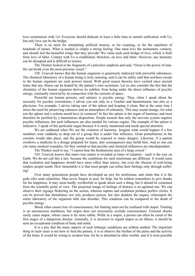love communion with Us! Everyone should dedicate at least a little time to mental unification with Us, but only love can be the bridge.

 There is no need for stimulating artificial tension, or for counting, or for the repetition of hundreds of names. What is needed is simply a strong feeling. One must love the momentary contacts, and should feel the beautiful wings that they provide! We value each such bridge of love, which is built from love of labor. Contact with Us is established, therefore, on love and labor. However, any harmony can be disrupted and is difficult to restore.

 The Thinker looked at the fragments of a priceless amphora and said, "Great is the power of man. He can break even the most precious vessel."

 338. Urusvati knows that the human organism is generously endowed with powerful substances. The chemical laboratory of a human being is truly amazing, and it can be safely said that nowhere except in the human organism are such powers stored. With good reason theories have existed since ancient times that any illness can be healed by the patient's own secretions. Let us also consider the fact that the chemistry of the human organism derives its subtlety from being under the direct influence of psychic energy, constantly renewed by its connection with the currents of space.

 Powerful are human poisons, and salutary is psychic energy. Thus, when I speak about the necessity for psychic correlations, I advise you not only as a Teacher and humanitarian, but also as a physician. For example, I advise taking care of the spleen and keeping it clean. But at the same time I stress the need for preserving calmness and an atmosphere of solemnity. This may sound strange, for what can the spleen and a solemn mood have in common? In fact the spleen is the organ of harmony and must therefore be purified by a harmonious disposition. People assume that only the nervous system requires psychic influences, but such influences are also needed for various organs. The example of the spleen is indicative. I speak of this particular organ because it is rarely mentioned and needs special attention.

 We are saddened when We see the violation of harmony. Imagine what would happen if a few members were suddenly to drop out of a group that is under Our influence. Great perturbations in the currents would take place, and the group would be exposed to many dangers. Likewise, if a patient swallows a medicine in a dosage prepared for many, dire consequences may befall him. And so one can cite many medical examples, for they remind us that psychic and chemical influences are interdependent.

The Thinker used to say, "I cannot bear the burdensome aura of a large crowd."

 339. Urusvati knows that man's true nature is revealed at times of calamity—such is the way on Earth. We do not call this a law, because the conditions for each misfortune are different. It would seem that exaltation and happiness should have more effect than misery, but even the illusion of well-being renders people numb. How lamentable it is that most people can refine their feelings only through suffering!

 Over many generations people have developed an awe for misfortune, and claim that it is the gods who send calamities. Man never forgets to pray for help, but he seldom remembers to give thanks for his happiness. It may seem hardly worthwhile to speak about such a thing, but it should be examined from the scientific point of view. The projected image of feelings of distress is an agitated one. We can observe their zigzags flickering on the screen, whereas rapture and exaltation produce perfect circles. It can be proved that disturbance not only produces poison, but also deadens the organs, whereupon the entire laboratory of the organism falls into disorder. This condition can be compared to the death of psychic energy.

 Shock often causes loss of consciousness, but fainting must not be confused with stupor. Fainting is an unconscious numbness, but stupor does not necessarily exclude consciousness. External shocks rarely cause stupor, whose cause is far more subtle. While in a stupor, a person can often be cured of the first stages of a dangerous disease. Generally, it is incorrect to regard stupor as an illness; it should be seen an exceptional condition of body and mind.

 It is a pity that the many aspects of such lethargic conditions are seldom studied. The important thing in such cases is not how to feed the patient, it is to observe the rhythm of the pulse and the activity of the brain. It would be wrong to awaken him, for he is absorbed in other worlds, and if it were possible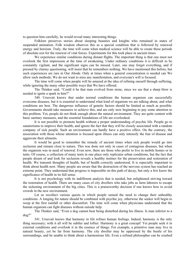to question him carefully, he would reveal many interesting things.

 Folklore preserves stories about sleeping beauties and knights who remained in states of suspended animation. Folk wisdom observes this as a special condition that is followed by renewed energy and heroism. Truly, the time will come when medical science will be able to create these periods of absolute rest for the renewal of vital forces. Experiments for this took place in ancient times.

 We experience similar conditions during distant flights. The important thing is that one must not overlook the first impression at the time of awakening. Under ordinary conditions it is difficult to be constantly vigilant, and the significant signs can be missed. Later, one may forget everything, and if pressed by clumsy questioning, will insist that he remembers nothing. We have mentioned this before, but such experiences are rare in Our Abode. Only at times when a general concentration is needed can We allow such methods; We do not want to miss any manifestation, and everyone's will is focused.

 The time will come when people will be amazed at the idea of refining oneself through suffering, while ignoring the many other possible ways that We have offered.

 The Thinker said, "Could it be that man evolved from stone, since we see that a sharp blow is needed to ignite a spark in him?"

 340. Urusvati knows that under normal conditions the human organism can successfully overcome diseases, but it is essential to understand what kind of organism we are talking about, and what conditions are best. The dangerous influence of genetic factors should be limited as much as possible. Governments should take measures to achieve this, and are only now beginning to pay some attention to this problem. Yet, people do not think enough about the natural environment. They are quite content with basic sanitary measures, and the essential foundations of life are overlooked.

 It is not possible to promote health without a proper understanding of psychic life. People go to sanatoriums to improve their health, and ignore the fact that they will be closely associated with a random company of sick people. Such an environment can hardly have a positive effect. On the contrary, the association with those whose attention is focused upon illness can only intensify the fear of disease and aggravate their ailments.

 It would be good to remember the remedy of ancient times when sick people would go into seclusion and remain close to nature. This was done not only in cases of contagious diseases, but when the organism was in need of renewal. Even now, there are those who prefer to live in mobile homes or in tents. Of course, a collection of many tents in one place only replicates urban conditions, but the fact that people dream of and look for seclusion reveals a healthy instinct for the preservation and restoration of health. We transmit thoughts of health, but of health correctly understood. It is especially important to think about health now. Many people are aware that the destruction of the nervous system has reached an extreme point. They understand that progress is impossible on this path of decay, but only a few know the significance of health in its full sense.

 It is not psychology with its indifferent analysis that is needed, but enlightened striving toward the restoration of health. There are many cases of city dwellers who take jobs as farm laborers to escape the sickening environment of the big cities. This is a praiseworthy decision if one knows how to avoid crowds in the new environment.

 Let us recollect various quests in which people sensed the need to change their unhealthy conditions. A longing for nature should be combined with psychic joy, otherwise the seeker will begin to weep at the first rainfall or other discomfort. The time will come when physicians understand that the human organism can fight diseases without outside help.

 The Thinker said, "Even a dog cannot bear being disturbed during his illness. Is man inferior to a dog?"

 341. Urusvati knows that harmony in life refines human feelings. Indeed, harmony is the only thing necessary; with it all will be subtler and loftier. Harmony is a great concept! Yet people seek it in external conditions and overlook it in the essence of things. For example, a primitive man may live in natural beauty, yet be far from harmony. The city dweller may be oppressed by the bustle of his surroundings, and be unable to think about a harmonious life. Even a refined philosopher can be crushed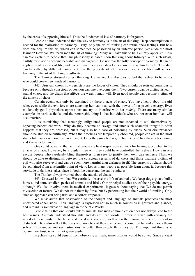by the cares of supporting himself. Thus the fundamental law of harmony is forgotten.

 People do not understand that the way to harmony is in the art of thinking. Deep contemplation is needed for the realization of harmony. Truly, only the art of thinking can refine one's feelings. But how does one acquire this art, which can sometimes be possessed by an illiterate person, yet elude the most learned? How can We teach man the art of thinking? Many will take this to be a clumsy aphorism. How can We explain to people that Our philosophy is based upon thinking about Infinity? With such ideals, earthly tribulations become bearable and manageable. Do not fear the lofty concept of harmony. It can be applied in all aspects of life, and every human being can develop a sense of it within himself. This state can be called by different names, yet it is the property of all. Everyone sooner or later will achieve harmony if the art of thinking is cultivated.

 The Thinker stressed correct thinking. He wanted His disciples to feel themselves to be artists who could create new kinds of harmony.

 342. Urusvati knows how persistent are the forces of chaos. They should be resisted consciously, because only through conscious opposition can one overcome them. Two currents can be distinguished spatial chaos, and the chaos that affects the weak human will. Even good people can become victims of the attacks of chaos.

 Certain events can only be explained by these attacks of chaos. You have heard about the girl who, even while the evil forces are attacking her, can heal with the power of her psychic energy. Even moderately good physicians oppose her and try to interfere with her *podvig*. There are many similar examples in various fields, and the remarkable thing is that individuals who are not even involved will also interfere.

 It is astonishing that seemingly enlightened people are not ashamed to soil themselves by opposing benevolent work. Why do they become so savage and utter such shameful things? It often happens that they are obsessed, but it may also be a case of poisoning by chaos. Such circumstances should be studied scientifically. When their feelings are temporarily obscured, people can act in the most shameful manner without even realizing it. Later they may feel regret, but the deed has already been done, and karma determined.

 One could object to the fact that people are held responsible unfairly for having succumbed to the attacks of chaos. However, by a vigilant free will they could have controlled themselves. How can one excuse people who carelessly blind themselves, then seek to justify their own carelessness? Thus, we should be able to distinguish between the conscious servants of darkness and those unaware victims of evil who also serve evil and can be even more harmful than darkness itself. The currents of chaos should be explained from a scientific point of view. Let as many people as possible learn about it, because this servitude to darkness takes place in both the dense and the subtle spheres.

The Thinker always warned about the attacks of chaos.

 343. Urusvati knows that We carefully observe the life of animals. We keep dogs, goats, bulls, horses, and some smaller species of animals and birds. Our principal studies are of their psychic energy, although We also involve them in medical experiments. It goes without saying that We do not permit vivisection or torture. We do not train them by force, but by penetrating into their world of thinking. Only such an approach can bring trust and a correct response.

 We must admit that observation of the thought and language of animals produces the most unexpected conclusions. Their language is expressed not so much in sounds as in gestures and glances, and remind us somewhat of language in the Subtle World.

 People think that one should talk to animals, but such communication does not always lead to the best results. Animals understand thoughts, and do not need words in order to grasp with certainty the mood of their master. The horse and the dog know very well when their owner is cheerful or sad or disturbed. They also reflect the fears and anxieties of their owner and become fearful and anxious themselves. They understand such situations far better than people think they do. The important thing is to obtain their trust, which is not given easily.

Psychiatrists could benefit from observing animals; many puzzles would be solved. Since ancient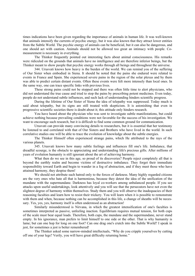times indications have been given regarding the importance of animals in human life. It was well-known that animals intensify the currents of psychic energy, but it was also known that they attract lower entities from the Subtle World. The psychic energy of animals can be beneficial, but it can also be dangerous, and one should act with caution. Animals should not be allowed too great an intimacy with people. Comeasurement is necessary in everything.

 The Thinker frequently pointed out interesting facts about animal consciousness. His remarks were ridiculed on the grounds that animals have no intelligence and are therefore inferior beings, but the Thinker meant to show people that psychic energy works through all beings and throughout the universe.

 344. Urusvati knows how heavy is the burden of the world. We can remind you of the suffering of Our Sister when embodied in Siena. It should be noted that the pains she endured were related to events in France and Spain. She experienced severe pains in the region of the solar plexus and by them was able to predict certain distant events. Often these events were felt more intensely than local ones. In the same way, one can trace specific links with previous lives.

 These strong pains could not be stopped and there was often little time to alert physicians, who did not understand the true cause and tried to stop the pains by prescribing potent medicines. Even today, people do not understand subtle influences, and such lack of understanding hinders scientific progress.

 During the lifetime of Our Sister of Siena the idea of telepathy was suppressed. Today much is said about telepathy, but its signs are still treated with skepticism. It is astonishing that even in progressive scientific societies there is doubt about it; this attitude only hinders research.

 You have heard about the physician who was sent to investigate subtle manifestations, but could achieve nothing because prevailing conditions were not favorable for the success of his investigation. We want to encourage such research, but it is difficult to find some common ground for communication.

 Urusvati can provide many convincing details to researchers, but it is essential that her testimony be listened to and correlated with that of Our Sisters and Brothers who have lived in the world. In such correlative studies one will be able to trace the evolution of knowledge about the subtle energies.

 The Thinker Himself often experienced strange pains, which He attributed to the rays of the various planets.

 345. Urusvati knows how many subtle feelings and influences fill one's life. Imbalance, that dreadful scourge, is the obstacle to appreciating and understanding life's precious gifts. After millions of years of evolution humanity is still ignorant about the art of achieving harmony.

 What then do we see in this age, so proud of its discoveries? People reject completely all that is beyond the earthly realm and become victims of destructive imbalance. They forget their immediate responsibility toward Earth and begin to wander in a fog of abstraction, and if they meet those who have attained harmony, they despise them!

We should not attribute such hatred only to the forces of darkness. Many highly regarded citizens are the very ones who hate all that is harmonious, because they detest the idea of the unification of the mundane with the supermundane. Darkness has loyal co-workers among unbalanced people. If you see attacks upon useful undertakings, look attentively and you will see that the persecutors have not even the slightest degree of harmony within themselves. Study them and you will observe the inadequacies of their reasoning faculties and learn how to resist their trickery. You will learn when it is possible to remonstrate with them and when, because nothing can be accomplished in this life, a change of sheaths will be necessary. Yes, yes, yes, harmony itself is often understood as an abstraction!

 Similarly misunderstood is Nirvana, in which the greatest intensification of one's faculties is sometimes interpreted as passive, unfeeling inaction. Equilibrium requires mutual tension, for both cups of the scale must bear equal loads. Therefore, both cups, the mundane and the supermundane, never stand empty. In his ignorance, man prefers to limit himself to one side or the other. That is why humanity is lame; but can one hop for long on one foot? Can one drag one's crutch into the Subtle World? I speak in jest, for sometimes a jest is better remembered!

 The Thinker asked some narrow-minded intellectuals, "Why do you cripple yourselves by cutting off one of your legs? Verily, you will have great difficulty returning home."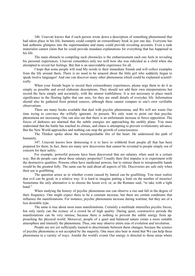346. Urusvati knows that if each person wrote down a description of something phenomenal that had taken place in his life, humanity could compile an extraordinary book in just one day. Everyone has had authentic glimpses into the supermundane and many could provide revealing accounts. Even a rank materialist cannot claim that he could provide mundane explanations for everything that has happened in his life.

 The main obstacle to compiling such chronicles is the embarrassment each one feels in revealing his personal experiences. Urusvati remembers only too well how she was ridiculed as a child when she attempted to reveal her feelings. But that is an unavoidable experience for all.

 I hope that some people will read My words to their immediate friends and will collect examples from the life around them. There is no need to be amazed about the little girl who suddenly began to speak twelve languages! And one can discover many other phenomena which could be explained scientifically.

When your friends begin to record their extraordinary experiences, please urge them to do it as simply as possible and avoid elaborate descriptions. They should not add their own interpretations but record the facts simply and accurately, with the utmost truthfulness. It is not necessary to place much significance in the fleeting lights that one sees, for they are small details of everyday life. Information should also be gathered from printed sources, although these cannot compare to one's own verifiable observations.

 There are many books available that deal with psychic phenomena, and We will not waste Our time trying to convince the wilfully ignorant. At present, We only want to point out that psychic phenomena are increasing. One can also see that there is an unfortunate increase in fierce opposition. The forces of darkness are alarmed that the subtle energies are approaching the earthly plane. You must understand that the battle has reached its climax, and chaos is attempting to prevent evolutionary advance. But the New World approaches and nothing can stop the growth of consciousness.

 The Thinker spoke about the inextinguishable fire of the heart. He understood the path of humanity.

 347. Urusvati knows how distressing it is to have to withhold from people all that has been prepared for them. In fact, there are many new discoveries that cannot be revealed to people simply out of concern for their safety.

 For example, powerful poisons have been discovered that are salutary when used in a certain way. But do people care about these salutary properties? Usually their first impulse is to experiment with the destructive qualities. Poisons often have medicinal powers, but to entrust them to irresponsible hands would be the greatest folly. The same can be said about all aspects of life. Discoveries are safe only when their use is goalfitting.

 The question arises as to whether events caused by hatred can be goalfitting. You must realize that evil can be good, in a relative way. It is hard to imagine putting a limit on the number of miseries! Sometimes the only alternative is to choose the lesser evil, or, as the Romans said, "to take with a light hand."

 When studying the history of psychic phenomena one can observe a rise and fall in the degree of their frequency. One might expect there to be a constant increase, but there are certain conditions that influence the manifestations. For instance, psychic phenomena increase during wartime, but they are of a less desirable type.

 The same is true about most mass manifestations. Certainly a multitude intensifies psychic forces, but only rarely can the ecstasy of a crowd be of high quality. During quiet, constructive periods the manifestations can be very intense, because there is nothing to prevent the subtle energy from approaching the physical world. Moreover, people of a quiet and balanced nature create a more suitable atmosphere and intensify the phenomena. Thus, one may observe entire eras of evolution and involution.

 People are not yet sufficiently trained to discriminate between these changes, because the science of psychic phenomena is not accepted by the majority. One must also bear in mind that We can help these phenomena in a variety of ways. Amidst the world's events Our energy is directed to those areas where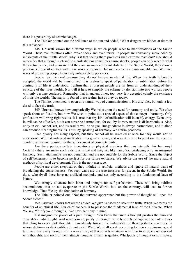there is a possibility of cosmic danger.

 The Thinker pointed out the brilliance of the sun and added, "What dangers are hidden at times in this radiance!"

 348. Urusvati knows the different ways in which people react to manifestations of the Subtle World. These manifestations often evoke shock and even terror. If people are constantly surrounded by inhabitants of the Subtle World, why is it that seeing them produces such extreme reactions? One should remember that although such subtle manifestations sometimes cause shocks, people can only react to what they actually see, and unaware that they are surrounded by inhabitants of the Subtle World, they show a pronounced fear of contact with these so-called ghosts. But such contacts are unavoidable, and We have ways of protecting people from truly unbearable experiences.

 People fear the dead because they do not believe in eternal life. When this truth is broadly accepted, the world will be transformed. It is useless to speak of purification or sublimation before the continuity of life is understood. I affirm that at present people are far from an understanding of the structure of the three worlds. Nor will it help to simplify the scheme by division into two worlds; people will only become confused. Remember that in ancient times, too, very few accepted calmly the existence of invisible worlds. The majority feared these realms just as they do today.

 The Thinker attempted to open this natural way of communication to His disciples, but only a few dared to face the truth.

 349. Urusvati knows how emphatically We insist upon the need for harmony and unity. We often speak about unification, but now We wish to point out a special aspect of this concept—harmony. Only unification will bring right results. It is true that any kind of unification will intensify energy. Even unity in evil can be effective, but it can never be harmonious, for evil by its very nature is disharmonious. Also, unity in evil cannot last, and its results will be vague. But goodness is always harmonious, and it alone can produce meaningful results. Thus, by speaking of harmony We affirm goodness.

 Each quality has many aspects, but they cannot all be revealed at once for they would not be understood. We first indicated unification in a general sense, and now it is time to point out the specific conditions that are required for the achievement of complete unity.

 Are there perhaps certain invocations or physical exercises that can intensify this harmony? Certainly there are many such aids, but in the end they act like narcotics, producing only an imagined harmony. Such attainments are not beneficial and are not suitable for the Subtle World. Since the object of self-betterment is to become perfect for our future existence, We advise the use of the more natural methods of spiritual development. This is the new message.

 People are either skeptical or they indulge in artificial methods and ignore all natural ways of broadening the consciousness. Yet such ways are the true treasures for ascent in the Subtle World, for those who dwell there have no artificial methods, and act only according to the fundamental laws of Nature.

 We strongly advocate both labor and thought for self-perfectment. These will bring sublime accumulations that do not evaporate in the Subtle World, but, on the contrary, will lead to further knowledge. Thus We lay the foundation of harmony.

 The Thinker pointed out, "Not the outward appearance but the power of thought will open the Sacred Gates."

 350. Urusvati knows that all the advice We give is based on scientific truth. When We stress the benefits of an ethical life, Our chief concern is to preserve the fundamental laws of the Universe. When We say, "Purify your thoughts," We have harmony in mind.

 Just imagine the power of a pure thought! You know that such a thought purifies the aura and emanates a radiant light. And what is more, purity of thought is the best defense against the dark entities that cling to every dark thought. I can already foresee the indignation of those pedantic scientists, in whose dictionaries dark entities do not exist! Well, We shall speak according to their consciousness, and tell them that every thought is in a way a magnet that attracts whatever is similar to it. Space is saturated with thoughts, and each of them attracts thoughts of similar quality. Whirlpools of thought exist in space,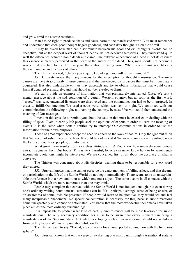and grow amid the cosmic rotations.

 Man has no right to produce chaos and cause harm to the manifested world. You must remember and understand that each good thought begets goodness, and each dark thought is a cradle of evil.

 It may be asked how man can discriminate between his good and evil thoughts. Words can be deceptive, but at the deepest level of thought people do not deceive themselves. They understand quite well the difference between noble deeds and crime. The outward appearance of a deed is not its essence: this essence is clearly perceived in the heart of the author of the deed. Thus, man should not become a sower of destructive forces. Let everyone think about creating good. When people think scientifically they will understand the laws of ethics.

The Thinker warned, "Unless you acquire knowledge, you will remain immoral."

 351. Urusvati knows the many reasons for the interruption of thought transmission. The main causes are the extraordinarily intense currents and the unexpected disturbances that must be immediately countered. But also undesirable entities may approach and try to obtain information that would cause harm if acquired prematurely, and that should not be revealed to them.

 We can provide an example of information that was prematurely interrupted. Once, We sent a mental message about the sad condition of a certain Western country, but as soon as the first word, "space," was sent, unwanted listeners were discovered and the communication had to be interrupted. In order to fulfill Our intention We used a code word, which was sent at night. We continued with our communication the following night, not naming the country, because Urusvati could then understand the meaning of Our message.

 I mention this episode to remind you about the caution that must be exercised in dealing with the filling of space. Even in earthly life people seek the opinions of experts in order to learn the meaning of events. It is the same when certain entities try to intercept Our communications in order to use the information for their own purposes.

 Those of great experience accept the need to adhere to the laws of nature. Only the ignorant think that We need not submit to cosmic laws. It would be sad indeed if We were to unnecessarily intrude upon the karma of countries, peoples, or individuals.

What great harm results from a careless attitude to life! You know how unwisely some people extract fragments from Our books. This is very harmful, for one can never know how or by whom such incomplete quotations might be interpreted. We are concerned first of all about the accuracy of what is conveyed.

 The Thinker was concerned about His disciples, wanting them to be responsible for every word they uttered.

 352. Urusvati knows that one cannot perceive the exact moment of falling asleep, and that dreams or participation in the life of the Subtle World do not begin immediately. There seems to be an unexplainable transference into a new condition to which one must adjust. The same occurs in all contacts with the Subtle World, which are more numerous than one may think.

 People may complain that contact with the Subtle World is not frequent enough, but even during one's ordinary waking hours unusual sensations can be felt—perhaps a strange sense of being absent, or an awareness of some invisible presence. If people would learn to be attentive, they would see and feel many inexplicable phenomena. No special concentration is necessary for this, because subtle reactions come unexpectedly and cannot be anticipated. You know that the most wonderful phenomena have taken place amidst the most ordinary surroundings.

 It is impossible to predict what kind of earthly circumstances will be most favorable for subtle manifestations. The only necessary condition for all is to be aware that every moment can bring a manifestation of the Supermundane. But while developing such an awareness one should not withdraw from earthly labors. We insist upon labor while on Earth.

 The Thinker used to say, "Friend, are you ready for an unexpected communion with the luminous sphere?"

353. Urusvati knows that on the verge of awakening one must pass through a transitional state in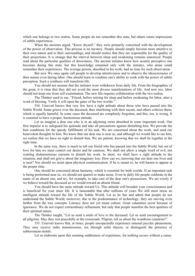which one belongs to two realms. Some people do not remember this state, but others retain impressions of subtle experiences.

When the ancients urged, "Know thyself," they were primarily concerned with the development of the power of observation. This process is no mystery. People should simply become more attentive to their own nature and to their surroundings, and should realize that they are responsible for the quality of their projections. It is strange that the interval between sleep and awakening remains unnoticed. People read about the particular qualities of drowsiness. The ancient initiates knew how acutely perceptive one becomes during this state, but this knowledge remained only with the initiates, who alone could remember their experiences. The average person, absorbed in his work, had no time for such observation.

 But now We once again call people to develop attentiveness and to observe the idiosyncrasies of their nature even during labor. One should learn to combine one's ability to work with the power of subtle perception. Such a synthesis will transform life.

 You should not assume that the initiates were withdrawn from daily life. From the biographies of the great, it is clear that they did not avoid the most diverse manifestations of life. And now too, labor should not keep one from self-examination. The new life requires collaboration with the two realms.

 The Thinker used to say, "Friend, before retiring for sleep and before awakening for labor, utter a word of blessing. Verily it will open the gates of the two worlds."

 354. Urusvati knows that very few have a right attitude about those who have passed into the Subtle World. Some grieve over the deceased, thus interfering with their ascent, and others criticize them, which is equally harmful. In some cases the deceased are completely forgotten, and this, too, is wrong. It is essential to have a proper, harmonious attitude.

 Let us imagine a dear one who is in an adjoining room absorbed in some important work. Our first impulse is to safeguard his quietude and take all precautions against disturbing him. We provide the best conditions for the speedy fulfillment of his task. We are concerned about the work, and send our benevolent thoughts to him. We know that our dear one is near us, and although we would like to see him, we realize that we have no right to disturb him. We are patient, knowing that we shall be together at the right time.

 In the same way, there is much to tell our friend who has passed into the Subtle World, but out of love for him we must control our desire and be cautious. We shall not allow a single word of evil, not wanting disharmonious currents to disturb his work. In short, we shall have a right attitude to the situation, and shall not grieve about the imaginary loss. How can we, knowing that our dear one lives and is near? Nor should we insist upon physical communication. If he is meant to, he will hasten to appear at the proper time.

 One should be concerned about harmony, which is essential for both worlds. If an important task is being performed near us, we should not quarrel or make noise. Even in daily life people celebrate in the name of an absent one, and try, for example, to take care of the dear one's possessions. We act wisely if we behave toward the deceased as we would toward an absent friend.

 You should have the same attitude toward Us. This attitude will broaden your consciousness and is beneficial for your inner life. It is lamentable that after millions of years We still must stress an intelligent attitude toward the life of the Subtle World. Let us be fair and admit that people do not understand the Subtle World; moreover, due to the predominance of technology, they are moving even farther from the true concepts. Literacy does not yet mean culture. Great calamities occur because of ignorance. We do not expect extraordinary refinement, but only that people manifest the best qualities of their spiritual nature.

 The Thinker taught, "Let us send a smile of love to the deceased. Let us send encouragement to all pilgrims. May they rest peacefully at the crossroads. Pilgrim, tell us about the wondrous countries!"

 355. Urusvati knows that, at times, people unexpectedly experience unusual psychic phenomena. They may receive radio transmissions, see through solid objects, or distinguish the presence of subterranean metals.

Let us elaborate upon this seeming suddenness of experience, for nothing occurs without a cause.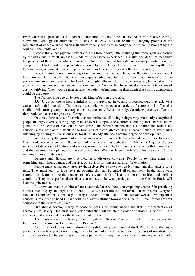Even when We speak about a "sudden illumination," it should be understood from a relative, earthly viewpoint. Although the illumination is sensed suddenly, it is the result of a lengthy process of the refinement of consciousness. Such refinement usually begins at an early age, or rather, is brought by the soul from the Subtle World.

 People think that psychic powers are gifts from above, little realizing that these gifts are earned by the individual himself amidst all kinds of burdensome experiences. Usually, one does not recognize the presence of these seeds, which are ready to blossom at the first favorable opportunity. Furthermore, no one points out to the toiler the possibilities earned by him. A vessel filled to the brim is easily spilled. In the same way, accumulated psychic powers can be suddenly manifested at the least prompting.

 People endure many humiliating situations and much self-doubt before they dare to speak about their powers. But the most difficult and incomprehensible potential for ordinary people to realize is their participation in cosmic events. The heart is strongly affected during such processes, but what earthly physician can understand the dangers of cosmic tension? As a rule, physicians do not even notice signs of cosmic suffering. They would rather accuse the patient of malingering than admit that cosmic disturbance could be the cause.

The Thinker long ago understood this kind of pain in the world.

 356. Urusvati knows how painful it is to participate in cosmic processes. One may ask what causes such painful tension. The answer is simple—when even a particle of ectoplasm is affected a medium will suffer greatly, but ectoplasm constitutes only the subtle body. Cosmic experiences affect the fiery body, and cause far greater suffering.

 One may further ask, if cosmic currents influence all living beings, why must only exceptional people undergo severe suffering? Again the answer is simple. These currents certainly influence the entire planet, but the degree of reaction to them varies, and when someone fills his Chalice and refines his consciousness, he places himself in the first rank of those affected. It is impossible then to avoid such suffering by altering his consciousness, for it has already attained a natural degree of development.

 Who can stop the growth of consciousness when it has reached a certain degree of development? One should not interfere with the actions of a hero who has dedicated his life to *podvig*, for the destruction of darkness is the dream of every spiritual warrior. The battle is the same on both the mundane and the supermundane planes. By the use of vibration We may lessen the tension, but the cosmic battle requires a universal defense.

 Defense and Nirvana are two mercilessly distorted concepts. People try to make them into something amorphous, vague, and passive, but such distortions are harmful for evolution.

 People must consciously prepare themselves for a state such as Nirvana, and this takes a long time. They must learn to love the state of mind that can be called all-containment. In the same way, people must learn to love the concept of defense, and think of it as the most intensified and vigilant condition. They must perfect themselves consciously, otherwise participation in the Cosmic Battle will become unbearable.

 But how can man train himself for austere defense without contemplating cosmos? In practicing defense man displays the highest self-denial. He acts not for himself, but for the far-off realms. Everyone can understand that it is not easy to forget oneself for the sake of the far-off worlds. An expanded consciousness must go hand in hand with a solicitous attitude toward one's health. Human forces are frail compared to the currents of space.

 One should develop clarity of consciousness. One should understand that in the protection of harmony lies Beauty. One must not allow doubts that will violate the order of harmony. Beautiful is the vigilance that knows and loves the treasures that it protects.

 The Thinker knew the beauty of such vigilance. He said, "We learn, not for ourselves, not for Earth, not for the sun, but for the invisible Realms."

 357. Urusvati knows how realistically a subtle entity can manifest itself. People think that such phenomena can take place only through the ectoplasm of a medium, but other processes of manifestation must be considered. These entities can also be perceived through the power of clairvoyance, which works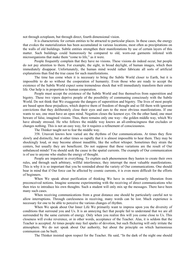not through ectoplasm, but through direct, fourth dimensional vision.

 It is characteristic for certain entities to be attracted to particular places. In these cases, the energy that evokes the materialization has been accumulated in various locations, most often as precipitations on the walls of old buildings. Subtle entities strengthen their manifestations by use of certain layers of this matter. Such buildings could humorously be compared to old, worn-out garments infested with microorganisms that make them "come to life," as it were.

 People frequently complain that they have no visions. These visions do indeed occur, but people do not pay attention to them. For example, the sight, in broad daylight, of human images, which then immediately disappear. Unfortunately, the human mind would rather fabricate all sorts of artificial explanations than find the true cause for such manifestations.

 The time has come when it is necessary to bring the Subtle World closer to Earth, but it is impossible to do so without the cooperation of humanity. Even those who are ready to accept the existence of the Subtle World expect some tremendous shock that will immediately transform their entire life. Our help is in proportion to human cooperation.

 People must accept the existence of the Subtle World and free themselves from superstition and bigotry. These two vipers deprive people of the possibility of communing consciously with the Subtle World. Do not think that We exaggerate the dangers of superstition and bigotry. The lives of most people are based upon these prejudices, which deprive them of freedom of thought and so fill them with ignorant convictions that they deliberately close their eyes and ears to the most obvious manifestations. If one wants to see, one must have an open mind. Negation closes the keenest eye. On the other hand, one must beware of false, imagined visions. Thus, there remains only one way—the golden middle way, which We have already stressed. He who follows the middle way knows an all-embracingness that excludes or changes nothing. This is not an easy way, for it requires a refinement of consciousness.

The Thinker taught not to fear the middle way.

 358. Urusvati knows how varied are the rhythms of Our communications. At times they flow slowly and distinctly, but at other times so rapidly that it is almost impossible to hear them. They may be shockingly loud, or may become almost inaudible, like the softest whisper. Sometimes they strain the centers, but usually they are beneficent. Do not suppose that these variations are the result of Our unbalanced minds! You should seek the cause in the spatial currents. The example of Our communication is of use to anyone who studies the energy of thought.

 People are impatient in everything. To explain each phenomenon they hasten to create their own rules, and through such arbitrary, willful interference, they interrupt the most valuable manifestations. This is why it is so important that you be reminded about the variety of Our communications. One should bear in mind that if Our force can be affected by cosmic currents, it is even more difficult for the efforts of beginners.

 When We speak about purification of thinking We have in mind primarily liberation from preconceived notions. Imagine someone experimenting with the receiving of direct communications who then tries to introduce his own thoughts. Such a student will only mix up the messages. There have been many such cases.

 When receiving communications from a great distance one should be particularly careful not to allow interruptions. Through carelessness in receiving, many words can be lost. Much experience is necessary for one to be able to perceive the various changes of rhythm.

 When We speak about Our Inner Life We primarily want to impress upon you the diversity of conditions that surround you and Us. It is an annoying fact that people fail to understand that we are all surrounded by the same currents of energy. Only when you realize this will you come close to Us. This closeness will evoke reverence, or in other words, acceptance of the Teacher. Alas, it is seldom that the Teacher is accepted. At times people may feel sparks of devotion, but such flickering will only irritate the atmosphere. We do not speak about Our authority, but about the principle on which harmonious communion can be built.

The Thinker insisted upon respect for the Teacher. He said, "In the dark of the night one should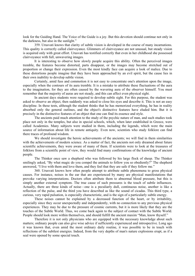look for the Guiding Hand. The Voice of the Guide is a joy. But this devotion should continue not only in the darkness, but also in the sunlight."

 359. Urusvati knows that clarity of subtle vision is developed in the course of many incarnations. This quality is correctly called clairvoyance. Glimmers of clairvoyance are not unusual, but steady vision is acquired only with great effort. Urusvati has testified correctly that even in her childhood she possessed clairvoyance with full, unwavering images.

 It is interesting to observe how slowly people acquire this ability. Often the perceived images tremble, the features become distorted, parts disappear, or the images may become stretched out of proportion or change their expression. Even the most kindly face can acquire a look of malice. Due to these distortions people imagine that they have been approached by an evil spirit, but the cause lies in their own inability to develop subtle vision.

 Certainly, amid fuss and commotion it is not easy to concentrate one's attention upon the image, especially when the contours of its aura tremble. It is a mistake to attribute these fluctuations of the aura to the imagination, for they are often caused by the wavering aura of the observer himself. You must remember that the majority of auras are not steady, and this can affect even physical sight.

 In ancient days students were required to develop subtle sight. For this purpose, the student was asked to observe an object, then suddenly was asked to close his eyes and describe it. This is not an easy discipline. In these tests, although the student thinks that he has memorized everything, he has in reality absorbed only the general outlines, and the object's distinctive features have eluded him. But it is precisely in the distinctive features of an object that one can find its essence and style.

 The ancients paid much attention to the study of the psychic nature of man, and such studies took place not only in the temples, but also in special schools, which, when later established in Greece, were called Academies. Many subjects were studied in them, including the legends, which were the main source of information about life in remote antiquity. Even now, scientists who study folklore can find there traces of profound wisdom.

 We should investigate the heroic achievements of the ancients; we will find in them similarities with the achievements of modern science. As a matter of fact, the ancients not only dreamed about future scientific achievements, they were aware of many of them. If scientists were to look at the treasures of folklore from a scientific point of view, they would find many confirmations of the knowledge of ancient people.

 The Thinker once saw a shepherd who was followed by his large flock of sheep. The Thinker smilingly asked, "By what magic do you compel the animals to follow you so obediently?" The shepherd answered, "I live with them and love them, and they feel that they are safe if they follow me."

 360. Urusvati knows how often people attempt to attribute subtle phenomena to gross physical causes. For instance, noises in the ear that are experienced by many are physical manifestations that provoke varying interpretations. Doctors often attribute them to abnormal blood pressure, but this is simply another external symptom. The true cause of such pressures is the touch of subtle influences. Actually, there are three kinds of noise—one is a peculiarly dull, continuous noise, another is like a reflection of the pulse, and the third you have described as like the sound of cicadas. This third type, a curious, very rapid pulsation, is especially characteristic, and is the sign of a particularly subtle energy.

 These noises cannot be explained by a decreased function of the heart, or by irritability, especially since they occur unexpectedly and independently, with no connection to any previous physical experiences. They may be due to the pressure of cosmic currents, but it is more likely that they are the touches of the Subtle World. Thus, we come back again to the subject of contact with the Subtle World. People should look more within themselves, and should fulfill the ancient maxim "Man, know thyself."

 Therefore it is not only physicians who are equipped with the necessary knowledge about such matters; ordinary people can also give wise advice if sufficiently experienced and introspective. Long ago it was known that, even amid the most ordinary daily routine, it was possible to be in touch with reflections of the subtlest energies. Indeed, from the very depths of man's nature explosions erupt, as if a seal were opened by some special touch.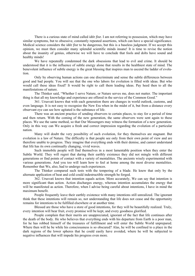There is a curious state of mind called *idée fixe*. I am not referring to possession, which may have similar symptoms, but to obsessive, constantly repeated assertions, which can have a special significance. Medical science considers the *idée fixe* to be dangerous, but this is a baseless judgment. If we accept this opinion, we must then consider many splendid scientific minds insane! It is time to revise the notion about the insanity of genius, otherwise we will have to conclude that fools and dolts have sound and healthy minds!

 We have repeatedly condemned the dark obsessions that lead to evil and crime. It should be understood that it is the influence of subtle energy alone that results in the healthiest state of mind. The benevolent influence of subtle energy is the great blessing that inspires man to ascend the ladder of evolution.

 Only by observing human actions can one discriminate and sense the subtle differences between good and bad people. You will see that the one who labors for evolution is filled with ideas. But who would call these ideas fixed? It would be right to call them leading ideas. Pay heed then to all the manifestations of nature.

 The Thinker said, "Whether I serve Nature, or Nature serves me, does not matter. The important thing is that all my knowledge and experience are offered in the service of the Common Good."

 361. Urusvati knows that with each generation there are changes in world outlook, customs, and even language. It is not easy to recognize the New Era when in the midst of it, but from a distance every observant eye can see how agitated is the substance of life.

 There was an ancient practice of sending observers to certain places, to stay for a period of time and then return. With the coming of the new generation, the same observers were sent again to these places. We use the same method, so that Our Messengers may witness the formation of a new generation. Only in this way can We acquire a fresh and correct impression regarding the evolution of a particular nation.

 Many will doubt the very possibility of such evolution, for they themselves are stagnant. But evolution is a law of Nature. The difficulty is that people see only from their own point of view and are therefore unable to progress. They imagine that everything ends with their demise, and cannot understand that life has its own continually changing, vivid waves.

 Such immobile people will find themselves in a most lamentable position when they enter the Subtle World. They will regret that during their earthly existence they did not mingle with different generations or find points of contact with a variety of mentalities. The ancients wisely experimented with various generations. And you too will learn how to feel at home among the most diverse mentalities. Remember that We, also, had to undergo such experiences.

 The Thinker compared such tests with the tempering of a blade. He knew that only by the alternate application of heat and cold could indestructible strength be forged.

 362. Urusvati knows that intention equals action. More accurately, We can say that intention is more significant than action. Action discharges energy, whereas intention accumulates the energy that will be manifested as action. Therefore, when I advise being careful about intentions, I have in mind the maximum benefit.

 People frequently leave their earthly existence with many intentions still unrealized. The ignorant think that these intentions will remain so, not understanding that life does not cease and the opportunity remains for intentions to be fulfilled elsewhere or at another time.

 Blessed are those who have a store of good intentions, for they will be beautifully realized. Truly, every intention will bear fruit, every promise will be kept, and every goodness glorified.

 People complain that their merits are unappreciated, ignorant of the fact that life continues after the death of the body. He who believes that everything ends with his departure from Earth is a poor man, for he has robbed himself of the treasures of fulfillment and will enter the Subtle World unprepared. Where then will he be while his consciousness is so obscured? Alas, he will be confined to a place in the dark regions of the lower spheres that he could easily have avoided, where he will be subjected to negative influences that will impede his progress even more.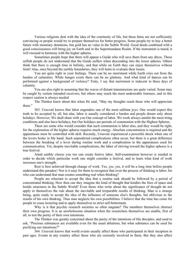Various religions deal with the idea of the continuity of life, but these hints are not sufficiently convincing or people would try to prepare themselves for better progress. Some people try to buy a better future with monetary donations, but gold has no value in the Subtle World. Good deeds combined with a good consciousness will bring joy on Earth and in the Supermundane Realm. If the instrument is tuned, it will resound in harmony with the higher spheres.

Sometimes people hope that there will appear a Guide who will save them from any abyss. These selfish people do not understand that the Guide suffers when descending into the lower spheres. Others think that there is enough time in Infinity, and that while on Earth they can enjoy themselves without limit! Alas, once beyond the earthly boundaries, they will learn to evaluate their losses.

 You are quite right in your feelings. There can be no merriment while Earth cries out from the burden of calamities. While hunger exists there can be no gluttony. And what kind of dances can be performed against a background of violence? Truly, I say that merriment is indecent in these days of calamity.

 You are also right in assuming that the waves of distant transmissions are quite varied. Some may be caught by certain intended receivers, but others may reach the most undesirable listeners, and in this respect caution is always needed.

 The Thinker knew about this when He said, "May my thoughts reach those who will appreciate them."

 363. Urusvati knows that labor engenders one of the most sublime joys. One would expect this truth to be accepted by all, but alas, labor is usually considered a burden and people dream only about holidays. However, We shall share with you Our concept of labor. We work always amidst the most tiring conditions and also have holidays, but Our holidays are periods of communion with the Highest Spheres.

 There are some who would consider that such communion is labor also, and they would be right, for the exploration of the higher spheres requires much energy. Absolute concentration is required and the apparatuses must be controlled with skill. Recently, Urusvati experienced a powerful shock when one of the levers broke in My hand. Such unpredicted complications often occur, but there is a great difference between the breaking of a lever during routine work and a complication in the apparatuses used for communication. Yet, despite inevitable complications, the labor of striving toward the higher spheres is a true festival.

 Amid earthly chores you too can create festive labor. Self-examination however is needed in order to decide which particular work one might consider a festival, and to learn what kind of work increases one's strength.

 Rest is best achieved through change of work. Yes, yes, yes, it will be a long time before people understand this paradox! Nor is it easy for them to recognize that even the process of thinking is labor, for who can understand that man creates something real when thinking?

 People are reluctant to accept the idea that a routine task should be followed by a period of concentrated thinking. How then can they imagine the kind of thought that kindles the fires of space and builds structures in the Subtle World? Even those who write about the significance of thought do not apply to themselves the rule about the inevitable and irreparable results of thinking. Man is a strange being, quite ready to accept the idea of the influence of someone else's thoughts, but oblivious to the results of his own thinking. Thus man neglects his own possibilities. I believe that the time has come for people to cease lecturing and to apply themselves to strict self-betterment.

 Why is it that psychic research societies so often stagnate? The members themselves obstruct their own progress. It is an unwholesome situation when the researchers themselves are unable, first of all, to test the purity of their own intentions.

 The Thinker was greatly concerned about the purity of the intentions of His disciples, and used to ask, "Precious substances are available even for the usual ablutions, but what substance can be used for purifying our intentions?"

 364. Urusvati knows that world events usually affect those who participated in their inception in past ages. Events in any country affect those who are currently involved in them. But they also affect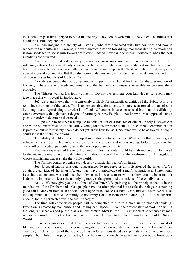those who, in past lives, helped to build the country. They, too, reverberate to the violent calamities that befall the nation they created.

 You can imagine the anxiety of Sister O., who was connected with two countries and now is witness to their suffering. Likewise, He who directed a nation toward righteousness during its revolution is now saddened to see it rush toward destruction. Indeed, how can one remain indifferent when the best intentions are thwarted?

 You also are filled with anxiety because you were once involved in work connected with the suffering nations. One can already witness the humiliating fate of one particular nation that could have been in a favorable position. Gradually the events are taking shape in the West, with its feverish campaign against ideas of community. But the false communitarians are even worse than those dreamers who think of themselves as founders of the New Era.

 Anxiety surrounds the nearby spheres, and special care should be taken for the preservation of harmony. These are unprecedented times, and the human consciousness is unable to perceive them properly.

 The Thinker warned His fellow citizens, "Do not overestimate your knowledge, for events may take place that will reveal its inadequacy."

 365. Urusvati knows that it is extremely difficult for materialized entities of the Subtle World to reproduce the sound of the voice. This is understandable, for an entity is more accustomed to transmission by thought, and reproducing the voice is difficult. Of course, in cases of special harmony this difficulty can be overcome, though such a degree of harmony is rare. People do not know how to approach subtle guests in order to determine their needs.

 It is possible to observe a complete materialization or a transfer of objects; rarely however can one witness a manifestation of the earthly voice, for it is far more difficult. True, mental communication is possible, but unfortunately people do not yet know how to use it. So much would be achieved if people could sense the subtle conditions.

 This ability should also be developed in relations between people. What a pity that so many good achievements are obstructed simply because of a lack of care and understanding. Indeed, great care for one another is needed, particularly amid the more oppressive currents.

 You have experienced the onrush of anguish. Such anxiety should be analyzed, and can be traced to the repercussions of world calamities. You should record them as the explosions of Armageddon, whose astonishing waves shake the whole world.

The Thinker could recognize such days by a particular beat of His heart.

 366. Urusvati knows that outer appearances do not serve as an indication of the inner life. To obtain a clear idea of the inner life, one must have a knowledge of a man's aspirations and intentions. Learning that someone was a philosopher, physician, king, or warrior will not show you the inner man; it is far more important to learn the underlying motives that prompted the actions of these individuals.

 And so We now give you the outlines of Our Inner Life, pointing out the principles that lie in the foundations of the Brotherhood. Alas, people have too often pictured Us as celestial beings, but nothing good can be derived from such an idea, for it appears to isolate Us from Earth. Indeed, when We discuss the Supermundane Realm We certainly do not imply isolation from Earth. After all, all of life is supermundane, for it is permeated with the subtle energies.

 The time will come when people will be compelled to turn to a more subtle mode of thinking. Evolution is created by man himself and nothing can impede it. Even the present state of evolution will in the long run serve a good purpose as a unique *tactica adversa*, for in his attachment to technology man will drive himself into such a dead end that no way will be open to him but to turn to the joy of the Subtle World.

 It has been prophesied that if man escapes the catastrophe he will turn toward the refinement of life, and the time will arrive for the coming together of the two worlds. Even now the time has come! For example, the densification of the subtle body is no longer considered as supernatural, and there are those people who, while in the physical body, know how to consciously release their subtle body. From both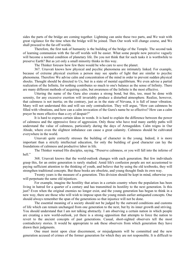sides the parts of the bridge are coming together. Lightning can unite these two parts, and We wait with great vigilance for the time when the bridge will be joined. Then Our work will change course, and We shall proceed to the far-off worlds.

 Therefore, the first task of humanity is the building of the bridge of the Temple. The second task of learning communion with the far-off worlds will be easier. What some people now perceive vaguely will become a normal condition of planetary life. Do you not think that for such tasks it is worthwhile to preserve Earth? But as yet only a small minority thinks in this way.

The Thinker foresaw how few there would be who care to save the planet.

 367. Urusvati knows how physical and psychic phenomena are intimately linked. For example, because of extreme physical exertion a person may see sparks of light that are similar to psychic phenomena. Therefore We advise calm and concentration of the mind in order to prevent sudden physical shocks. Thought should be directed to Us, but in a state of mental equilibrium. We even advise a partial realization of the Infinite, for nothing contributes so much to one's balance as the sense of Infinity. There are many different methods of acquiring calm, but awareness of the Infinite is the most effective.

 Uttering the name of the Guru also creates a strong bond, but this, too, must be done with serenity, for any excessive exertion will invariably produce a disturbed atmosphere. Realize, however, that calmness is not inertia; on the contrary, just as in the state of Nirvana, it is full of inner vibration. Many will not understand this and will see only contradiction. They will argue, "How can calmness be filled with vibrations, and how can a calm invocation of the Guru's name be so effective? How can a calm prayer be more effective than a cry of despair?"

 It is hard to express certain ideas in words. It is hard to explain the difference between the power of calmness and the oppressive force of aggression. Only those who have trod many earthly paths will understand the value of calmness, particularly during the days of Armageddon. Calm reigns in Our Abode, where even the slightest imbalance can cause a great calamity. Calmness should be cultivated everywhere in the world.

 Urusvati quite correctly stresses the building of character in the young. Indeed, it is more important than a strictly intellectual education, for only the building of good character can lay the foundations of calmness and productive labor in life.

 The Thinker warned His disciples, saying, "Preserve calmness, or you will fall into the inferno of hell."

 368. Urusvati knows that the world-outlook changes with each generation. But few individuals grasp this, for an entire generation is rarely studied. Amid life's confusion people are not accustomed to paying sufficient attention to the thinking of youth, and believe that by using the old textbooks, they will strengthen traditional concepts. But these books are obsolete, and young thought finds its own way.

 Twenty years is the measure of a generation. This division should be kept in mind, otherwise you will perpetuate the same old injustices.

 For example, imagine the hostility that arises in a certain country where the population has been living in hatred for a quarter of a century and has transmitted its hostility to the next generation. Is this just? Even when the original enemies no longer exist, and the young generation has begun to think in a new way, there are those who will wish to impose upon the young minds earlier antiquated concepts. One should always remember the span of the generations so that injustice will not be done.

 The essential meaning of a society should not be judged by the outward conditions and customs of life which can remain unchanged from one generation to the next, but by its inner growth and striving. You should understand that I am not talking abstractly. I am observing a certain nation in which people are creating a new world-outlook, yet there is a strong opposition that attempts to force the nation to revert to the ancient concepts of past generations. Casual, short-sighted observers tell the most contradictory stories. It would be appropriate to ask these observers from which generation they have drawn their judgments.

 One must insist upon clear discernment, or misjudgments will be committed and the new generation accused of crimes of the former generation for which they are not responsible. It is difficult to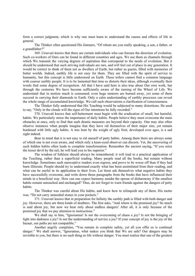form a correct judgment, which is why one must learn to understand the causes and effects of life in general.

 The Thinker often questioned His listeners, "Of whom are you really speaking, a son, a father, or a grandfather?"

 369. Urusvati knows that there are certain individuals who can foresee the direction of evolution. Such co-workers of Ours can be found in different countries and ages. We use them as channels through which We transmit the varying degrees of aspiration that correspond to the needs of evolution. But it should be understood that such striving individuals are rare, and will feel out of place in any generation. It would be correct to think of them not as dwellers of Earth, but rather as guests, filled with memories of better worlds. Indeed, earthly life is not easy for them. They are filled with the spirit of service to humanity, but this concept is little understood on Earth. These toilers cannot find a common language with coarser earthly people. It is to be lamented that time so distorts their ideas, although eventually their words find some degree of recognition. All that I have said here is also true about Our own work, but through the centuries We have become sufficiently aware of the turning of the Wheel of Life. We understand that in motion much is consumed; even huge meteors are burned away, yet some of them succeed in carrying their diamonds to Earth. Only a calm understanding of earthly processes can reveal the whole range of accumulated knowledge. We call such observations a clarification of consciousness.

 The Thinker fully understood that His Teaching would be subjected to many distortions. He used to say, "Only in the clouds will the signs of Our intentions be fully recorded."

 370. Urusvati knows that self-betterment must begin with the eradication of small, but harmful, habits. We particularly stress the importance of daily habits. People believe they must overcome the main obstacles at once, only to find that such drastic measures are beyond their capacity. One may also often observe instances when people imagine that they have rid themselves of their major sins, yet remain burdened with little ugly habits. A tree bent by the weight of ugly fruit, developed over ages, is a sad sight indeed.

 Bear in mind that it is not easy to rid oneself of petty habits. Among them there are always some of which one is not even aware, and which only a keen-eyed observer can discern. Yet, the uncovering of such hidden habits often leads to complete transformation. Remember the ancient saying, "If you seize the lesser devil by the tail, he will lead you to his superior."

 The wisdom of folklore should always be remembered; it will lead to a practical application of the Teaching, rather than a superficial reading. Many people read all the books, but remain without knowledge. Sometimes such unreceptive readers even regress, and prove to be worse off than if they had been illiterate. People should try to understand exactly what has been assimilated from their reading, and what can be useful in its application to their lives. Let them ask themselves what negative habits they have successfully overcome, and write down those paragraphs from the books that have influenced their minds in a beneficial way. How can one expect harmony amidst the uproar of disharmony if the smallest habits remain untouched and unchanged? Thus, do not forget to warn friends against the dangers of petty habits.

 The Thinker was careful about His habits, and knew how to relinquish any of them. His motto was, "Do not carry unneeded stones in your pockets."

 371. Urusvati knows that in preparation for Infinity the earthly path is filled with both danger and joy. However, there are three kinds of doubters. The first asks, "And where is the promised joy? So much is said about joy, but now we hear only about endless dangers! After all, it is only because of the promised joy that we pay attention to instructions."

 We shall say to him, "Ignoramus! Is not the overcoming of chaos a joy? Is not the bringing of light into darkness a joy? Is not the understanding of service a joy? If your concept of joy is the joy of the bazaar, our paths are not compatible."

 Another angrily complains, "You remain in complete safety, yet all you offer us is continual danger." We shall answer, "Ignoramus, what makes you think that We are safe? Our dangers may be invisible to you, but there is no such thing as life without danger. You must realize that one of the greatest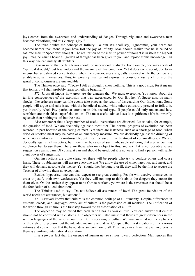joys comes from the awareness and understanding of danger. Through vigilance and awareness man becomes victorious, and this victory is joy!"

 The third doubts the concept of Infinity. To him We shall say, "Ignoramus, your heart has become harder than stone if you have lost the joy of Infinity. Man should realize that he is called to saturate Infinite Space with thought. The realization of the infinite power of thought is in itself the highest joy. Imagine what a beautiful garden of thought has been given to you, and rejoice at this knowledge." In this way one can nullify all doubters.

 Bear in mind that certain terms should be understood relatively. For example, one may speak of "spiritual drought," but few understand the meaning of this condition. Yet it does come about, due to an intense but unbalanced concentration, when the consciousness is greatly elevated while the centers are unable to adjust themselves. Thus, temporarily, man cannot express his consciousness. Such turns of the spiral of consciousness are unavoidable.

 The Thinker once said, "Today I felt as though I knew nothing. This is a good sign, for it means that tomorrow I shall probably learn something beautiful."

 372. Urusvati knows how great are the dangers that We must overcome. You know about the terrible consequences of the explosion that was experienced by Our Brother V. Space absorbs many shocks! Nevertheless many terrible events take place as the result of disregarding Our Indications. Some people will argue and take issue with the beneficial advice, while others outwardly pretend to follow it, yet inwardly rebel. Pay particular attention to this second type. If people could only understand how worthless are their false, superficial smiles! The most useful advice loses its significance if it is inwardly rejected; then nothing is left but the husk.

 Also remember that a large number of useful instructions are distorted. Let us take, for example, the question of food. We are decidedly against a meat diet. The normal progress of evolution has been retarded in part because of the eating of meat. Yet there are instances, such as a shortage of food, when dried or smoked meat may be eaten as an emergency measure. We are decidedly against the drinking of wine. As an intoxicant it is inadmissible, but it can be used in the treatment of certain illnesses. We are decidedly against all narcotics, but there may be cases of such unbearable suffering that a physician has no choice but to use them. There are those who may object to this, and ask if it is not possible to use suggestion against pain. Of course, it can and should be used, but it is not easy to find a person with sufficient power of suggestion.

 Our instructions are quite clear, yet there will be people who try to confuse others and cause harm. These troublemakers will assure everyone that We allow the use of wine, narcotics, and meat, and they will demand absolute abstinence. Yet, should they be hungry or ill, they will be the first to accuse the Teacher of allowing them no exceptions.

 Besides hypocrisy, one can also expect to see great cunning. People will deceive themselves in order to justify their own weaknesses. Yet they will not stop to think about the dangers they create for themselves. On the surface they appear to be Our co-workers, yet where is the reverence that should be at the foundation of all collaboration?

 The Thinker used to say, "Do not believe all assurances of love! The great foundation of the world needs not assurances, but actions."

 373. Urusvati knows that culture is the common heritage of all humanity. Despite differences in customs, creeds, and languages, every act of culture is the possession of all mankind. The unification of the world through culture is the first step toward the transformation of all life.

 The objection may be raised that each nation has its own culture. You can answer that culture should not be confused with customs. The objectors will also insist that there are great differences in the written languages of the various countries. But in speaking of culture We have in mind not the alphabets or the style of expression but the intended meaning and ideas. Compare the finest creations of the various nations and you will see that the basic ideas are common to all. Thus, We can affirm that even in diversity there is a unifying international aspiration.

It is a joyous fact that the essence of human nature strives toward perfection. Man ignores this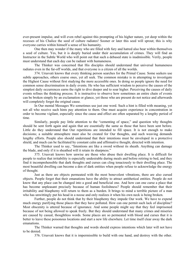ever-present impulse, and will even rebel against this prompting of his higher nature, yet deep within the recesses of his Chalice the seed of culture radiates! Sooner or later this seed will sprout; this is why everyone carries within himself a sense of his humanity.

 One then may wonder if the many who are filled with fury and hatred also bear within themselves a seed of culture. Yes, but it is deeply buried under their accumulation of crimes. They will find an Instructor in the Subtle World who will point out that such a debased state is inadmissible. Verily, people must understand that each day can be radiant with humaneness.

 The Thinker was concerned that His disciples should understand that universal humaneness radiates even in the far-off worlds, and that everyone is a citizen of all the worlds.

 374. Urusvati knows that every thinking person searches for the Primal Cause. Some seekers use subtle approaches, others coarse ones, yet all seek. The common mistake is in attempting to investigate the Highest Cause without first studying the more accessible ones. In doing so people ignore the need for common sense discrimination in daily events. He who has sufficient wisdom to perceive the causes of the simplest daily occurrences earns the right to dive deeper and to soar higher. Perceiving the causes of daily events refines the thinking process. It is instructive to observe how sometimes an entire chain of events can be broken simply by an exclamation or glance, yet those who are present do not notice and afterwards will completely forget the original cause.

 In Our mental Messages We sometimes use just one word. Such a hint is filled with meaning, yet not all who receive such hints pay attention to them. One must acquire experience in concentration in order to become vigilant, especially since the cause and effect are often separated by a lengthy period of time.

 Similarly, people pay little attention to the "cementing of space," and question why thoughts should be sent forth again and again that are essentially the same as those that have been sent before. Little do they understand that Our repetitions are intended to fill space. It is not enough to make decisions; a suitable atmosphere must also be created for Our thoughts, and such weaving demands lengthy efforts. People also should understand that their intentions must be enveloped in a protective shield, and much can be facilitated by constant calm and affirmative thought, directed with intention.

 The Thinker used to say, "Intentions are like a sword without its sheath. Anything can damage the blade, and only if it is sheathed will it retain its sharpness."

 375. Urusvati knows how unwise are those who abuse their dwelling place. It is difficult for people to realize that irritability is especially undesirable during meals and before retiring to bed, and they find it incomprehensible that dark thoughts and curses can cling tenaciously to their dwelling place. The most beautiful dwelling can become a den of dark entities when people refuse to acknowledge the energy of thought.

 Just as there are objects permeated with the most benevolent vibrations, there are also cursed objects. People forget that their emanations have the ability to attract antithetical entities. People do not know that any place can be changed into a good and beneficial one. And how can one curse a place that has become unpleasant precisely because of human foolishness? People should remember that their irritability and blasphemy will return to them as a burden. It brings to mind a terrible picture of a man who has unwittingly put his head in a noose and only realizes it when his own neck is being broken.

 Further, people do not think that by their blasphemy they impede Our work. We have to expend much energy purifying those places that they have polluted. How can one permit such lack of discipline? Most obscenity is uttered because of ignorance. And some people might say that they feel imprisoned because of not being allowed to speak freely. But they should understand that many crimes and miseries are caused by casual, thoughtless words. Some places are so permeated with blood and curses that it is better to leave these poisonous locations and start a new life elsewhere. Let time itself clear away the dark emanations.

 The Thinker warned that thoughts and words should express intentions which later will not have to be denied.

376. Urusvati knows that it is impermissible to build with one hand, and destroy with the other.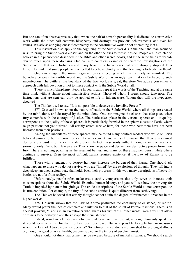But one can often observe precisely that, when one half of a man's personality is dedicated to constructive work while the other half commits blasphemy and destroys his previous achievements, and even his values. We advise applying oneself completely to the constructive work or not attempting it at all.

 This instruction also apply to the cognizing of the Subtle World. On the one hand man seems to wish to bring the Subtle World closer, and on the other he tries to thrust it aside. People are instructed to believe in the phenomena described in the Bible and other sacred books, and at the same time are forbidden to touch upon these domains. One can cite countless examples of scientific investigations of the Subtle World that were forbidden and many beautiful achievements that were abruptly stopped. It is terrible to think that some people are compelled to believe blindly, and that learning is forbidden to them!

 One can imagine the many negative forces impeding much that is ready to manifest. The boundary between the earthly world and the Subtle World has an ugly twist that can be traced to such imperfection. The battle at the boundary of the two worlds is great, therefore We advise you either to approach with full devotion or not to make contact with the Subtle World at all.

 There is much blasphemy. People hypocritically repeat the words of the Teaching and at the same time think without shame about inadmissible actions. Those of whom I speak should take note. The instructions that are sent can only be applied to life in full measure. Whom then will the hypocrites deceive?

The Thinker used to say, "It is not possible to deceive the Invisible Forces."

 377. Urusvati knows about the nature of battle in the Subtle World, where all things are created by the mind alone, and destroyed by the mind alone. One can imagine the clashes that take place when fury contends with the courage of justice. The battle takes place in the various spheres and its quality corresponds to the quality of those spheres. It is particularly frenzied in the sphere closest to Earth, where reign passions not yet outlived. All earthly errors survive here, for those who bear them have not been liberated from their passions.

 Among the inhabitants of these spheres may be found many political leaders who while on Earth believed power to be the crown of earthly achievement, and are still unaware that their unrestrained desires are a burden to the earthly atmosphere. In fact, these souls without harmony are ever ready to storm not only Earth, but Heaven also. They know no peace and derive their destructive power from their fury. There is nothing puzzling in the resultant battles, and many of these madmen perish while others continue to survive. Even the most difficult karma requires existence, if the Law of Karma is to be fulfilled.

 Those with a tendency to destroy harmony increase the burden of their karma. One should ask what happens to those who do not survive, who are "killed" by the explosions of thought. They fall into a deep sleep, an unconscious state that holds back their progress. In this way many descriptions of heavenly battles are not far from reality.

 Unfortunately, people often make crude earthly comparisons that only serve to increase their misconceptions about the Subtle World. Examine human history, and you will see how the striving for Truth is impeded by human imaginings. The crude descriptions of the Subtle World do not correspond to its true condition. For example, the fury of the subtle entities is quite different from earthly rage.

 The Thinker believed that earthly thought cannot attain the degree of refinement it reaches in the higher worlds.

 378. Urusvati knows that the Law of Karma postulates the continuity of existence, or rebirth. Many would prefer the idea of complete annihilation to that of the spiral of karmic reactions. There is an ancient proverb, "Karma is an executioner who guards his victim." In other words, karma will not allow criminals to be destroyed and thus escape their punishment.

 Indeed, sometimes terrible and obvious evildoers continue to exist, although, humanly speaking, it would seem only just for them to have been destroyed. But is it possible to apply human measures where the Law of Absolute Justice operates? Sometimes the evildoers are punished by prolonged illness or, though in good physical health, become subject to the terrors of psychic unrest.

One should not think that crime may be excused because of mental imbalance. We should search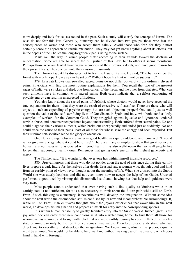more deeply and look for causes rooted in the past. Such a study will clarify the concept of karma. The wise do not fear this law. Generally, humanity can be divided into two groups, those who fear the consequences of karma and those who accept them calmly. Avoid those who fear, for they almost certainly sense the approach of karmic retribution. They may not yet know anything about its effects, but in the depths of the Chalice the long-forgotten viper is rising to the surface.

 Mark well the way in which people differ according to their attitude toward the doctrine of reincarnation. Some are able to accept the full justice of this Law, but to others it seems monstrous. Perhaps those who are fearful have vague memories of their previous deeds, and have good reason for their present fears. Thus one can note the division of humanity.

 The Thinker taught His disciples not to fear the Law of Karma. He said, "The hunter enters the forest with much hope. How else can he set out? Without hope his hunt will not be successful."

 379. Urusvati knows that so-called sacred pains do not differ outwardly from ordinary physical pains. Physicians will find the most routine explanations for them. You recall that two of the greatest sages of India were stricken and died, one from cancer of the throat and the other from diabetes. What can such ailments have in common with sacred pains? Both cases indicate that a selfless outpouring of psychic energy can result in unexpected afflictions.

 You also know about the sacred pains of Upâsikâ, whose doctors would never have accepted the true explanation for them—that they were the result of excessive self-sacrifice. There are those who will object to such an expending of psychic energy, but are such objections proper? One could just as well question the value of the self-sacrificing lives of Our Sisters in Spain and Italy, who both stand as lofty examples of workers for the Common Good. They struggled against injustice and ignorance, endured terrible abuse, and demonstrated patience beyond understanding. Both suffered from sacred pains. No one could diagnose their various ailments, which broke out unexpectedly and ended just as suddenly. No one could trace the cause of their pains, least of all those for whose sake the energy had been expended. But their sublime self-sacrifice led to the glory of ascension.

 One Hellenic sage, observing his very good health, was quite saddened, and remarked, "I would rather give my energy where it could be of use!" There are many examples to show that great service to humanity is not necessarily associated with good health. It is also well-known that some ill people live longer than supposedly healthy ones. Remember that giving one's energy is the highest generosity and mercy.

The Thinker said, "It is wonderful that everyone has within himself invisible resources."

 380. Urusvati knows that those who do not ponder upon the goal of existence during their earthly lives prepare a dark future for themselves after death. Urusvati saw a woman who, though good and kind from an earthly point of view, never thought about the meaning of life. When she crossed into the Subtle World she was utterly helpless, and did not even know how to accept the help of her Guide. Urusvati performed a good deed by visiting this disembodied soul and showing her that help and guidance were very near.

 Most people cannot understand that even having such a fine quality as kindness while in an earthly state is not sufficient, for it is also necessary to think about the future path while still on Earth. Even if such thinking is elementary, it nevertheless will develop the imagination. Without some idea about the next world the disembodied soul is confused by its new and incomprehensible surroundings. If, while still on Earth, man cultivates thoughts about the joyous experiences that await him in the next world, he develops his imagination and prepares himself for entry into the corresponding spheres.

 It is within human capability to greatly facilitate entry into the Subtle World. Indeed, great is the joy when one can enter these new conditions as if into a welcoming home, to find there all those for whom one has yearned, and to sigh with relief that one more earthly journey has been fulfilled. But such a state of mind can only be the result of conscious imagination. Therefore, please understand why We direct you to everything that develops the imagination. We know how gradually this precious quality must be attained. We would not be able to help mankind without making use of imagination, which goes hand in hand with foresight!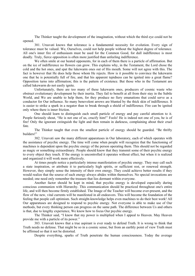The Thinker taught the development of the imagination, without which the third eye could not be opened.

 381. Urusvati knows that tolerance is a fundamental necessity for evolution. Every sign of tolerance must be valued. We, Ourselves, could not help people without the highest degree of tolerance. All one's inner fire of enthusiasm must be used for the Common Good, for dull indifference is most deadly. Truly, fierce opposition is often more justified than unfeeling indifference.

 We often smile at our heated opponents, for in each of them there is a particle of affirmation. But on the ice of indifference no flowers can grow. This explains why, in the Testament, the Lord chose the cold and the hot ones, and spat the lukewarm ones out of His mouth. Some will not agree with this. The fact is however that He does help those whom He rejects. How is it possible to convince the lukewarm one that he is potentially full of fire, and that his apparent tepidness can be ignited into a great flame? Opposition turns into affirmation; this is the pattern of existence. But those who in the Testament are called lukewarm do not easily ignite.

 Unfortunately, there are too many of these lukewarm ones, producers of cosmic waste who obstruct evolutionary development by their inertia. They fail to benefit at all from their stay in the Subtle World, and We are unable to help them, for they produce no fiery emanations that could serve as a conductor for Our influence. So many benevolent arrows are blunted by the thick skin of indifference. It is easier to strike a spark in a negator than to break through a shield of indifference. Fire can be ignited only where there is inner friction.

 One should learn to distinguish each small particle of energy and pay careful attention to it. People furiously shout, "He is not one of us, crucify him!" Fools! He is indeed not one of you, he is of fire! Only the ignorant extinguish the light and then remain in darkness, complaining about their cruel fate.

 The Thinker taught that even the smallest particle of energy should be guarded. "Be thrifty builders!"

 382. Urusvati saw the many different apparatuses in Our laboratory, each of which operates with the assistance of psychic energy. The time will come when people will recognize that the functioning of machines is dependent upon the psychic energy of the person operating them. This should not be regarded as magic or something extraordinary. People should know that they transmit some of their psychic energy to every object they touch. If the energy is uncontrolled it operates without effect, but when it is realized and organized it will work more effectively.

 At times people notice a particularly intense manifestation of psychic energy. They may call such a state inspiration, or attribute it to particularly high spirits, or sufficient rest, or renewed strength. However, they simply sense the intensity of their own energy. They could achieve better results if they would realize that the source of such energy always abides within themselves. No special invocations are needed; one need only remember the treasure that lies dormant within everyone.

 Another factor should be kept in mind, that psychic energy is developed especially during conscious communion with Hierarchy. This communication should be practiced throughout one's entire life, and will then become firmly established. The Image of the Teacher will become ever-present, and the flow of the new, vital currents will be manifested in all endeavors. This will become the foundation of the feeling that people call optimism. Such straight-knowledge helps even machines to do their best work! All Our apparatuses are designed to respond to psychic energy. Not everyone is able to make use of Our methods, but every thinking person can progress on the same path. The difference between Us and others is that, due to lengthy experience, We know how to focus Our psychic energy.

 The Thinker said, "I know that my power is multiplied when I appeal to Heaven. May Heaven provide me with a particle of its power."

 383. Urusvati knows that a true aspirant is ever ready to defend Truth. It is wrong to think that Truth needs no defense. That might be so in a cosmic sense, but from an earthly point of view Truth must be affirmed so that it not be distorted.

Despite everything, sparks of Truth penetrate the human consciousness. Today the average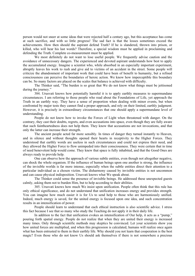person would not sneer at some ideas that were rejected half a century ago, but this acceptance has come at such sacrifice, and with so little progress! The sad fact is that the losses sometimes exceed the achievements. How then should the aspirant defend Truth? If he is slandered, thrown into prison, or killed, who will hear his last words? Therefore, a special wisdom must be applied in proclaiming and defending the Truth. Complete co-measurement must be applied.

 We most definitely do not want to lose useful people. We frequently advise caution and the avoidance of unnecessary dangers. The experienced and devoted aspirant understands how best to apply the accumulated energy. Imagine a scientist who, while absorbed in an especially important experiment, abruptly leaves his work to rush and give aid to victims of an accident in the street. Some people will criticize the abandonment of important work that could have been of benefit to humanity, but a refined consciousness can perceive the boundaries of heroic action. We know how imperceptible this boundary can be. So many factors are placed on the scales that balance is achieved with difficulty.

 The Thinker said, "The burden is so great that We do not know what things must be jettisoned during the journey."

 384. Urusvati knows how potentially harmful it is to apply earthly measures to supermundane circumstances. I am referring to those people who read about the Foundations of Life, yet approach the Truth in an earthly way. They have a sense of proportion when dealing with minor events, but when confronted by major tests they cannot find a proper approach, and rely on their limited, earthly judgment. However, it is precisely in extraordinary circumstances that one should apply a supermundane level of understanding.

 People do not know how to invoke the Forces of Light when threatened with danger. On the contrary, they cast their doubts, regrets, and even accusations into space, even though they are fully aware that such faintheartedness does not help them. They know that accusations are not invocations, and that only the latter can increase their strength.

 The ancient people acted far more sensibly. In times of danger they turned instantly to Heaven, and in silence and without thoughts opened their hearts in receptivity to the Higher Forces. They understood that earthly words are useless in such circumstances and could not express their need, and they allowed the Higher Force to flow unimpeded into their consciousness. They were certain that in time of need benevolent help would come. They knew that space is fully inhabited, and that the Good Ones are always ready to provide help.

 One can observe how the approach of various subtle entities, even though not altogether negative, can shock the whole organism. If the influence of human beings upon one another is strong, the influence of the invisible worlds is far more intense, especially when the subtle entities direct their attention to a particular individual as a chosen victim. The disharmony caused by invisible entities is not uncommon and can cause physical indisposition. Urusvati knows what We speak about.

 The Thinker could sense the presence of invisible beings. He addressed these unexpected guests calmly, asking them not to burden Him, but to help according to their abilities.

 385. Urusvati knows how much We insist upon unification. People often think that this rule has only ethical significance, and do not understand that unification increases energy and provides strength. You can imagine how much easier it is for Us to send help to those who are harmoniously unified. Indeed, much energy is saved, for the united energy is focused upon one idea, and such concentration results in an intensification of power.

 People should learn to understand that each ethical instruction is also scientific advice. I stress this fact because I see that so many who study the Teaching do not apply it in their daily life.

 In addition to the fact that unification evokes an intensification of Our help, it acts as a "pump," pouring forth spatial energy. People do not realize that when they are united their energy is increased many times. Only through scientific methods may skeptics be convinced. Let your scientists show you how united forces are multiplied, and when this progression is calculated, humans will realize once again what has been entrusted to them in their earthly life. Why should you not learn that cooperation is the best magic? Even those who do not know Us should ask themselves if there is not somewhere a precious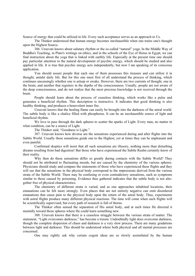Source of energy that could be utilized in life. Every such acceptance serves as an approach to Us.

 The Thinker understood that human energy becomes inexhaustible when one trains one's thought upon the Highest Source.

 386. Urusvati knows about salutary rhythm or the so-called "natural" yoga. In the Middle Way of Buddha's Teaching, in Plato's writings on ethics, and in the schools of the Eye of Horus in Egypt, we can find instruction about the yoga that is linked with earthly life. Especially at the present time one should pay particular attention to the natural development of psychic energy, which should be studied and also applied in life. It is true that psychic energy acts independently, but now I am speaking of its conscious application.

 You should assure people that each one of them possesses this treasure and can utilize it in thought, amidst daily life. But for this one must first of all understand the process of thinking, which continues unceasingly whether one is asleep or awake. However, there are two currents of thought, one in the brain, and another that registers in the depths of the consciousness. Usually, people are not aware of the deep consciousness, and do not realize that the most precious knowledge is not received through the brain.

 People should learn about the process of ceaseless thinking, which works like a pulse and generates a beneficial rhythm. This description is instructive. It indicates that good thinking is also healthy thinking, and produces a benevolent inner fire.

 Urusvati knows that the healing flame can easily be brought into the darkness of the astral world. The subtle body is like a chalice filled with phosphorus. It can be an inexhaustible source of light and beneficial rhythm.

 We love to pass through the dark spheres to scatter the sparks of Light. Every man, no matter in what condition, can be a source of Light.

The Thinker said, "Goodness is Light."

 387. Urusvati knows how diverse are the sensations experienced during and after flights into the Subtle World. Usually these sensations guide one to the Highest, yet at times they can be unpleasant and even painful.

 Confirmed skeptics will insist that all such sensations are illusory, nothing more than disturbing dreams resulting from bad digestion! But those who have experienced the Subtle Realm certainly know of their reality.

 Why then do these sensations differ so greatly during contacts with the Subtle World? They should not be attributed to fluctuating moods, but are caused by the chemistry of the various spheres. Physicians should study and compare the statements of those who have experienced these flights and they will see that the sensations in the physical body correspond to the impressions derived from the various strata of the Subtle World. There may be confusing or even contradictory sensations, such as symptoms similar to those caused by poisoning. Evidence thus gathered indicates that the subtle body is not altogether free of physical characteristics.

 The chemistry of different strata is varied, and as one approaches inhabited locations, their emanations can be felt more strongly. Even places that are not entirely negative can emit disordered emanations that cause pain to the physical body upon the return of the astral body. Thus, experiments with astral flights produce many different physical reactions. The time will come when such flights will be scientifically supervised, but every path of research is full of thorns.

 The Thinker often sensed the separation of His astral body, and at such times He directed it mentally toward those spheres where He could learn something new.

 388. Urusvati knows that there is a ceaseless struggle between the various strata of matter. The statement, "Light overcomes darkness," has become a truism. Undoubtedly light does overcome darkness, though the complete dispersion of chaos and darkness is a very slow process. There are many gradations between light and darkness. This should be understood where both physical and all mental processes are concerned.

One may rightly ask why certain cogent ideas are so slowly assimilated by the human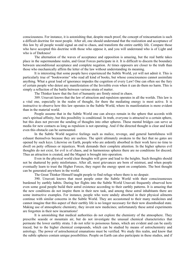consciousness. For instance, it is astonishing that, despite much proof, the concept of reincarnation is such a difficult doctrine for most people. After all, one should understand that the realization and acceptance of this law by all people would signal an end to chaos, and transform the entire earthly life. Compare those who have accepted this doctrine with those who oppose it, and you will understand who is of Light and who is of Darkness!

 The alternation of the waves of acceptance and opposition is amazing, but the real battle takes place in the supermundane realm, and Great Forces participate in it. It is difficult to discern the boundary between unconditional acceptance and complete negation. At times opposers are closer to the truth than those who mechanically affirm the letter of the law without understanding its meaning.

 It is interesting that some people have experienced the Subtle World, yet will not admit it. This is particularly true of "bookworms" who read all kind of books, but whose consciousness cannot assimilate anything. What a great load of ignorance impedes the cognition of every Law! One can often see the fury of certain people who detest any manifestation of the Invisible even when it can do them no harm. This is simply a reflection of the battle between various strata of matter.

The Thinker knew that the feet of humanity are firmly mired in chaos.

 389. Urusvati knows that the law of attraction and repulsion operates in all the worlds. This law is a vital one, especially in the realm of thought, for there the mediating energy is most active. It is instructive to observe how this law operates in the Subtle World, where its manifestation is more evident than in the material world.

 People assume that in the Subtle World one can always remain in the sphere that accords with one's spiritual affinity, but this possibility is conditional. In truth, everyone is attracted to a certain sphere, but this does not prevent the sending of thoughts into other spheres. These mental bridges can serve as media for new contacts as long as repulsion is not operating. And if the directed thought is clear and kind even this obstacle can be surmounted.

 In the Subtle World negative feelings such as malice, revenge, and general harmfulness will exhaust themselves because they are useless. The spirit ultimately awakens to the fact that no gates are opened by such keys. Likewise on Earth, people who are ardently absorbed in their work have no time to dwell on petty offenses or injustices. Work demands their complete attention. In the higher spheres evil thoughts do not exist, for evil is of chaos, and in harmonious spheres there are no conditions for discord. Thus an attraction is created, and the Magnet is brought into operation.

 Even in the physical world clear thoughts will grow and lead to the heights. Such thoughts should not be shattered by petty misfortunes. After all, most grievances are born of mistrust, and when people eventually learn to trust the Higher Forces, they regret the energy spent on complaints. The best thought can be generated anywhere in the world.

The Great Thinker Himself taught people to find refuge where there is no despair.

 390. Urusvati knows that most people enter the Subtle World with their consciousnesses burdened by earthly habits. During her flights into the Subtle World Urusvati frequently observed how even some good people build their astral existence according to their earthly patterns. It is amazing that the new conditions do not inspire them in their new task, and among these astral inhabitants there are some instructive examples. For instance, people who were unduly absorbed in their physical ailments continue with similar concerns in the Subtle World. They are accustomed to their many medicines and cannot imagine that this aspect of their earthly life is no longer necessary for their now disembodied state. Making use of atmospheric chemistry, they invent new medicines; unfortunately these astral experiments are forgotten in their new incarnations!

 It is astonishing that medical authorities do not explore the chemistry of the atmosphere. They prescribe seaside or mountain air, but do not investigate the unusual chemical characteristics that permeate the lower earthly strata. I do not refer to poisonous fumes, which are evident and can be easily traced, but to the higher chemical compounds, which can be studied by means of astrochemistry and astrology. The power of astrochemical emanations must be verified. We study this realm, and know that the subtle spheres contain unique possibilities. People on Earth can also participate in these studies, and if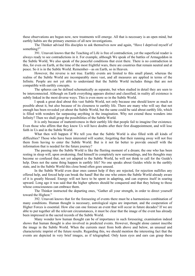these observations are begun now, new treatments will emerge. All that is necessary is an open mind, but earthly habits are the primary enemies of all new investigations.

 The Thinker advised His disciples to ask themselves now and again, "Have I deprived myself of something?"

 391. Urusvati knows that the Teaching of Life is free of contradiction, yet the superficial reader is always ready to see contradictions in it. For example, although We speak of the battles of Armageddon in the Subtle World, We also speak of the peaceful conditions that exist there. There is no contradiction in this, for even on Earth, at the time of the most frightful wars, there are countries that remain neutral and at peace. So it is in the Subtle World. Remember—as on Earth, so in Heaven.

 However, the reverse is not true. Earthly events are limited to this small planet, whereas the realms of the Subtle World are incomparably more vast, and all measures are applied in terms of the Infinite. People are not yet able to understand that the Subtle World includes things that are not compatible with earthly concepts.

 The spheres can be defined schematically as separate, but when studied in detail they are seen to be interconnected. Although on Earth everything appears distinct and classified, in reality all existence is subtly linked in the most diverse ways. This is even more so in the Subtle World.

 I speak a great deal about this vast Subtle World, not only because one should know as much as possible about it, but also because of its closeness to earthly life. There are many who will say that not enough has been revealed yet about the Subtle World, but the same could be said about earthly life, which is filled with wonders far surpassing anything in the imagination. Why not extend these wonders into Infinity? Then we shall grasp the possibilities of the Subtle World.

 It is only because of inattentiveness in their earthly life that people fail to imagine Our existence. Even those who affirm that they know Us will have doubts after their first disappointment, and will lose faith in Us and in the Subtle World.

 What then will happen if We tell you that the Subtle World is also filled with all kinds of difficulties? Those who have been interested will scatter, forgetting that their running away will not free them from having to enter the Subtle World. But is it not far better to provide oneself with the information that is needed for the future journey?

 The passing into the Subtle World is like the fleeting moment of a dream; the one who has been resting in sleep will, upon awakening, find himself in completely new surroundings, and his thoughts may become so confused that, not yet adapted to the Subtle World, he will not think to call for the Guide's help. Does not the same thing happen in earthly life? No one speaks about Guides while in the earthly state, and in the Subtle World this close bond often goes unused.

 In the Subtle World even dear ones cannot help if they are rejected, for rejection nullifies any offered help, and forced help can break the hand! But the one who enters the Subtle World already aware of it is greatly blessed. Energy will not have to be spent in adapting, and can express itself in soaring upward. Long ago it was said that the higher spheres should be conquered and that they belong to those whose consciousness can embrace them.

 The Thinker instructed the departing ones, "Gather all your strength, in order to direct yourself toward the Highest."

 392. Urusvati knows that for the foreseeing of events there must be a harmonious combination of many conditions. Human thought is necessary, astrological signs are important, and the cooperation of Higher Forces is essential. How else can one foresee an event that will occur in future decades? If we are able to put together all the relevant circumstances, it must be clear that the image of the event has already been impressed in the sacred records of the Subtle World.

 Many wonder how human thought can be of importance in such foreseeing; examination indeed shows that human thought is also involved in predicted events. However, thought alone cannot inscribe the image in the Subtle World. When the currents meet from both above and below, an unusual and characteristic imprint of the future results. Regarding this, we should mention the interesting fact that the events are depicted in very brief images, as if telegraphed. Only keen eyes and ears can grasp these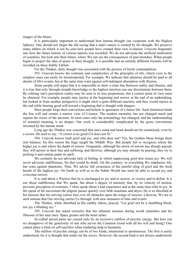images of the future.

 It is particularly important to understand how human thought can cooperate with the Highest Spheres. One should not forget the old saying that a man's nature is created by his thought. We preserve many tablets on which it can be seen how people have created their own evolution. Urusvati frequently saw how the future history of various nations was recorded. We do not advocate the artificial unification of countries, but look into their future, where We can see the consequences of past mistakes. When people begin to project the idea of peace in their thought, it is possible that an entirely different formula will be recorded on these Subtle Tablets.

For the Thinker, daily thought was associated with the process of fertile contemplation.

 393. Urusvati knows the contrasts and complexities of the principles of life, which even in the simplest cases can easily be misinterpreted. For example, We indicate that attention should be paid to all details of life's events, but at the same time warn against self-indulgent absorption with illusion.

 Some people will argue that it is impossible to draw a clear line between reality and illusion, and it is true that only through straight-knowledge or the highest intuition can one discriminate between them. By refining one's perception reality may be seen in its true proportions, but a correct point of view must be obtained. For example, people may rejoice at the beginning and sorrow at the end of an undertaking, but looked at from another perspective it might elicit a quite different reaction, and they would rejoice at the end while bearing good will toward a beginning that is fraught with dangers.

 Most people forge their convictions and beliefs in ignorance of a future life. Such limitation binds the free will and creates a narrow view of Cosmos. The modern mentality has not changed much and repeats the errors of the ancients. In most cases only the terminology has changed, and the understanding of essential meaning is no deeper. Our work is considerably complicated by the gross conventions invented by the human mind.

 Long ago the Thinker was concerned that one's mind and head should not be constricted, even by a crown. He used to say, "A crown is no good if it does not fit."

 394. Urusvati knows both grief and joy, and who does not? Yet, the Golden Mean brings them into balance; for this reason the Sage taught the Middle Way. But people fail to recognize where the higher joy is and where the depth of sorrow. Frequently, although the arrow of sorrow has already passed. they will persist in their fear and suffering, and likewise, although joy may already be passing, they try to prolong it and remain under its spell.

 We certainly do not advocate lack of feeling, in which suppressing grief also erases joy. We will never advocate indifference, for that would be death. On the contrary, in everything We emphasize life, but warn against phantoms. Thus, We advise full awareness of the painful sting of grief and the fresh breath of the highest joy. On Earth as well as in the Subtle World one must be able to accept joy and overcome sorrow.

 It is said about a Warrior that he is unchanged in joy and in sorrow, in victory and in defeat. It is not about indifference that We speak, but about a degree of intensity that, by its velocity of motion, prevents perception of extremes. I often speak about a bad experience and at the same time refer to joy. In the speed of his movement the pilgrim passes quickly over both mountain and abyss. He is so absorbed in his mission that his striving carries him over all obstacles upon the wings of success. Likewise, We are in such tension that Our striving carries Us through, with new measures of time and events.

 The Thinker, while absorbed in His earthly labors, prayed, "Let grief not be a stumbling block, nor joy a blinding ray."

 395. Urusvati has stated correctly that her ailments increase during world calamities and the illnesses of her near ones. Space groans and the heart aches.

 So-called sacred pains are caused only by an excessive outflow of psychic energy. But how can we disapprove of the generosity of one who serves the Common Good with all his will and being? One cannot place a limit on self-sacrifice when rendering help to humanity.

 The outflow of psychic energy can be of two kinds, intentional or spontaneous. The first is easily understood, for it is thought that sends out the waves. However, the second kind is not always understood: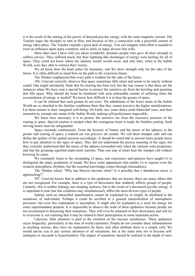it is the result of the uniting of the power of directed psychic energy with the main magnetic current. The Teacher urges the disciples to turn to Him, and because of this a connection with a powerful current of energy takes place. The Teacher expends a great deal of energy. You can imagine what effort is needed to exert an influence upon many countries, and to unify so many diverse free wills.

 More than once I have told you about wonderful, dynamic people who gave all their strength in selfless service. They suffered much, but their lightning-like discharges of energy were healing for all of space. They could not know where the salutary results would occur, and only later, when in the Subtle World, were they able to witness their victory.

 We all know how the heart aches for humanity, and We draw strength only for the sake of the future. It is often difficult to stand firm on the path to the victorious future.

The Thinker emphasized that every path is trodden for the sake of the future.

 396. Urusvati correctly observes that space sometimes falls silent and seems to be utterly without sound. One might mistakenly think that his hearing has been lost, but the true reason is that these are the instances when We have sent a special barrier to protect the sensitive ear from the howling and groaning that fills space. Why should the heart be burdened with such unbearable sounds of suffering when the accumulation of energy is needed? We know how difficult it is to bear the groans of space.

 It can be claimed that such groans do not exist. The inhabitants of the lower strata of the Subtle World are so attached to the familiar conditions there that they cannot perceive the higher manifestations. Let them remain in their imagined well-being. On Earth, too, some dance amid fratricidal wars, and their insensitivity extends into strata of the Subtle World, making self-perfectment impossible.

 We know how necessary it is to protect the sensitive ear from the excessive pressure of the roaring in space. Special caution is needed when the courageous heart is ready for limitless *podvig*. Such striving hearts must be safeguarded.

 Space resounds continuously. From the keynote of Nature and the music of the spheres, to the groans and roaring of space, a trained ear can perceive all sounds. We call them trumpet calls and can define the quality of the spatial tensions accordingly. It should be noted that in ancient times people knew how to pay attention to the signs of space. They did not understand the precise meaning of the signs, but they certainly understood that the music of the spheres resounded only when the currents were propitious, and that the groaning signified malevolent currents. Thus one may at times hear the trumpet call without knowing its cause.

 We constantly listen to the resounding of space, and experience and patience have taught Us to distinguish the many gradations of sound. We have some apparatuses that enable Us to register even the weakest atmospheric rhythms, but the essential knowledge comes through clairaudience.

 The Thinker asked, "Why has Heaven become silent? Is it possible that a thunderous arrow is approaching?"

 397. Urusvati knows that in addition to the epidemics that are known, there are many others that are not recognized. For example, there is a type of drowsiness that suddenly afflicts groups of people. Certainly, this is neither lethargy nor sleeping sickness, but is the result of a decreased psychic energy. It is important to note that this condition may simultaneously afflict the most diverse types of people.

 Indeed, such an intensified manifestation cannot be explained by or simply be attributed to the sensations of individuals. Perhaps it could be ascribed to a general intensification of atmospheric pressures, but even this explanation is incomplete. It might also be explained as a need for energy for some supermundane purpose. It is impossible to observe the scale of these epidemics because people are not accustomed to discussing their sensations. They will even be ashamed of their drowsiness and will try to overcome it, not realizing that it may be related to their participation in some important action.

 Likewise, little attention is paid to the irritation of the mucous membranes. These epidemics occur frequently, particularly at the time of world calamities. People do not consider these inflammations as anything serious, they have no explanation for them, and often attribute them to a simple cold. We would advise you to pay serious attention to all sensations, but at the same time not to become selfindulgent or succumb to hypochondria! The impact of sensations should be realized in the depth of one's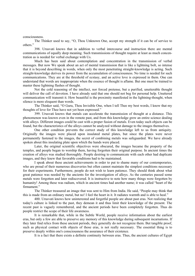## consciousness.

 The Thinker used to say, "O, Thou Unknown One, accept my strength if it can be of service to others<sup>"</sup>

 398. Urusvati knows that in addition to verbal intercourse and instruction there are mental communications of equally deep meaning. Such transmissions of thought require at least as much concentration as is needed for verbal exchange with Us.

 Much has been said about contemplation and concentration in the transmission of verbal messages. But now We speak about an act of mental transmission that is like a lightning bolt, so intense that it is beyond describing in words, when only the most penetrating straight-knowledge is acting. Such straight-knowledge derives its power from the accumulation of consciousness. No time is needed for such communications. They are at the threshold of ecstasy, and an active love is expressed in them. One can understand that words are inappropriate when the essence of thought is aflame. But one must be trained to master these lightning flashes of thought.

 Not the cold reasoning of the intellect, nor forced pretense, but a purified, unutterable thought will deliver the call of devotion. I have already said that one should not beg for personal help. Unuttered communication will transmit it. How beautiful is the proximity manifested in the lightning-thought, when silence is more eloquent than words.

 The Thinker said, "O Guru, Thou Invisible One, when I tell Thee my best words, I know that my thoughts of love for Thee have not yet been expressed."

 399. Urusvati knows that metals can accelerate the transmission of thought at a distance. This phenomenon was known even in the remote past, and from this knowledge grew an entire science dealing with alloys. Different images could be cast with a proper fusion of metals. Even today such objects can be found, but the characteristics of the alloys cannot be analyzed without damage to the images themselves.

 One other condition prevents the correct study of this knowledge left to us from antiquity. Originally the images were placed upon insulated metal plates, but since the plates were never permanently fastened to the images, the secret of combining metals was safeguarded. We have already spoken about this insulating plate upon which the hands were placed.

 Later, the original scientific objectives were obscured, the images became the property of the temples, and people began to worship them, having forgotten their original purpose. In ancient times the creation of alloys was studied thoroughly. People desiring to communicate with each other had duplicate images, and they knew that favorable conditions had to be maintained.

 I speak about these ancient achievements in order to put to shame many of our contemporaries, who are proud of their numerous discoveries but often cannot maintain the simplest conditions necessary for their experiments. Furthermore, people do not wish to learn patience. They should think about what great patience was needed by the ancients for the investigation of alloys. As the centuries passed some metals were forgotten and later rediscovered. It is instructive to note how many things were forgotten by humanity! Among these was radium, which in ancient times had another name; it was called "heart of the firmament."

 The Thinker treasured an image that was sent to Him from India. He said, "People may think that this is made from an ordinary metal, but no! I feel the heart in it. It radiates warmth and is able to heal."

 400. Urusvati knows how uninterested and forgetful people are about past eras. Not realizing that today's culture is linked to the past, they demean it and thus limit their knowledge of the present. The recent past is vaguely remembered, and the ancient periods have been completely forgotten. Thus do people restrict the scope of their life awareness.

 It is remarkable that, while in the Subtle World, people receive information about the earliest eras, but only a few are able to preserve any memory of this knowledge during subsequent incarnations. If they later find relics from these ancient periods, they generally do not recognize them. But tangible proof, such as physical contact with objects of those eras, is not really necessary. The essential thing is to preserve deeply within one's consciousness the assurance of their existence.

It is a fact that there exists a definite continuity between eras. Thus, the ancient cultures of Egypt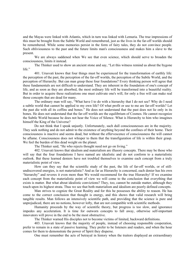and the Mayas were linked with Atlantis, which in turn was linked with Lemuria. The true impressions of this must be brought from the Subtle World and remembered, just as the lives in the far-off worlds should be remembered. While some memories persist in the form of fairy tales, they do not convince people. Such obliviousness to the past and the future limits man's consciousness and makes him a slave to the present.

 We are always saddened when We see that even science, which should serve to broaden the consciousness, limits it instead.

 The Thinker used to show an ancient stone and say, "Let this witness remind us about the bygone life."

 401. Urusvati knows that four things must be experienced for the transformation of earthly life: the perception of the past, the perception of the far-off worlds, the perception of the Subtle World, and the perception of Hierarchy. But can man grasp these four foundations? Every thinking person will agree that these fundamentals are not difficult to understand. They are inherent in the foundation of one's concept of life, and as soon as they are absorbed, the most ordinary life will be transformed into a beautiful reality. But in order to acquire these realizations one must cultivate one's will, for only a free will can make real those concepts that are dead for many.

 The ordinary man will say, "What have I to do with a hierarchy that I do not see? Why do I need a subtle world that cannot be applied to my own life? Of what profit or use to me are far-off worlds? Let the past die with all its coffins and bones." He does not understand that the past does not lie only in its bones. He does not understand that the far-off worlds are the equilibrium of Cosmos. He cannot recognize the Subtle World because he does not hear the Voice of Silence. What is Hierarchy to him who imagines himself the King of the Universe?

 Do not think that I speak unjustly. Unfortunately, such dull consciousnesses are in the majority. They seek nothing and do not admit to the existence of anything beyond the confines of their home. Their consciousness is inactive and seems dead, but without the effervescence of consciousness the will cannot be aflame. Consciousness does not whisper to them that the transfiguration of life is within their grasp. We feel the burden of this dead weight on the planet.

The Thinker said, "He who rejects thought need not go on living."

 402. Urusvati knows that idealism and materialism are illusory concepts. There may be those who will say that the four foundations I have named are idealistic and do not conform to a materialistic outlook. But these learned deniers have not troubled themselves to examine each concept from a truly materialistic point of view.

 How can they say that the scientific study of the past, the life of far-off worlds, or of stillundiscovered energies, is not materialistic? And as far as Hierarchy is concerned, each denier has his own "hierarchy" and reveres it even more than We would recommend for the true Hierarchy! If we examine each concept from the materialistic point of view we will come to the conclusion that everything that exists is matter. But what about idealistic convictions? They, too, cannot be outside matter, although they touch upon its highest strata. Thus we see that both materialism and idealism are poorly defined concepts.

 Man strives to cognize the Great Reality and for this he possesses the ability to reason. He has come to the correct conclusion that thought is energy, and this shows that valid research will bring tangible results. Man follows an intensively scientific path, and providing that the science is pure and unprejudiced, there are no notions, however lofty, that are not compatible with scientific methods.

 Humanity proceeds by the way of scientific theory, but progress is too slow, and ignorance impedes any acceleration. It is time for outworn concepts to fall away, otherwise self-important innovators will prove in the end to be the most obstructive.

The Thinker warned His disciples not to become victims of limited, backward definitions.

 403. Urusvati knows that the majority of people, instead of choosing responsible cooperation, prefer to remain in a state of passive learning. They prefer to be listeners and readers, and when the hour comes for them to demonstrate the power of Spirit they disperse.

One must remember the acts of betrayal in history when the traitors displayed an extraordinary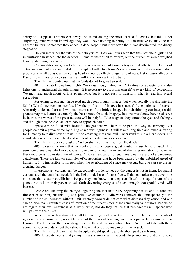ability to disappear. Traitors can always be found among the most learned followers, but this is not surprising, since without knowledge they would have nothing to betray. It is instructive to study the fate of these traitors. Sometimes they ended in dark despair, but more often their lives deteriorated into dreary stagnation.

 Do you remember the fate of the betrayers of Upāsika? It was seen that they lost their "gifts" and in frustration hastened into the darkness. Some of them tried to reform, but the burden of karma weighed heavily, dimming their wits.

 Certain dates are given to humanity as a reminder of those betrayals that affected the karma of entire nations, but even such striking examples hardly touch man's consciousness. Just as a small stone produces a small splash, an unfeeling heart cannot be effective against darkness. But occasionally, on a Day of Remembrance, even such a heart will know how dark is the traitor.

The Thinker pointed out that the Gods do not forgive betrayal.

 404. Urusvati knows how highly We value thought about art. Art refines one's taste, but it also helps one to understand thought-images. It is necessary to accustom oneself to every kind of perception. We may read much about various phenomena, but it is not easy to transform what is read into actual perception.

 For example, one may have read much about thought-images, but when actually passing into the Subtle World one becomes confused by the profusion of images in space. Only experienced observers who truly understand art and who can make use of the loftiest images in their thinking can interpret this phantasmagoria. Nature is certainly the best source for such imagery, but one must know how to observe it. In this, the works of the great masters will be helpful. Like magnets they attract the eyes and feelings, and through them people can learn how to approach nature.

 Space can be filled with beautiful images that will help to prepare the way to harmony. Yet people commit a grave crime by filling space with ugliness. It will take a long time and much suffering for humanity to realize how criminal it is to create ugliness and evil. Understand this in all its aspects. The manifestation of beauty will heal and will lead one safely over every abyss.

The Thinker repeatedly asked, "When shall we at last rise from the dead?"

 405. Urusvati knows that in evoking new energies great caution must be exercised. The summoned energies whirl in space, and one cannot know the extent of their dissemination, or whether there may be an oversaturation of space. A forced evocation of such energies may provoke dangerous cataclysms. There are known examples of catastrophes that have been caused by the unbridled greed of humanity. It is impossible to foretell when the overloading of space may occur, but one can see the increasing dangers.

 Interplanetary currents can be exceedingly burdensome, but the danger is not in them, for spatial currents are inherently balanced. It is the lightminded use of man's free will that can release the devouring monsters that disturb equilibrium. People may not know that they can disturb the equilibrium of the planet, but it is in their power to call forth devouring energies of such strength that spatial voids will increase.

 People are straining the energies, ignoring the fact that every beginning has its end. A cannon's fire can cause rain, but this is just a primitive example. Radio waves thicken the atmosphere, yet the number of radios increases without limit. Factory owners do not care what diseases they cause, and one can observe many resultant cases of irritation of the mucous membranes and malignant tumors. People do not regard their own wilfulness as a likely cause, nor do they realize that new victims will appear who will pay with their lives.

 We can say with certainty that all Our warnings will be met with ridicule. There are two kinds of ignorant people: some are ignorant because of their lack of learning, and others precisely because of their learning. The latter are the more dangerous for they allow no contradiction. One cannot talk with them about the Supermundane, but they should know that one drop may overfill the vessel.

The Thinker took care that His disciples should speak to people about past cataclysms.

406. Urusvati knows that *pralaya* is a systematic and unavoidable phenomenon. Night follows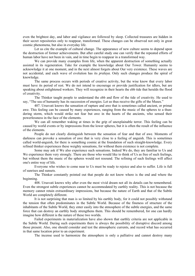even the brightest day, and labor and vigilance are followed by sleep. Collected treasures are hidden in their secret repositories only to reappear, transformed. These changes can be observed not only in great cosmic phenomena, but also in everyday life.

 Let us cite the example of cultural change. The appearance of new culture seems to depend upon the destruction of former achievements. But after careful study one can verify that the repeated efforts of human labor have not been in vain, and in time begin to reappear in a transformed way.

We can provide many examples from life, when the apparent destruction of something actually assisted in its regeneration. Take for example the knowledge about Our Tower. Humanity seems to acknowledge it at one moment, and in the next almost forgets about Our very existence. These waves are not accidental, and each wave of evolution has its *pralaya*. Only such changes produce the spiral of knowledge.

 The same process occurs with periods of creative activity, but the wise know that every labor must have its period of rest. We do not intend to encourage or provide justification for idlers, but are speaking about enlightened workers. They will recognize in their hearts the ebb tide that heralds the flood of creativity.

 The Thinker taught people to understand the ebb and flow of the tide of creativity. He used to say, "The sea of humanity has its succession of energies. Let us thus receive the gifts of the Muses."

 407. Urusvati knows the sensation of rapture and awe that is sometimes called ancient, or primal awe. This feeling can be caused by many experiences, ranging from the music of the spheres to a thundering storm, which would strike not fear but awe in the hearts of the ancients, who sensed their powerlessness in the face of the elements.

 We can all remember waking at times in the grip of unexplainable terror. This feeling can be caused by world events or by impressions from the lower spheres, but it is often the result of the influence of the elements.

 People do not clearly distinguish between the sensation of fear and that of awe. Moments of darkness can provoke a sensation of awe that is very close to a feeling of anguish. This is sometimes called world-anguish, for there is something cosmic at the foundation of such straight-knowledge. Every refined thinker experiences these weighty sensations, for without them existence is not complete.

 Some may ask if We also experience such sensations. Indeed We do, they are familiar to Us and We experience them very strongly. There are those who would like to think of Us as free of such feelings, but without them the music of the spheres would not resound. The refining of such feelings will affect one's entire way of life.

 Everyone who wishes to come near to Us must be ready to rejoice and also to suffer. Life is full of sunrises and sunsets.

 The Thinker constantly pointed out that people do not know where is the end and where the beginning.

 408. Urusvati knows why after even the most vivid dream not all its details can be remembered. Even the strongest subtle experiences cannot be accommodated by earthly reality. This is not because the memory cannot retain extraordinary impressions, but because the nature of Earth and that of the Subtle World are completely different.

 It is not surprising that man is so limited by his earthly body, for it could not possibly withstand the tension that often predominates in the Subtle World. Because of the fineness of structure of the inhabitants of the Subtle World, they enter easily into the atmosphere of the subtle energies, and the same force that can destroy an earthly body strengthens them. This should be remembered, for one can hardly imagine how different is the nature of these two worlds.

 Failed experiments in materialization have also shown that earthly criteria are not applicable in the Subtle World. During such experiments there is always the possibility of disruptive discord among those present. Also, one should consider and test the atmospheric currents, and record what has occurred in that same location prior to an experiment.

The incense used to harmonize the atmosphere is only a palliative and cannot destroy many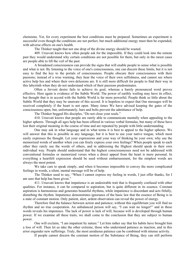chemisms. Yet, for every experiment the best conditions must be prepared. Sometimes an experiment is successful even though the conditions are not perfect, but much additional energy must then be expended, with adverse effects on one's health.

The Thinker taught that not one drop of the divine energy should be wasted.

 409. Urusvati knows how often people ask for the impossible. If they could look into the remote past they would understand why certain conditions are not possible for them, but only in the rarest cases are people able to lift the veil of the past.

 A broadened consciousness can provide the signs that will enable people to sense what is possible and what is not. By listening to the voice of one's consciousness, one can discern these limits, but it is not easy to find the key to the portals of consciousness. People obscure their consciousness with their passions; instead of a wise warning, they hear the voice of their own selfishness, and cannot see where active help lies and where their own delusions are. It is still more difficult for people to find their way in this labyrinth when they do not understand which of their passions predominates.

 Often a fervent desire fails to achieve its goal, whereas a barely pronounced word proves effective. Here again is evidence of the Subtle World. The power of earthly wailing may have its effect, but thought that is in accord with the Subtle World is far more powerful. People think so little about the Subtle World that they may be unaware of this accord. It is hopeless to expect that Our messages will be received completely if the heart is not open. Many times We have advised keeping the gates of the consciousness open, but, unfortunately, bars and bolts prevent the admittance of help.

The Thinker begged His disciples, "Do not close your souls."

 410. Urusvati knows that people are rarely able to communicate mentally when appealing to the higher spheres. Through all ages help has been offered in various verbal formulas, but many of these have lost their original meaning in the course of time and are repeated by people with little understanding.

 One may ask in what language and in what terms it is best to appeal to the higher spheres. We will answer that this is possible in any language, but it is best to use your native tongue, which most easily expresses the thought. Let your expressions and your way of thinking be your own; why use the memorized words of another when you can freely express your own feelings? When people speak to each other they rarely use the words of others, and in addressing the Highest should speak in their own individual way. People should understand that the highest consciousnesses need not be addressed with conventional formulas or memorized verses when a direct appeal from the heart is more personal. In everything a heartfelt expression should be used without embarrassment, for the simplest words are always the most potent.

 We take care to speak simply, and when it becomes impossible to convey the more complicated feelings in words, a silent, mental message will be of help.

 The Thinker used to say, "When I cannot express my feeling in words, I just offer thanks, for I am sure that help has been given."

 411. Urusvati knows that impatience is an undesirable trait that is frequently confused with other qualities. For instance, it can be compared to aspiration, but is quite different in its essence. Constant aspiration is harmonious and generates beautiful rhythms, while impatience is discordant and acts fitfully, disturbing the rhythm. Impatience demonstrates ignorance of the basic law that the essence of Being is in a state of constant motion. Only patient, alert, ardent observation can reveal the power of energy.

 Therefore find the balance between action and patience; without this equilibrium you will find no rhythm and no true cooperation. An unbalanced person will say, "I can wait no longer!" and in these words reveals his impotence. The lack of power is lack of will, because will is developed through human power. If we examine all these traits, we shall come to the conclusion that they are subject to human power.

 One will exclaim, "I am impatient by nature." Let him rather say that his habits have brought him a loss of will. Then let us take the other extreme, those who understand patience as inaction, and in this error engender new sufferings. Truly, the most assiduous patience can be combined with intense activity.

If people cannot discern the constant motion of the Substance of Being, they can still perform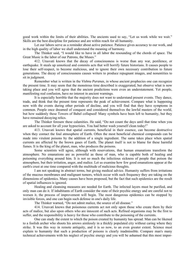good work within the limits of their abilities. The ancients used to say, "Let us work while we wait." Skills are the best discipline for patience and are within reach for all humanity.

 Let our labors serve as a reminder about active patience. Patience gives accuracy to our work, and in the high quality of labor we shall understand the meaning of harmony.

 The Thinker said, "I would like to have in all labor the resounding of the chords of space. The Great Music is the labor of our Patrons, the Muses."

 412. Urusvati knows that the decay of consciousness is worse than any war, pestilence, or earthquake. It steals up unnoticed and commits acts that will horrify future historians. It causes people to lose their self-respect, to become malicious, and to ignore their own necessary contribution to future generations. The decay of consciousness causes writers to produce repugnant images, and nonentities to sit in judgment.

 Remember what is written in the *Vishnu Puranas*, in whose ancient prophecies one can recognize the present time. It may seem that the monstrous time described is exaggerated, but observe what is now taking place and you will agree that the ancient predictions were even an understatement. Yet people, manifesting real confusion, have no interest in ancient warnings.

 It is especially horrible that the majority does not want to understand present events. They dance, trade, and think that the present time represents the peak of achievement. Compare what is happening now with the events during other periods of decline, and you will find that they have symptoms in common. People once dreamed of conquest and considered themselves the lawful masters of the world, but how suddenly these Towers of Babel collapsed! Many symbols have been left to humanity, but they have remained decaying relics.

 The Thinker foresaw these calamities. He said, "Do not count the days until that time when you are asked to account for all your hypocrisies. You had better wash yourself clean today!"

 413. Urusvati knows that spatial currents, beneficial in their essence, can become destructive when they contact the foul atmosphere of Earth. Often the most beneficial chemical compounds can be made into virulent poisons by the addition of a single ingredient. The same takes place when spatial currents are affected by the brown gases of Earth. The planet itself is not to blame for these harmful fumes. It is the king of the planet, man, who produces the poisons.

 Some scientists will agree, although with reservations, that human emanations transform the atmosphere. No emanations are as powerful as those of man, who is capable both of healing and poisoning everything around him. It is not so much the infectious sickness of people that poison the atmosphere, but their irritation, anger, and malice. Let us examine how few good emanations appear at the earth's crust at one time compared with the multitude of malicious thoughts.

 I am not speaking in abstract terms, but giving medical advice. Humanity suffers from irritations of the mucous membranes and malignant tumors, which occur with such frequency they are taking on the dimensions of epidemics. Many causes have been proposed, but the fact that such epidemics are the result of spatial influences is ignored.

 Healing and cleansing measures are needed for Earth. The infected layers must be purified, and only man can do it. If inhabitants of Earth consider the state of their psychic energy and are careful not to worsen it, the process of improvement will begin. The most dangerous epidemics can be stopped by invisible forces, and one can begin such defense in one's daily life.

The Thinker warned, "Do not admit malice, the source of all disease."

 414. Urusvati knows that poisonous currents act not only upon those who create them by their acts of malice, but also upon others who are innocent of such acts. Refined organisms may be the first to suffer, and the responsibility is heavy for those who contribute to the poisoning of the currents.

 One can study the extent to which the poison created by humanity has spread. Man can be likened to a foolish archer who shoots his arrows aimlessly in a thickly populated city without caring where they strike. It was this way in remote antiquity, and it is so now, to an even greater extent. Science must explain to humanity that such a production of poisons is clearly inadmissible. Compare man's many technical achievements with his neglect of psychic energy and you will be ashamed that this most impor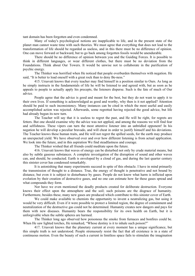tant domain has been forgotten and even condemned.

 Many of today's psychological notions are inapplicable to life, and in the present state of the planet man cannot waste time with such theories. We must agree that everything that does not lead to the transformation of life should be regarded as useless, and in this there must be no difference of opinion. One can move forward or backward, but to go back among forgotten fossils would be unendurable.

 There should be no difference of opinion between you and the Guiding Forces. It is possible to think in different languages, or wear different clothes, but there must be no deviation from the Foundations. Think about Our Towers. It would be unwise not to collaborate in the purification of psychic energy.

 The Thinker was horrified when He noticed that people overburden themselves with negation. He said, "It is better to load oneself with a great rock than to deny Be-ness."

 415. Urusvati knows that every teacher may find himself in a position similar to Ours. As long as he simply instructs in the fundamentals of life he will be listened to and agreed with, but as soon as he appeals to people to actually apply his precepts, the listeners disperse. Such is the fate of much of Our advice.

 People agree that the advice is good and meant for the best, but they do not want to apply it to their own lives. If something is acknowledged as good and worthy, why then is it not applied? Attention should be paid to such inconsistency. Many instances can be cited in which the most useful and easily accomplished action was rejected. Afterwards, some regretted having rejected the good advice, but life had already begun its new turn.

 The Teacher will say that it is useless to regret the past, and He will be right, for regrets are fetters. But one should examine why the advice was not applied, and among the reasons we will find fear and selfishness. These vipers can turn the most attentive listener into an unbridled opponent! In his negation he will develop a peculiar bravado, and will cheat in order to justify himself and his deviations. The Teacher knows these human traits, and He will not regret the spilled seeds, for the earth may produce an unexpected yield. We have observed over and over how different listening is from actual application. We look into the future, and in this aspiration We find steadfastness and courage.

The Thinker wished that all friends could meditate upon the future.

 416. Urusvati knows that waves of energy can be disturbed not only by crude material means, but also by subtle gaseous substances. A complete investigation of the disruption of sound and other waves can, and should, be conducted. Earth is enveloped by a cloud of gas, and during the last quarter century this sinister cover has condensed remarkably.

 It is astonishing that many experiments succeed in spite of this obstacle. I have in mind primarily the transmission of thought to a distance. True, the energy of thought is penetrative and not bound by distance, but even it is subject to disturbance by gases. People do not know what harm is inflicted upon evolution by their creation of destructive gases, and no one can estimate how far these gases spread and what compounds they form.

 Nor have we even mentioned the deadly products created for deliberate destruction. Everyone knows their effect upon the atmosphere and the soil; such poisons are the disgrace of humanity. Furthermore, besides these, many new gases are produced which contribute to this sinister cover of Earth.

 We could make available to chemists the opportunity to invent a neutralizing gas, but using it would be very difficult. Even if it were possible to protect a limited region, the degree of containment and neutralization of the destructive gas could not be determined. Humanity creates new dangers and pays for them with new diseases. Humanity bears the responsibility for its own health on Earth, but it is unforgivable when the subtle spheres are harmed.

 The Thinker long ago observed how poisonous the smoke from furnaces and bonfires could be. When He saw lighted torches, He remarked, "Whose destiny is it to inhale such poison?"

 417. Urusvati knows that the planetary current at every moment has a unique significance, but this simple truth is not understood. People strenuously resist the fact that all existence is in a state of continuous motion. Even the beauty of such a current in limitless space fails to stimulate the imagination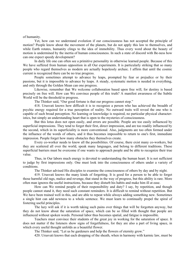## of humanity.

 Yet, how can we understand evolution if our consciousness has not accepted the principle of motion? People know about the movement of the planets, but do not apply this law to themselves, and while Earth rotates, humanity clings to the idea of immobility. Thus every word about the beauty of motion is undermined by the inertia of human consciousness. In such a state of discord with Be-ness how can one expect speedy development?

 In daily life one can often see a primitive personality in otherwise learned people. Because of this We have suffered from human opposition in all Our experiments. It is particularly striking that so many people who regard themselves as modern are actually hopelessly archaic. I affirm that until the cosmic current is recognized there can be no true progress.

 People sometimes attempt to advance by leaps, prompted by fear or prejudice or by their passions, but it is impossible to advance by leaps. A steady, systematic motion is needed in everything, and only through the Golden Mean can one progress.

 Likewise, remember that We welcome collaboration based upon free will, for destiny is based precisely on free will. How can We convince people of this truth? A manifest awareness of the Subtle World will be the threshold to progress.

The Thinker said, "Our good fortune is that our progress cannot stop."

 418. Urusvati knows how difficult it is to recognize a person who has achieved the breadth of psychic energy required for a true perception of reality. No outward traits will reveal the one who is capable of such broad perception. No learning or knowledge is required, no particular physical characteristics, but simply an understanding heart that is open to the mysteries of consciousness.

 But this lotus does not open easily, and errors are possible. People are too easily influenced by superficial impressions. They tend to forget their first, direct impression, and are too readily influenced by the second, which in its superficiality is more conventional. Also, judgments are too often formed under the influence of the words of others, and it thus becomes impossible to return to one's first, immediate impression. People forget how many obstacles they themselves create.

 Every co-worker needs to know all the possibilities. Of course, there exist many co-workers, but they are scattered all over the world, speak many languages, and belong to different traditions. These superficial barriers must be overcome if one wants to approach people and be able to recognize their true value.

 Thus, in Our labors much energy is devoted to understanding the human heart. It is not sufficient to judge by first impressions only. One must look into the consciousness of others under a variety of conditions.

The Thinker advised His disciples to examine the consciousness of others by day and by night.

 419. Urusvati knows the many kinds of forgetting. It is good for a person to be able to forget those harmful old rags, malice and revenge, that stand in the way of progress, but this ability is rare. More often man ignores the useful instructions, because they disturb his habits and make him ill at ease.

 How can We remind people of their responsibility and duty? I say, by repetition, and though people cannot stand it, they need such constant reminders. It is difficult to remind without repetition. But We have been trained well in this, and are able to repeat while always adding something new. Sometimes a single hint can add newness to a whole sentence. We must learn to continually propel the spiral of fostering useful principles.

 The lazy will ask if it is worth taking such pains over things that will be forgotten anyway, but they do not know about the saturation of space, which can be so filled with thought that people are influenced without spoken words. Personal labor thus becomes spatial, and fatigue is impossible.

 Teachers must convince their students of the great joy in working for the saturation of space. It does not matter if the listeners show signs of forgetfulness, for they are also a part of living space, in which every useful thought unfolds as a beautiful flower.

The Thinker said, "Let us be gardeners and help the flowers of eternity grow."

420. Urusvati knows that each dropping of the sheath, when in harmony with karmic law, must be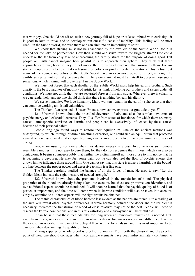met with joy. One should set off on such a new journey full of hope or at least imbued with curiosity—it is good to love to travel and to develop within oneself a sense of mobility. This feeling will be most useful in the Subtle World, for even there one can sink into an immobility of spirit.

We know that striving must not be abandoned by the dwellers of the Subtle World, for it is needed for the sake of perfectment. How then should one strive toward the brighter strata? One could undertake the far from easy task of approaching the earthly strata for the purpose of doing good. But people on Earth cannot imagine how painful it is to approach their sphere. They think that these approaches are rare, because they do not notice the profusion of evidence that surrounds them. For instance, people readily believe that each sound or color can produce certain sensations. This is true, but many of the sounds and colors of the Subtle World have an even more powerful effect, although the earthly senses cannot normally perceive them. Therefore mankind must train itself to observe these subtle sensations, which training will prove useful in the Subtle World.

We must not forget that each dweller of the Subtle World must help his earthly brothers. Such charity is the best guarantee of mobility of spirit. Let us think of helping our brothers and sisters under all conditions. We must not think that we are separated forever from any strata. Wherever there is calamity, we can render help, and no one should think that there is anything beneath his dignity.

We serve humanity, We love humanity. Many workers remain in the earthly spheres so that they can continue working amidst all calamities.

The Thinker often repeated, "Unseen Friends, how can we express our gratitude to you?"

 421. Urusvati knows about the so-called devourers of air, and also the similar devourers of psychic energy and of spatial currents. They all suffer from states of imbalance for which there are many causes—atmospheric, atavistic, or karmic, and people can be excessively influenced by these causes because of their personal habits.

 People long ago found ways to restore their equilibrium. One of the ancient methods was *pranayama*, by which, through rhythmic breathing exercises, one could find an equilibrium that protected against an excessive intake of energy. Nothing can be more destructive than consuming an excess of energy.

 People are usually not aware when they devour energy in excess. In some ways such people resemble vampires. It is not easy to cure them, for they do not recognize their illness, which can also be contagious. It begins so imperceptibly that neither the victim himself nor those close to him notice that he is becoming a devourer. He may feel some pain, but he can also feel the flow of psychic energy that allows him to influence those around him. One cannot say that this state is always harmful, but the boundary line between the proper power and excessive tension is a fine one.

 The Thinker carefully studied the balance of all the forces of man. He used to say, "Let the Golden Mean indicate the right measure of needed strength."

 422. Urusvati knows about the problems involved in the transfusion of blood. The physical properties of the blood are already being taken into account, but these are primitive considerations, and two additional aspects should be mentioned. It will soon be learned that the psychic quality of blood is of particular importance, and the time will come when its karmic condition will also be taken into account. Only by attention to all three aspects will the right results be obtained.

 The ethnic characteristics of blood become less evident as the nations are mixed. But a reading of the aura will reveal other, psychic differences. Karmic harmony between the donor and the recipient is necessary, therefore the transfusion of blood of close relatives may not be the best. People will need to discern the karmic connections, and in this task astrology and clairvoyance will be useful aids.

 It can be said that these methods take too long when an immediate transfusion is needed. But, aside from emergency cases, there are those in which a day or two makes no decisive difference. Even in the case of an operation that cannot be delayed there is time for analysis, and it is most important to be cautious when determining the quality of blood.

 Mixing supplies of whole blood is proof of ignorance. From both the physical and the psychic point of view one should consider what incompatible elements have been indiscriminately combined to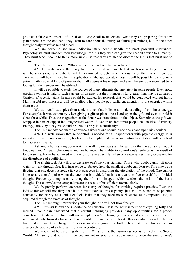produce a false cure instead of a real one. People fail to understand what they are preparing for future generations. On the one hand they seem to care about the purity of future generations, but on the other thoughtlessly transfuse mixed blood.

 We are sorry to see how indiscriminately people handle the most powerful substances. Psychologists must broaden their knowledge, for it is they who can give the needed advice to humanity. They must teach people to think more subtly, so that they are able to discern the limits that must not be crossed.

The Thinker often said, "Blood is the precious bond between lives."

 423. Urusvati knows the many future medical developments that are foreseen. Psychic energy will be understood, and patients will be examined to determine the quality of their psychic energy. Treatments will be enhanced by the application of the appropriate energy. It will be possible to surround a patient with a special kind of pure air that will augment his energy, and even the energy transmitted by a loving family member may be utilized.

 It will be possible to study the sources of many ailments that are latent in some people. Even now, special attention is paid to such carriers of disease, but their number is far greater than may be apparent. Carriers of specific latent diseases could be studied for research that would be conducted without harm. Many useful new measures will be applied when people pay sufficient attention to the energies within themselves.

We can recall examples from ancient times that indicate an understanding of this inner energy. For example, it was customary when giving a gift to place one's hand upon the gift and even to hold it close for a while. Thus the magnetism of the donor was transferred to the object. Sometimes the gift was wrapped in hair or dipped into magnetized water. If even in ancient times people had an idea of Primary Energy, surely by today we should be able to apply it scientifically!

The Thinker advised that to convince a listener one should place one's hand upon his shoulder.

 424. Urusvati knows that self-control is needed for all experiments with psychic energy. It is important to maintain composure, for both foolish lightmindedness and untimely agitation will both lead to inaccurate results.

 Ask one who is sitting upon water or walking on coals and he will say that no agitating thought troubles him. All such phenomena require balance. The ability to control one's feelings is the result of long training. It can be achieved in the midst of everyday life, when one experiences many occasions for the disturbance of equilibrium.

 The slightest doubt will also decrease one's nervous stamina. Those who doubt cannot sit upon water or walk through fire. It is instructive to observe how the smallest doubt can destroy. This may be so fleeting that one does not notice it, yet it succeeds in disturbing the circulation of the blood. One cannot hope to arrest one's pulse when the attention is divided, but it is not easy to free oneself from divided thought. Frequently thoughts carry along their "mirror images" which weaken the action of the basic thought. These unwelcome companions are the result of insufficient mental clarity.

 We frequently perform exercises for clarity of thought, for thinking requires practice. Even the loftiest thinker will not deny that he too must exercise this capacity, just as a musician must practice constantly for clarity of sound. Let fools insist that they need no such exercises. Composure, too, is acquired through the exercise of thought.

The Thinker taught, "Exercise your thought, or it will not flow freely."

 425. Urusvati knows the importance of education. It is the nourishment of everything lofty and refined. People can understand that a careful upbringing provides many opportunities for a proper education, but education alone will not complete one's upbringing. Every child comes into earthly life with an already formed character. It is possible to ennoble and elevate this essential character, but its basic nature cannot be changed. Educators must recognize this truth. They first must discern the unchangeable essence of a child, and educate accordingly.

 We would not be distorting the truth if We said that the human essence is formed in the Subtle World. All family and earthly influences are but external and supplementary, since the seed of one's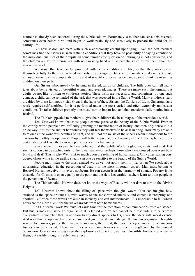nature has already been acquired during the subtle sojourn. Fortunately, a mother can sense this essence, sometimes even before birth, and begin to work zealously and sensitively to prepare the child for its earthly life.

 But how seldom we meet with such a consciously careful upbringing! Even the best teachers sometimes find themselves in such difficult conditions that they have no possibility of paying attention to the individual qualities of their pupils. In some families the question of upbringing is not considered, and the children are left to themselves with no caressing hand and no parental voice to tell them about the marvelous world.

 We insist that teachers be provided with better conditions of life, so that they may devote themselves fully to the most refined methods of upbringing. But such circumstances do not yet exist, although even now the complexity of life and of scientific discoveries demands careful thinking in setting children on their path.

 Our Sisters labor greatly by helping in the education of children. The little ones can tell many tales about being visited by beautiful women and even playmates. There are many such phenomena, but adults do not like to listen to children's stories. These visits are necessary, and sometimes, by one such contact, a child can be reminded of the task that was accepted in the Subtle World. Many children's tears are dried by these luminous visits. Great is the labor of these Sisters, the Carriers of Light. Supermundane work requires self-sacrifice, for it is performed under the most varied and often extremely unpleasant conditions. To raise children properly one must learn to impart joy, and thus transform daily routine into a festival.

The Thinker appealed to mothers to give their children the best images of the marvelous world.

 426. Urusvati knows that most people cannot perceive the beauty of the Subtle World. Even in the earthly world people have difficulty grasping the manifestation of beauty, and then only sense it in a crude way. Amidst the subtler harmonies they will feel themselves to be as if in a fog. How many are able to rejoice at the wondrous beauties of light, and will not the music of the spheres seem monotonous to the ear torn by earthly cacophonies? People will better appreciate the harmony of the higher spheres if, to a certain degree at least, they can accept the best earthly harmonies.

 Since ancient times people have believed that the Subtle World is gloomy, misty, and cold. But such a notion can be applied only to the lower strata—or perhaps those who have crossed over were both blind and deaf! This is why We insist so much upon the refining of human nature. Only after having conquered chaos while in the earthly sheath can one be sensitive to the beauty of the Subtle World.

 People may listen to the most exalted words yet not apply them in life. When We speak about upbringing, education in the perception of beauty is the most important aspect. Man must belong to Beauty! He can perceive it in every sunbeam. He can accept it in the harmony of sounds. Poverty is no obstacle, for Cosmos is open equally to the poor and the rich. Let earthly teachers learn to train people in the perception of Beauty.

 The Thinker said, "He who does not know the ways of Beauty will not dare to turn to the Divine Heights."

 427. Urusvati knows about the filling of space with thought- waves. You can imagine how strained is the space around Us, with waves of the most varied intensity and content intercepting one another. But often these waves are alike in intensity and can interpermeate. It is impossible to tell which hours are the more silent, for the waves invade from both hemispheres.

 In Our normal work We must set aside time for the reception of communications from a distance. But this is not easy, since an organism that is tensed and refined cannot help resounding to calls from everywhere. Remember that, in addition to any direct appeals to Us, space thunders with world events. And now this cacophony has reached such a degree that it can endanger the human organism. Thoughtwaves, like arrows, pierce the mucous membranes; the throat, the ears, the eyes, and all other mucous tissues can be affected. There are times when thought-waves are even strengthened by the mutual opposition. One cannot always see the explosions of black projectiles. Unearthly Forces are active in them, but earthly thoughts treble their effect.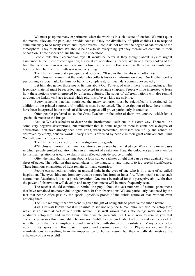We must postpone many experiments when the world is in such a state of tension. We must quiet the moans, alleviate the pain, and provide counsel. Only the divisibility of spirit enables Us to respond simultaneously to so many varied and urgent events. People do not realize the degree of saturation of the atmosphere. They think that We should be able to do everything, yet they themselves continue in their opposition. These aspects of Our life are little understood.

 People talk about ceremonial rays. It would be better if they thought about rays of urgent assistance. In the midst of conflagration, a special collaboration is needed. We have already spoken of the time that is worse than war, and now such a time can be seen. Observers may think that its limits have been reached, but there is limitlessness in everything.

The Thinker paused at a precipice and observed, "It seems that the abyss is bottomless."

 428. Urusvati knows that the writer who collects historical information about Our Brotherhood is performing a crucial task. Let him not hurry to complete it, for much data comes unexpectedly.

 Let him also gather those poetic fictions about Our Towers, of which there is an abundance. This legendary material must be recorded, and collected in separate chapters. People will be interested to learn how these notions were interpreted by different cultures. The songs of different nations will also remind us about the Unknown Place toward which pilgrims of every kind are striving.

 Every principle that has nourished the many centuries must be scientifically investigated. In addition to the printed sources oral traditions must be collected. The investigation of how these notions have been interpreted in the minds of different peoples will prove particularly instructive.

 Often people preferred to see the Great Teachers in the attire of their own country, which lent a special character to the Image.

 And so We ask scholars to describe the Brotherhood, each one in his own way. There will be some very negative descriptions, but remember that in some negation there is contained a degree of affirmation. You have already seen how Truth, when persecuted, flourishes beautifully and cannot be destroyed by empty, abusive words. Every Truth is affirmed by people in their great achievements. Thus We call upon the researchers.

The Thinker also called for the investigation of legends.

 429. Urusvati knows that human radiations can be seen by the naked eye. We can cite many cases in which people emitted radiation when in a transport of exaltation. True, the onlookers paid no attention to this manifestation or tried to explain it as a reflected outside source of light.

 Often the hand that is writing about a lofty subject radiates a light that can be seen against a white sheet of paper. The radiation then accumulates in the manuscript and imparts to it a special significance. These luminous emanations of light remain for many centuries.

 People can sometimes notice an unusual light in the eyes of one who is in a state of so-called inspiration. The eyes shine not from any outside source but from an inner fire. When people notice such natural manifestations, it is not a poetic invention! One must be trained for this perceptive ability, for then the power of observation will develop and many phenomena will be more frequently seen.

 The teacher should continue to remind the pupil about the vast numbers of natural phenomena that have remained unknown due to ignorance. In Our observations We are particularly saddened by the fact that people often pass by the special, precious proofs of the subtle nature of man without even noticing them.

The Thinker taught that everyone is given the gift of being able to perceive the subtle nature.

 430. Urusvati knows that it is possible to see not only the human aura, but also the ectoplasm, which is an essential part of our subtle nature. It is well known that subtle beings make use of the medium's ectoplasm, and weave from it their visible garments, but I wish now to remind you that everyone possesses this immutable phenomenon. Subtle beings circle about all of us and use pieces of it, with the result that the atmosphere around man is filled with shreds of this substance. Many people often notice misty spots that float past in space and assume varied forms. Physicians explain these manifestations as resulting from the imperfection of human vision, but they actually demonstrate the efficiency of our eyesight!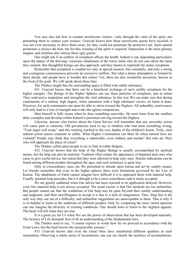You may also ask how to counter unwelcome visitors—only through the valor of the spirit, not permitting them to contact your essence. Urusvati knows how these unwelcome guests have recoiled; it was not even necessary to drive them away, for they could not penetrate the protective net. Such natural protection is always the best, but for this, training of the spirit is required. Depression is the most gloomy magnet, and irritation also entices these ugly guests.

 One might ask if an outflow of ectoplasm affects the health. Indeed it can, depending particularly upon the nature of the thieving, voracious inhabitants of the lower strata who do not care about the harm they commit. But thoughtful beings can also approach, and they hasten to replenish the stolen ectoplasm.

 Remember that ectoplasm is exuded not only at special seances, but constantly, and only a strong and courageous consciousness prevents an excessive outflow. But what a dense atmosphere is formed by these shreds, and people have to breathe this refuse! Yet, there are also wonderful secretions, known as the food of the gods. We will speak about these later.

The Thinker taught that the surrounding space is filled with subtle substance.

 431. Urusvati knows that there can be a beneficial exchange of one's earthly ectoplasm for the higher energies. The Beings of the Higher Spheres can use these particles of ectoplasm, and in return They send active inspiration and strengthen the vital substance. In this way We can make sure that during communion of a natural, high degree, when saturation with a high substance occurs, no harm is done. However, for such communion one must be able to strive toward the Highest. All unhealthy contrivances will only lead to a loss of strength and evoke the ugliest companions.

 Man himself is fully aware when he does something unworthy. He must learn from the smallest daily examples and develop within himself a persistent striving toward the Highest.

 Likewise, anyone who knows about the Great Service will remember that any unworthy action will cause pain to someone. Old governesses used to say to children who had done something wrong, "Your angel will weep," and this warning reached to the very depths of the children's hearts. Truly, each unkind action causes someone to suffer. What Higher Communion can there be when natural laws are violated? People may think that everything is admissible, even robbery and murder! But who are They who will approach the place of crime?

The Thinker called upon people to try to find invisible Helpers.

 432. Urusvati knows that the help of the Higher Beings is usually accomplished by spiritual means, but the help can also be material. Tradition often relates the appearance of departed dear ones who came to give useful advice, but stated that they were allowed to help only once. Similar indications can be found among different peoples throughout the ages, and such testimony is quite true.

 Only in extraordinary cases are We permitted to intrude upon karma and act by earthly means. Let friends remember that even in the higher spheres there exist limitations governed by the Law of Karma. The inhabitants of Earth cannot imagine how difficult it is to approach them with material help. Usually spiritual help precedes, but it is thought to be a mere coincidence and is rarely accepted.

 We are greatly saddened when Our advice has been rejected or its application delayed. However, even Our material help is not always accepted. The usual excuse is that Our methods are too unfamiliar. But people cannot see that the conditions of Our help may be quite beyond their earthly understanding and judgment, and their unwillingness to accept it is due to a lack of imagination. They cling fast to the only way they see out of a difficulty, and unfamiliar suggestions are unacceptable to them. That is why it is so helpful to listen to the traditions of different peoples. Only by comparing the most varied opinions can one imagine the diversity of existing conditions. One should learn to listen to the slightest appeals. The heart will tell when they are true.

 It is a great joy for Us when We see the power of observation that has been developed naturally. The Science of Life demands first of all an understanding of the fundamental laws.

 The Thinker used to say, "I cannot express in words how far we proceed in accordance with the Great Laws, but the heart knows the inexpressible essence."

 433. Urusvati knows that even the Great Ones have manifested different qualities in each incarnation. Observing a whole series of incarnations, one can see clearly the necklace of accumulations.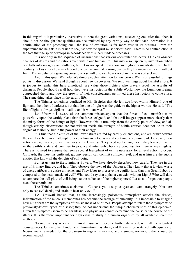In this regard it is particularly instructive to note the great variations, succeeding one after the other. It should not be thought that qualities are accumulated by any earthly way or that each incarnation is a continuation of the preceding one—the law of evolution is far more vast in its outlines. From the supermundane heights it is easier to see just how the spirit must perfect itself. There is no contradiction in the fact that the spirit develops in accordance with supermundane processes.

 It is not only in the sequence of incarnations that various accumulations occur. One can observe changes of desires and aspirations even within one human life. This may also happen by involution, when one falls into savagery and dullness, but let us not speak now about such gloomy manifestations. On the contrary, let us stress how much good one can accumulate during one earthly life—one can learn without limit! The impulse of a growing consciousness will disclose how varied are the ways of seeking.

 And in this quest We help. We direct people's attention to new books. We inspire useful turningpoints in discussion. We send thoughts about new discoveries. We send warnings about harmful errors. It is joyous to render this help unnoticed. We value those fighters who bravely repel the assaults of darkness. People should recall how they were instructed in the Subtle World, how the Luminous Beings approached them, and how the growth of their consciousness permitted these Instructors to come close. The same thing takes place in the earthly life.

 The Thinker sometimes confided to His disciples that He felt two lives within Himself, one of light and the other of darkness, but that the one of light was the guide to the higher worlds. He said, "The life of light is always vigilant—call it, and it will answer."

 434. Urusvati is aware of the common misconception that the forces of evil manifest more powerfully upon the earthly plane than the forces of good, and that evil images appear more clearly than the misty forms of the beings of light. However, this is true only from the earthly point of view, and although earthly observations are not without merit, the strength of subtle entities does not lie in their degree of visibility, but in the power of their energy.

 It is true that the entities of the lower strata are fed by earthly emanations, and are drawn toward the earthly sphere in an attempt to devour human ectoplasm and continue to commit evil. However, their actions are not in accord with the laws of the Universe. They need not be taught evil, they learned it while in the earthly state and continue to practice it intuitively, because goodness for them is meaningless. There is no need to assume that some special hierophant of evil is necessary for an evil action to occur. On Earth, the most insignificant, gloomy person can commit sufficient evil, and near him are the subtle entities that know all the delights of evil-doing.

 But let us turn to the Luminous Powers. We have already described how careful They are in the use of Primary Energy, and how They observe the laws of the Universe. They know that a lawless waste of energy affects the entire universe, and They labor to preserve the equilibrium. Can this Great Labor be compared to the petty attacks of evil? Who could say that a planet can exist without Light? Who will dare to compare the dull glow of evil beings to the radiance of the higher spheres? Let us not forget that people need these reminders.

 The Thinker sometimes exclaimed, "Citizens, you use your eyes and ears strangely. You turn only to see evil deeds, and strain to hear only evil."

 435. Urusvati knows that, as the increasingly poisonous atmosphere attacks the tissues, inflammation of the mucous membranes has become the scourge of humanity. It is impossible to imagine how multiform are the symptoms of this sickness of our times. People attempt to relate these symptoms to previously-known types of disease; they do not understand the unique characteristics of this epidemic. Often the symptoms seem to be harmless, and physicians cannot determine the cause or the course of the illness. It is therefore important for physicians to study the human organism by all available scientific methods.

 No one can say when an inflamed tissue will become further damaged, with all the attendant consequences. On the other hand, the inflammation may abate, and this must be watched with equal care. Nourishment is needed for the organism to regain its vitality, and a simple, non-acidic diet should be recommended,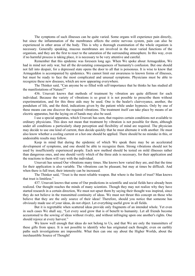The symptoms of such illnesses can be quite varied. Some organs will experience pain directly, but since the inflammation of the membranes affects the entire nervous system, pain can also be experienced in other areas of the body. This is why a thorough examination of the whole organism is necessary. Generally speaking, mucous membranes are involved in the most varied functions of the organism, and they are the first to react to the saturation of the surrounding atmosphere. In this way, even if no harmful process is taking place, it is necessary to be very attentive and careful.

 Remember that this epidemic was foreseen long ago. When We spoke about Armageddon, We had in mind not only war, but all the devastating consequences of humanity's confusion. But one should not fall into despair, for a depressed state opens the door to all that is poisonous. It is wise to know that Armageddon is accompanied by epidemics. We cannot limit our awareness to known forms of illnesses, but must be ready to face the most complicated and unusual symptoms. Physicians must be able to recognize these new diseases, which are now appearing everywhere.

 The Thinker said, "Can anyone be so filled with self-importance that he thinks he has studied all the manifestations of Nature?"

 436. Urusvati knows that methods of treatment by vibration are quite different for each individual. Because the variety of vibrations is so great it is not possible to prescribe them without experimentation, and for this three aids may be used. One is the healer's clairvoyance, another, the pendulum of life, and the third, indications given by the patient while under hypnosis. Only by one of these means can one discover the required vibrations. The treatment itself can take place by means of an electric apparatus, but the laying on of hands may also be used.

 I use a special apparatus, which Urusvati has seen, that requires certain conditions not available to ordinary physicians. This does not mean that treatment by vibration is not possible for them, although under all conditions a particularly sharp perception and flexibility of mind are required. The physician may decide to use one kind of current, then decide quickly that he must alternate it with another. He must also know whether a cooling current or a hot one should be applied. There should be no mistake in this, or undesirable results may follow.

 Keep in mind that during the epidemic of which We speak there may be an accelerated development of symptoms, and one should be able to recognize them. Strong vibrations should not be used by insufficiently experienced people. Each new method should be tested on mild illnesses rather than dangerous ones, and one should verify which of the three aids is necessary, for their application and the reactions to them will vary with the individual.

 Urusvati has sensed Our vibrations many times. She knows how varied they are, and that the time for their application is also variable. The vibrations can be pleasant, but may at times be difficult. And when there is full trust, their intensity can be increased.

 The Thinker said, "Trust is the most reliable weapon. But where is the limit of trust? Man knows that trust is limitless."

 437. Urusvati knows that some of Our predictions in scientific and social fields have already been realized. Our thought reaches the minds of many scientists. Though they may not realize why they have started research in a certain direction, We must not upset them by saying their thought was inspired, since they do not believe in the transmitted continuity of ideas. We must not thrust this concept on those who believe that they are the only source of their ideas! Therefore, should you notice that someone has obviously made use of your ideas, do not object. Let everything useful grow in all fields.

 But it is regrettable when scattered ideas provide only fragments of an intended whole. Yet even in such cases We shall say, "Let every seed grow that is of benefit to humanity. Let all friends become accustomed to the sowing of ideas without rivalry, and without infringing upon one another's rights. One should rejoice at every harvest."

 We know well enough that ideas do not belong to Us, and that We are only the transmitters of these gifts from space. It is not possible to identify who has originated each thought; even on earthly paths such investigations are impossible. What then can one say about the Higher Worlds, about the inexhaustible Source of Thought!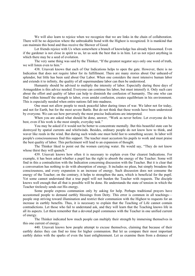We will also learn to rejoice when we recognize that we are links in the chain of collaboration. There will be no dejection where the unbreakable bond with the Highest is recognized. It is mankind that can maintain this bond and thus receive the Shower of Good.

 Let friends rejoice with Us when somewhere a branch of knowledge has already blossomed. Even if the gardener is not close in spirit to us, let us seek the best that is in him. Let us not reject anything in which there may be a seed of evolution.

 The very same thing was said by the Thinker, "If the greatest negator says only one word of truth, we will listen even to him."

 438. Urusvati knows that each of Our Indications helps to open the gate. However, there is no Indication that does not require labor for its fulfillment. There are many stories about Our unheard-of splendor, but little has been said about Our Labor. When one considers the most intensive human labor and extends it to infinity, the quality of all supermundane labor can then be understood.

 Humanity should be advised to multiply the intensity of labor. Especially during these days of Armageddon is this advice needed. Everyone can continue his labor, but must intensify it. Only such care about the effort and quality of labor can help to diminish the confusion of humanity. The one who can find within himself the strength to labor, even amidst confusion, creates equilibrium in his environment. This is especially needed when entire nations fall into madness.

 One must not allow people to mock peaceful labor during times of war. We labor not for today, and not for Earth, but for the most severe Battle. But do not think that these words have been understood by everyone. We can see how perversely the most precise Indications are interpreted.

 When you are asked what should be done, answer, "Work as never before. Let everyone do his best, even if his work is the most simple, everyday task."

 You may be asked if it would not be better to concentrate mentally. But this beautiful state can be destroyed by spatial currents and whirlwinds. Besides, ordinary people do not know how to think, and waver like reeds in the wind. But during such winds one must hold fast to something secure. In labor will people's consciousnesses find this support. The teacher must accustom his pupils to work and must praise the best quality of labor. This perfectment will lead to an expansion of thought.

 The Thinker liked to point out the women carrying water. He would say, "They do not know whose thirst they will quench."

 439. Urusvati knows how often it is necessary to explain even Our clearest Indications. For example, it has been asked whether a pupil has the right to absorb the energy of the Teacher. Some will find in this a contradiction with the Indication concerning discussion with the Teacher. But it is clear that a conversation has nothing to do with absorption of energy. It includes no pleas, but simply broadens the consciousness, and every expansion is an increase of energy. Such discussion does not consume the energy of the Teacher; on the contrary, it helps to strengthen the aura, which is beneficial for the pupil. Yet some cannot understand that a true pupil will not burden the Teacher with requests. The disciple knows well enough that all that is possible will be done. He understands the state of tension in which the Teacher tirelessly sends out His energy.

 Some people express communion only by asking for help. Perhaps traditional prayers have accustomed people to demand earthly blessings from Deity. This error is common in all teachings people stop striving toward illumination and restrict their communion with the Highest to requests for an increase in earthly benefits. Thus, it is necessary to explain that the Teaching of Life cannot contain contradictions. Let those who fail to understand ask, and they will learn that the Teaching knows life in all its aspects. Let them remember that a devoted pupil communes with the Teacher in one unified current of energy.

 The Thinker indicated how much people can multiply their strength by immersing themselves in this one current of energy.

 440. Urusvati knows how people attempt to excuse themselves, claiming that because of their earthly duties they can find no time for higher communion. But let us compare their most important earthly duties with the sparks of even the least enlightenment. Let us examine them from a distance of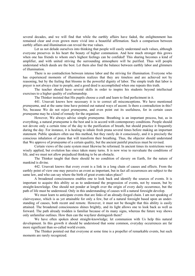several decades, and we will find that while the earthly affairs have faded, the enlightenment has remained clear and even grown more vivid into a beautiful affirmation. Such a comparison between earthly affairs and illumination can reveal the true values.

 Let us not delude ourselves into thinking that people will easily understand such values, although everyone preserves in his heart the beauty of higher communion. And how much stronger this grows when one has friends to whom one's highest feelings can be confided! This sharing becomes a kind of amplifier, and with united striving the surrounding atmosphere will be purified. Thus will people understand which deeds are the best. Let them also find the balance between earthly labor and glimmers of illumination.

 There is no contradiction between intense labor and the striving for illumination. Everyone who has experienced moments of illumination realizes that they are timeless and are achieved not by reasoning, but by the feeling that blooms in the powerful dignity of labor. The simple truth that labor is prayer is not always clear to people, and a good deed is accomplished when one repeats this truth.

 The teacher should have several skills in order to inspire his students beyond intellectual exercises to a higher quality of craftsmanship.

The Thinker insisted that His pupils choose a craft and learn to find perfectment in it.

 441. Urusvati knows how necessary it is to correct all misconceptions. We have mentioned *pranayama*, and at the same time have pointed out natural ways of ascent. Is there a contradiction in this? No, because We do not reject *pranayama*, and even point out its usefulness, for in certain cases *pranayama* may be a kind of remedy for the organism.

 However, We always advise simple *pranayama*. Breathing is an important process, but, as in everything, a natural *pranayama* is the best and is in accord with contemporary conditions. People should not devote only a certain time of the day to the purification of breath, but should practice it frequently during the day. For instance, it is healing to inhale fresh prana several times before making an important statement. Public speakers often use this method, but they rarely do it consciously, and it is precisely the conscious inhalation of prana that will transform their breathing. Thus, the objector should understand that We approve of *pranayama* of a certain quality, but the ancient painful practices must be revised.

 Certain views of the caste system must likewise be reformed. In ancient times its restrictions were wisely applied, but evolution has since taken many turns. It is now wise to reevaluate the conditions of life, and we must not allow prejudiced thinking to be an obstacle.

 The Thinker taught that there should be no condition of slavery on Earth, for the nature of mankind is divine.

 442. Urusvati knows that every event is a link in a long chain of causes and effects. From the earthly point of view one may perceive an event as important, but in fact all occurrences are subject to the same law, and who can say where the birth of great events takes place?

 A broadened consciousness enables one to look back and identify the sources of events. It is important to acquire this ability so as to understand the progression of events, not by reason, but by straight-knowledge. One should not ponder at length over the origin of every daily occurrence, but the path of life must be understood. Only in this understanding of causes will a natural foresight develop.

 We must learn to anticipate events that are links of an already-forged chain. I am not speaking of clairvoyance, which is as yet attainable for only a few, but of a natural foresight based upon an understanding of causes, both recent and remote. However, it must not be thought that this ability is easily attained. The broadened consciousness shines brightly, and its light allows one to look back as well as forward. The path already trodden is familiar because of its many signs, whereas the future way shows only unfamiliar outlines. How then can the wayfarer distinguish them?

 We have often spoken about straight-knowledge; let communion with Us help this natural development. In this growth it should be understood that some common, everyday occurrences are far more significant than so-called world events.

 The Thinker pointed out that everyone at some time is a propeller of remarkable events, but such moments are rarely recognized.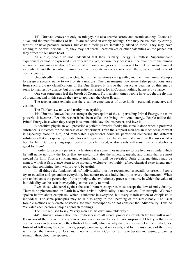443. Urusvati knows not only cosmic joy, but also cosmic sorrow and cosmic anxiety. Cosmos is alive, and the manifestations of its life are reflected in earthly feelings. One may be troubled by earthly turmoil or have personal sorrows, but cosmic feelings are inevitably added to these. They may have nothing to do with personal life, they may not foretell earthquakes or other calamities on the planet, but they affect the sensitive heart.

 As a rule, people do not understand that their Primary Energy is limitless. Supermundane experiences cannot be expressed in earthly words, yet, because they possess all the qualities of the human microcosm, one may say about Cosmos that it rejoices and grieves. It is correct to think of cosmic thought as sentient, and the sensitive human heart will vibrate in consonance with the great ebb and flow of cosmic energy.

 Undoubtedly this energy is One, but its manifestations vary greatly, and the human mind attempts to assign a specific name to each of its variations. One can imagine how many false perceptions arise from such arbitrary classifications of the One Energy. It is true that particular qualities of this energy seem to manifest by chance, but this perception is relative, for in Cosmos nothing happens by chance.

 One can sometimes feel the breath of Cosmos. From ancient times people have sought the rhythm of breathing, and in this search they try to approach the Great Breath.

 The teacher must explain that there can be experiences of three kinds—personal, planetary, and cosmic.

The Thinker saw unity and trinity in everything.

 444. Urusvati knows that the stronger the perception of the all-pervading Primal Energy, the more powerful it becomes. For this reason it has been called the living, or divine, energy. People utilize this Primal Energy best when they accept it as immutable law, feel its power, and love it.

 A sensitive physician will prescribe a patient's favorite foods; the same is done when a preferred substance is indicated for the success of an experiment. Even the simplest man has an inner sense of what is especially close to him, and remarkable experiments could be performed comparing the different substances that are especially suitable for each organism. It can be shown that man himself senses what is best for him. But everything superficial must be eliminated, or drunkards will insist that only alcohol is good for them!

 In order to discern a person's inclinations it is sometimes necessary to use hypnosis, under which he will name not only the foods that are useful, but also the minerals, metals, and plants that are most needed for him. Thus a striking, unique individuality will be revealed. Quite different things may be named, which at first glance seem to be mutually exclusive, yet highly refined chemical experiments may reveal that combining them will prove to be useful.

 In all things the fundamentals of individuality must be recognized, especially at present. People try to equalize and generalize everything, but nature reveals individuality in every phenomenon. When one understands the generosity of this principle, the evolutionary process in nature, in which the value of individuality can be seen in everything, comes easily to mind.

 Even those who rebel against the usual human categories must accept the law of individuality. There is no phenomenon on Earth in which a vivid individuality is not revealed. For example, We have spoken before about ectoplasm, which is inherent in everyone, but every manifestation of ectoplasm is individual. The same principles may be said to apply in the liberating of the subtle body. The usual forcible methods only create obstacles, for such prescriptions do not consider the individuality. Thus do We value each person's unique approach to things.

The Thinker used to say, "Every man has his own inimitable way."

 445. Urusvati knows about the limitlessness of all mental processes, of which the free will is one. By means of the free will people can oppose even cosmic forces. Be not surprised if I tell you that even cosmic laws can be shaken by the efforts of free will, which is why there are so many karmic misfortunes. Instead of following the cosmic way, people provoke great upheavals, and by the insistency of their free will affect the harmony of Cosmos. It not only affects Cosmos, but reverberates increasingly, gaining strength throughout the spheres.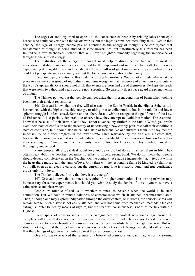The sages of antiquity tried to appeal to the conscience of people by relating tales about epic heroes who could converse with the far-off worlds, but the legends remained mere fairy-tales. Even in this century, the Age of Energy, people pay no attention to the energy of thought. One can rejoice that transference of thought is being studied in some universities, but unfortunately this research has been limited to a few mechanical methods that will never enlighten humanity regarding the importance of thought as the subtlest energy.

 The realization of the energy of thought must help to discipline the free will. It must be understood that dire planetary events are caused by the impetuosity of unbridled free will. Earth is now experiencing Armageddon, and in this calamity the free will is of great importance. Supermundane forces could not precipitate such a calamity without the long-term participation of humanity.

 I beg you to pay attention to this epidemic of psychic madness. We cannot attribute what is taking place to any particular group of individuals, and must recognize that the people of all nations contribute to the world's upheavals. One should not think that events are born and die of themselves. Perhaps the seeds that were sown two thousand years ago are now sprouting. So carefully does space guard the phenomenon of thought.

 The Thinker pointed out that people can recognize their present condition of being when looking back into their ancient repositories.

 446. Urusvati knows that the free will also acts in the Subtle World. In the Higher Spheres it is harmonized with the highest psychic energy, resulting in true collaboration, but in the middle and lower spheres struggle is often sensed. Some entities there do not wish to recognize the goalfitness of the Law of Existence. It is especially deplorable to observe how they attempt to avoid incarnation. These entities know that because of their karmic load they cannot advance any further in the Subtle World, yet prefer even their state of confusion to the necessity of undertaking a new earthly path. We call their condition a state of confusion, but it could also be called a state of torment. No one mistreats them, but they feel the impossibility of further progress in the lower strata. Such resistance by the free will indicates that, because their consciousness did not broaden during their earthly life, there was no inclination toward an understanding of Cosmos, and there certainly was no love for Hierarchy. This condition must be thoroughly understood.

 Many people talk a great deal about love and devotion, but do not manifest them in life. They often speak about the Teacher, yet make no effort to forge a strong bond. We do not mean that people should depend completely upon the Teacher. On the contrary, We advise independent activity, but within the heart there must gleam the lamp of love. Only then will the responding flame be kindled. Explain it as you will, even as an electric current, but the current of true love is a strong bond, and true confidence grows only from love.

The Thinker believed firmly that love is a divine gift.

 447. Urusvati knows that calmness is required for higher communion. The stirring of water may be necessary for some experiments, but should you wish to study the depths of a well, you must have a calm surface and clear water.

 People are often confused as to whether calmness is possible when the world is in such commotion. But We have in mind a calmness of consciousness which, if attained, becomes inviolable. Then, although one may express indignation through the outer centers, or in words, the consciousness will remain serene. Such a state is not easily attained, and will not come from mechanical methods. One can extinguish outer flames by means of rhythm, but the steadfast consciousness is born of the link with the Highest.

 Every spark of consciousness must be safeguarded, for violent whirlwinds rage around it. Tempters will come that cannot even be imagined by the human mind. They cannot tolerate the serene consciousness, for every broadened consciousness is for them an obstacle on their gloomy way. But we should not regret that the broadened consciousness is a target for dark beings; we should rather rejoice that these beings of gloom will stumble against the clear consciousness.

One who has experienced the serenity of a broadened consciousness can imagine cosmic storms,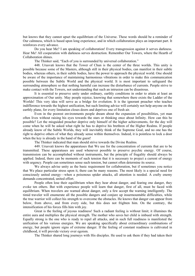but knows that they cannot upset the equilibrium of the Universe. These words should be a reminder of Our calmness, which is based upon long experience, and in which collaboration plays an important part. It reinforces every advance.

Do you hear Me? I am speaking of collaboration! Every transgression against it serves darkness. Hear Me! All cooperation with darkness serves destruction. Remember Our Towers, where the Hearth of Collaboration shines.

The Thinker said, "Each of you is surrounded by universal collaboration."

 448. Urusvati knows that the Tower of Chun is the center of the three worlds. This unity is possible because some of the Masters, although still in their physical bodies, can manifest in their subtle bodies, whereas others, in their subtle bodies, have the power to approach the physical world. One should be aware of the importance of maintaining harmonious vibrations in order to make this communication possible between the Subtle World and the physical world. It is most important to safeguard the surrounding atmosphere so that nothing harmful can increase the disturbance of currents. People strive to make contact with the Towers, not understanding that such an intrusion can be disastrous.

 It is essential to preserve unity under ordinary, earthly conditions in order to attain at least an approximation of Our unity. May people rejoice, knowing that somewhere there exists the Ladder of the Worlds! This very idea will serve as a bridge for evolution. It is the ignorant preacher who teaches indifference towards the highest unification, but such limiting advice will certainly not help anyone on the earthly plane, for every limitation closes doors and deprives one of fresh air.

 Even in the poorest environments people dream about the expansion of possibilities, yet man often lives without raising his eyes towards the stars or thinking once about Infinity. How can this be possible? Let the misguided preacher deprive only himself of the higher achievements, for the day will come when he will be asked what right he has to deprive his brethren of the Higher Realms. If people already know of the Subtle Worlds, they will inevitably think of the Supreme Goal, and no one has the right to deprive others of what they already sense within themselves. Indeed, it is pointless to lock a door when the key is already in the hand of the guest!

The Thinker indicated that man should strive towards the Divine Realms.

 449. Urusvati knows the apparatuses that We use for the concentration of currents that are to be transmitted. These apparatuses are used whenever possible to preserve psychic energy. Of course, transmission can be accomplished without instruments, but the principle of frugality should always be applied. Indeed, there can be moments of such tension that it is necessary to project a current of energy with urgency. People can sometimes sense such tension, but cannot often determine its source.

 We always advise unity as the basic requirement for collaboration, but if sometimes you notice that We place particular stress upon it, there can be many reasons. The most likely is a special need for consciously united energy—when a poisonous spider attacks, all attention is needed. A crafty enemy demands concentrated, united effort.

 People often lose their equilibrium when they hear about danger, and fearing one danger, they evoke ten others. But with experience people will learn that danger, first of all, must be faced with equilibrium. When travelers are warned about danger, only a few accept the warning intelligently. The timid traveler will enumerate all the possible dangers and conjure up insurmountable difficulties, while the true warrior will collect his strength to overcome the obstacles. He knows that danger can appear from below, from above, and from every side, but this does not frighten him. On the contrary, the intensification of his forces fills him with joy.

 Great is the feeling of joyous readiness! Such a radiant feeling is without limit; it illumines the entire aura and multiplies the physical strength. The mother who saves her child is imbued with strength. Equally strong is the one who is ready to repel all attacks, and in such full readiness is manifested the unification of his various energies. We are speaking specifically about extraordinary combinations of energy, but people ignore signs of extreme danger. If the feeling of constant readiness is cultivated in childhood, it will provide victory over egoism.

The Thinker shared long journeys with His disciples. He used to ask them if they had taken their